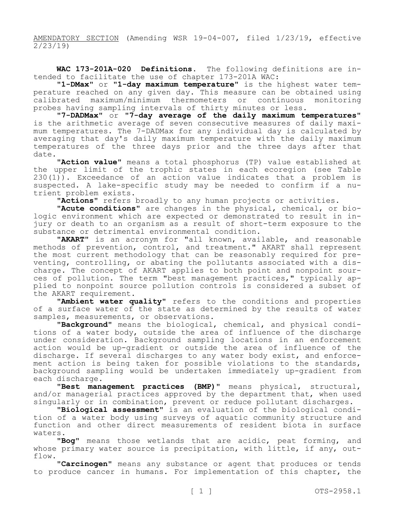AMENDATORY SECTION (Amending WSR 19-04-007, filed 1/23/19, effective 2/23/19)

**WAC 173-201A-020 Definitions.** The following definitions are intended to facilitate the use of chapter 173-201A WAC:

**"1-DMax"** or **"1-day maximum temperature"** is the highest water temperature reached on any given day. This measure can be obtained using calibrated maximum/minimum thermometers or continuous monitoring probes having sampling intervals of thirty minutes or less.

**"7-DADMax"** or **"7-day average of the daily maximum temperatures"**  is the arithmetic average of seven consecutive measures of daily maximum temperatures. The 7-DADMax for any individual day is calculated by averaging that day's daily maximum temperature with the daily maximum temperatures of the three days prior and the three days after that date.

**"Action value"** means a total phosphorus (TP) value established at the upper limit of the trophic states in each ecoregion (see Table 230(1)). Exceedance of an action value indicates that a problem is suspected. A lake-specific study may be needed to confirm if a nutrient problem exists.

**"Actions"** refers broadly to any human projects or activities.

**"Acute conditions"** are changes in the physical, chemical, or biologic environment which are expected or demonstrated to result in injury or death to an organism as a result of short-term exposure to the substance or detrimental environmental condition.

**"AKART"** is an acronym for "all known, available, and reasonable methods of prevention, control, and treatment." AKART shall represent the most current methodology that can be reasonably required for preventing, controlling, or abating the pollutants associated with a discharge. The concept of AKART applies to both point and nonpoint sources of pollution. The term "best management practices," typically applied to nonpoint source pollution controls is considered a subset of the AKART requirement.

**"Ambient water quality"** refers to the conditions and properties of a surface water of the state as determined by the results of water samples, measurements, or observations.

**"Background"** means the biological, chemical, and physical conditions of a water body, outside the area of influence of the discharge under consideration. Background sampling locations in an enforcement action would be up-gradient or outside the area of influence of the discharge. If several discharges to any water body exist, and enforcement action is being taken for possible violations to the standards, background sampling would be undertaken immediately up-gradient from each discharge.

**"Best management practices (BMP)"** means physical, structural, and/or managerial practices approved by the department that, when used singularly or in combination, prevent or reduce pollutant discharges.

**"Biological assessment"** is an evaluation of the biological condition of a water body using surveys of aquatic community structure and function and other direct measurements of resident biota in surface waters.

**"Bog"** means those wetlands that are acidic, peat forming, and whose primary water source is precipitation, with little, if any, outflow.

**"Carcinogen"** means any substance or agent that produces or tends to produce cancer in humans. For implementation of this chapter, the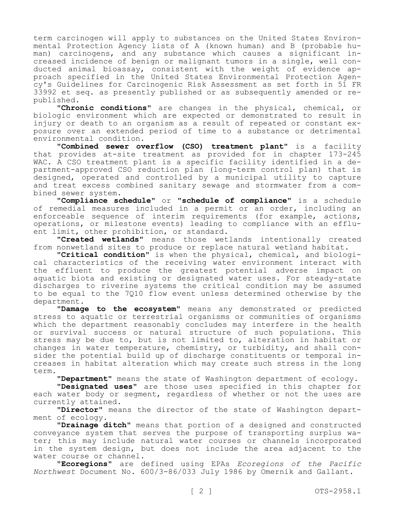term carcinogen will apply to substances on the United States Environmental Protection Agency lists of A (known human) and B (probable human) carcinogens, and any substance which causes a significant increased incidence of benign or malignant tumors in a single, well conducted animal bioassay, consistent with the weight of evidence approach specified in the United States Environmental Protection Agency's Guidelines for Carcinogenic Risk Assessment as set forth in 51 FR 33992 et seq. as presently published or as subsequently amended or republished.

**"Chronic conditions"** are changes in the physical, chemical, or biologic environment which are expected or demonstrated to result in injury or death to an organism as a result of repeated or constant exposure over an extended period of time to a substance or detrimental environmental condition.

**"Combined sewer overflow (CSO) treatment plant"** is a facility that provides at-site treatment as provided for in chapter 173-245 WAC. A CSO treatment plant is a specific facility identified in a department-approved CSO reduction plan (long-term control plan) that is designed, operated and controlled by a municipal utility to capture and treat excess combined sanitary sewage and stormwater from a combined sewer system.

**"Compliance schedule"** or **"schedule of compliance"** is a schedule of remedial measures included in a permit or an order, including an enforceable sequence of interim requirements (for example, actions, operations, or milestone events) leading to compliance with an effluent limit, other prohibition, or standard.

**"Created wetlands"** means those wetlands intentionally created from nonwetland sites to produce or replace natural wetland habitat.

**"Critical condition"** is when the physical, chemical, and biological characteristics of the receiving water environment interact with the effluent to produce the greatest potential adverse impact on aquatic biota and existing or designated water uses. For steady-state discharges to riverine systems the critical condition may be assumed to be equal to the 7Q10 flow event unless determined otherwise by the department.

**"Damage to the ecosystem"** means any demonstrated or predicted stress to aquatic or terrestrial organisms or communities of organisms which the department reasonably concludes may interfere in the health or survival success or natural structure of such populations. This stress may be due to, but is not limited to, alteration in habitat or changes in water temperature, chemistry, or turbidity, and shall consider the potential build up of discharge constituents or temporal increases in habitat alteration which may create such stress in the long term.

**"Department"** means the state of Washington department of ecology.

**"Designated uses"** are those uses specified in this chapter for each water body or segment, regardless of whether or not the uses are currently attained.

**"Director"** means the director of the state of Washington department of ecology.

**"Drainage ditch"** means that portion of a designed and constructed conveyance system that serves the purpose of transporting surplus water; this may include natural water courses or channels incorporated in the system design, but does not include the area adjacent to the water course or channel.

**"Ecoregions"** are defined using EPAs *Ecoregions of the Pacific Northwest* Document No. 600/3-86/033 July 1986 by Omernik and Gallant.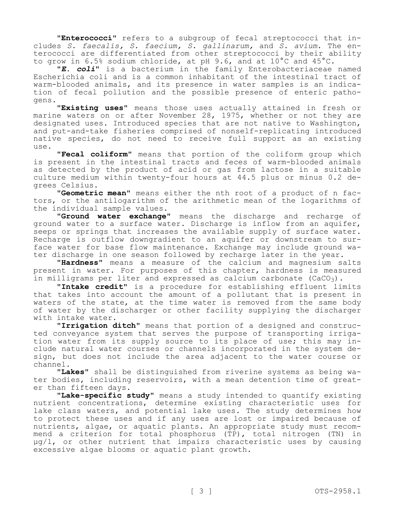**"Enterococci"** refers to a subgroup of fecal streptococci that includes *S. faecalis, S. faecium, S. gallinarum,* and *S. avium*. The enterococci are differentiated from other streptococci by their ability to grow in 6.5% sodium chloride, at pH 9.6, and at 10°C and 45°C.

**"***E. coli***"** is a bacterium in the family Enterobacteriaceae named Escherichia coli and is a common inhabitant of the intestinal tract of warm-blooded animals, and its presence in water samples is an indication of fecal pollution and the possible presence of enteric pathogens.

**"Existing uses"** means those uses actually attained in fresh or marine waters on or after November 28, 1975, whether or not they are designated uses. Introduced species that are not native to Washington, and put-and-take fisheries comprised of nonself-replicating introduced native species, do not need to receive full support as an existing use.

**"Fecal coliform"** means that portion of the coliform group which is present in the intestinal tracts and feces of warm-blooded animals as detected by the product of acid or gas from lactose in a suitable culture medium within twenty-four hours at 44.5 plus or minus 0.2 degrees Celsius.

**"Geometric mean"** means either the nth root of a product of n factors, or the antilogarithm of the arithmetic mean of the logarithms of the individual sample values.

**"Ground water exchange"** means the discharge and recharge of ground water to a surface water. Discharge is inflow from an aquifer, seeps or springs that increases the available supply of surface water. Recharge is outflow downgradient to an aquifer or downstream to surface water for base flow maintenance. Exchange may include ground water discharge in one season followed by recharge later in the year.

**"Hardness"** means a measure of the calcium and magnesium salts present in water. For purposes of this chapter, hardness is measured in milligrams per liter and expressed as calcium carbonate  $(CaCO<sub>3</sub>)$ .

**"Intake credit"** is a procedure for establishing effluent limits that takes into account the amount of a pollutant that is present in waters of the state, at the time water is removed from the same body of water by the discharger or other facility supplying the discharger with intake water.

**"Irrigation ditch"** means that portion of a designed and constructed conveyance system that serves the purpose of transporting irrigation water from its supply source to its place of use; this may include natural water courses or channels incorporated in the system design, but does not include the area adjacent to the water course or channel.

**"Lakes"** shall be distinguished from riverine systems as being water bodies, including reservoirs, with a mean detention time of greater than fifteen days.

**"Lake-specific study"** means a study intended to quantify existing nutrient concentrations, determine existing characteristic uses for lake class waters, and potential lake uses. The study determines how to protect these uses and if any uses are lost or impaired because of nutrients, algae, or aquatic plants. An appropriate study must recommend a criterion for total phosphorus (TP), total nitrogen (TN) in  $\mu$ g/l, or other nutrient that impairs characteristic uses by causing excessive algae blooms or aquatic plant growth.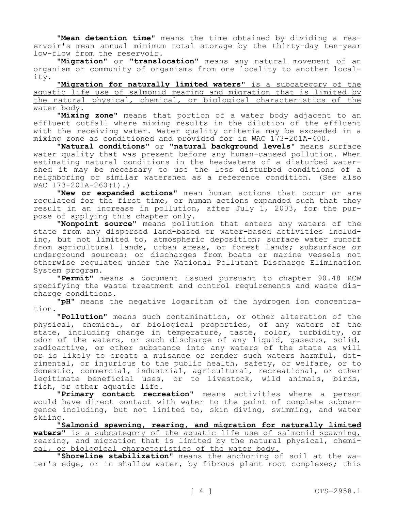**"Mean detention time"** means the time obtained by dividing a reservoir's mean annual minimum total storage by the thirty-day ten-year low-flow from the reservoir.

**"Migration"** or **"translocation"** means any natural movement of an organism or community of organisms from one locality to another locality.

**"Migration for naturally limited waters"** is a subcategory of the aquatic life use of salmonid rearing and migration that is limited by the natural physical, chemical, or biological characteristics of the water body.

**"Mixing zone"** means that portion of a water body adjacent to an effluent outfall where mixing results in the dilution of the effluent with the receiving water. Water quality criteria may be exceeded in a mixing zone as conditioned and provided for in WAC 173-201A-400.

**"Natural conditions"** or **"natural background levels"** means surface water quality that was present before any human-caused pollution. When estimating natural conditions in the headwaters of a disturbed watershed it may be necessary to use the less disturbed conditions of a neighboring or similar watershed as a reference condition. (See also  $WAC$  173-201A-260(1).)

**"New or expanded actions"** mean human actions that occur or are regulated for the first time, or human actions expanded such that they result in an increase in pollution, after July 1, 2003, for the purpose of applying this chapter only.

**"Nonpoint source"** means pollution that enters any waters of the state from any dispersed land-based or water-based activities including, but not limited to, atmospheric deposition; surface water runoff from agricultural lands, urban areas, or forest lands; subsurface or underground sources; or discharges from boats or marine vessels not otherwise regulated under the National Pollutant Discharge Elimination System program.

**"Permit"** means a document issued pursuant to chapter 90.48 RCW specifying the waste treatment and control requirements and waste discharge conditions.

**"pH"** means the negative logarithm of the hydrogen ion concentration.

**"Pollution"** means such contamination, or other alteration of the physical, chemical, or biological properties, of any waters of the state, including change in temperature, taste, color, turbidity, or odor of the waters, or such discharge of any liquid, gaseous, solid, radioactive, or other substance into any waters of the state as will or is likely to create a nuisance or render such waters harmful, detrimental, or injurious to the public health, safety, or welfare, or to domestic, commercial, industrial, agricultural, recreational, or other legitimate beneficial uses, or to livestock, wild animals, birds, fish, or other aquatic life.

**"Primary contact recreation"** means activities where a person would have direct contact with water to the point of complete submergence including, but not limited to, skin diving, swimming, and water skiing.

**"Salmonid spawning, rearing, and migration for naturally limited waters"** is a subcategory of the aquatic life use of salmonid spawning, rearing, and migration that is limited by the natural physical, chemical, or biological characteristics of the water body.

**"Shoreline stabilization"** means the anchoring of soil at the water's edge, or in shallow water, by fibrous plant root complexes; this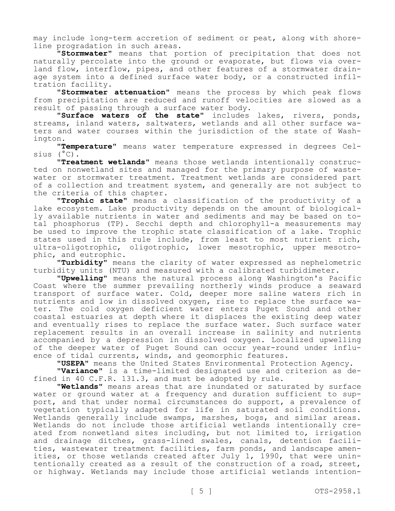may include long-term accretion of sediment or peat, along with shoreline progradation in such areas.

**"Stormwater"** means that portion of precipitation that does not naturally percolate into the ground or evaporate, but flows via overland flow, interflow, pipes, and other features of a stormwater drainage system into a defined surface water body, or a constructed infiltration facility.

**"Stormwater attenuation"** means the process by which peak flows from precipitation are reduced and runoff velocities are slowed as a result of passing through a surface water body.

**"Surface waters of the state"** includes lakes, rivers, ponds, streams, inland waters, saltwaters, wetlands and all other surface waters and water courses within the jurisdiction of the state of Washington.

**"Temperature"** means water temperature expressed in degrees Celsius (°C).

**"Treatment wetlands"** means those wetlands intentionally constructed on nonwetland sites and managed for the primary purpose of wastewater or stormwater treatment. Treatment wetlands are considered part of a collection and treatment system, and generally are not subject to the criteria of this chapter.

**"Trophic state"** means a classification of the productivity of a lake ecosystem. Lake productivity depends on the amount of biologically available nutrients in water and sediments and may be based on total phosphorus (TP). Secchi depth and chlorophyll-a measurements may be used to improve the trophic state classification of a lake. Trophic states used in this rule include, from least to most nutrient rich, ultra-oligotrophic, oligotrophic, lower mesotrophic, upper mesotrophic, and eutrophic.

**"Turbidity"** means the clarity of water expressed as nephelometric turbidity units (NTU) and measured with a calibrated turbidimeter.

**"Upwelling"** means the natural process along Washington's Pacific Coast where the summer prevailing northerly winds produce a seaward transport of surface water. Cold, deeper more saline waters rich in nutrients and low in dissolved oxygen, rise to replace the surface water. The cold oxygen deficient water enters Puget Sound and other coastal estuaries at depth where it displaces the existing deep water and eventually rises to replace the surface water. Such surface water replacement results in an overall increase in salinity and nutrients accompanied by a depression in dissolved oxygen. Localized upwelling of the deeper water of Puget Sound can occur year-round under influence of tidal currents, winds, and geomorphic features.

**"USEPA"** means the United States Environmental Protection Agency.

**"Variance"** is a time-limited designated use and criterion as defined in 40 C.F.R. 131.3, and must be adopted by rule.

**"Wetlands"** means areas that are inundated or saturated by surface water or ground water at a frequency and duration sufficient to support, and that under normal circumstances do support, a prevalence of vegetation typically adapted for life in saturated soil conditions. Wetlands generally include swamps, marshes, bogs, and similar areas. Wetlands do not include those artificial wetlands intentionally created from nonwetland sites including, but not limited to, irrigation and drainage ditches, grass-lined swales, canals, detention facilities, wastewater treatment facilities, farm ponds, and landscape amenities, or those wetlands created after July 1, 1990, that were unintentionally created as a result of the construction of a road, street, or highway. Wetlands may include those artificial wetlands intention-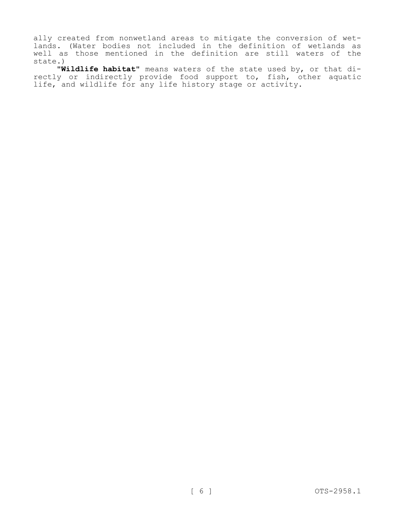ally created from nonwetland areas to mitigate the conversion of wetlands. (Water bodies not included in the definition of wetlands as well as those mentioned in the definition are still waters of the state.)

**"Wildlife habitat"** means waters of the state used by, or that directly or indirectly provide food support to, fish, other aquatic life, and wildlife for any life history stage or activity.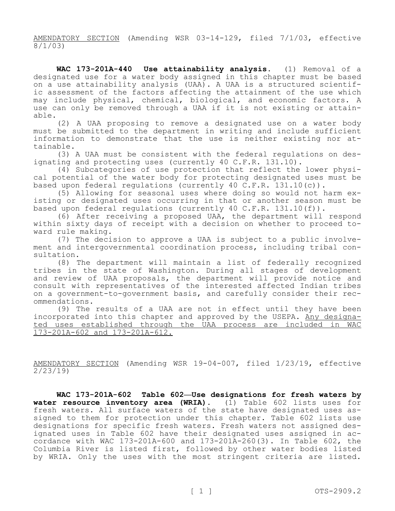AMENDATORY SECTION (Amending WSR 03-14-129, filed 7/1/03, effective 8/1/03)

**WAC 173-201A-440 Use attainability analysis.** (1) Removal of a designated use for a water body assigned in this chapter must be based on a use attainability analysis (UAA). A UAA is a structured scientific assessment of the factors affecting the attainment of the use which may include physical, chemical, biological, and economic factors. A use can only be removed through a UAA if it is not existing or attainable.

(2) A UAA proposing to remove a designated use on a water body must be submitted to the department in writing and include sufficient information to demonstrate that the use is neither existing nor attainable.

(3) A UAA must be consistent with the federal regulations on designating and protecting uses (currently 40 C.F.R. 131.10).

(4) Subcategories of use protection that reflect the lower physical potential of the water body for protecting designated uses must be based upon federal regulations (currently 40 C.F.R. 131.10(c)).

(5) Allowing for seasonal uses where doing so would not harm existing or designated uses occurring in that or another season must be based upon federal regulations (currently 40 C.F.R. 131.10(f)).

(6) After receiving a proposed UAA, the department will respond within sixty days of receipt with a decision on whether to proceed toward rule making.

(7) The decision to approve a UAA is subject to a public involvement and intergovernmental coordination process, including tribal consultation.

(8) The department will maintain a list of federally recognized tribes in the state of Washington. During all stages of development and review of UAA proposals, the department will provide notice and consult with representatives of the interested affected Indian tribes on a government-to-government basis, and carefully consider their recommendations.

(9) The results of a UAA are not in effect until they have been incorporated into this chapter and approved by the USEPA. Any designated uses established through the UAA process are included in WAC 173-201A-602 and 173-201A-612.

AMENDATORY SECTION (Amending WSR 19-04-007, filed 1/23/19, effective 2/23/19)

**WAC 173-201A-602 Table 602—Use designations for fresh waters by water resource inventory area (WRIA).** (1) Table 602 lists uses for fresh waters. All surface waters of the state have designated uses assigned to them for protection under this chapter. Table 602 lists use designations for specific fresh waters. Fresh waters not assigned designated uses in Table 602 have their designated uses assigned in accordance with WAC 173-201A-600 and 173-201A-260(3). In Table 602, the Columbia River is listed first, followed by other water bodies listed by WRIA. Only the uses with the most stringent criteria are listed.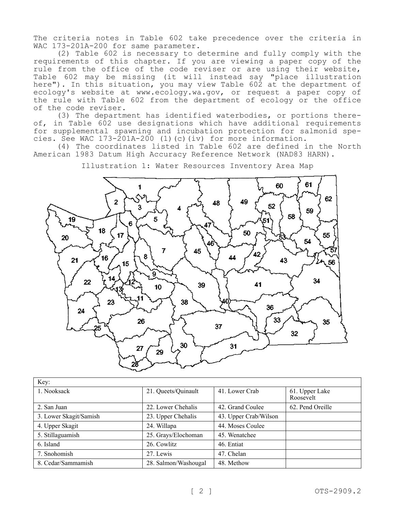The criteria notes in Table 602 take precedence over the criteria in WAC 173-201A-200 for same parameter.

(2) Table 602 is necessary to determine and fully comply with the requirements of this chapter. If you are viewing a paper copy of the rule from the office of the code reviser or are using their website, Table 602 may be missing (it will instead say "place illustration here"). In this situation, you may view Table 602 at the department of ecology's website at www.ecology.wa.gov, or request a paper copy of the rule with Table 602 from the department of ecology or the office of the code reviser.

(3) The department has identified waterbodies, or portions thereof, in Table 602 use designations which have additional requirements for supplemental spawning and incubation protection for salmonid species. See WAC 173-201A-200 (1)(c)(iv) for more information.

(4) The coordinates listed in Table 602 are defined in the North American 1983 Datum High Accuracy Reference Network (NAD83 HARN).



Illustration 1: Water Resources Inventory Area Map

| Key:                   |                      |                       |                             |
|------------------------|----------------------|-----------------------|-----------------------------|
| 1. Nooksack            | 21. Queets/Quinault  | 41. Lower Crab        | 61. Upper Lake<br>Roosevelt |
| 2. San Juan            | 22. Lower Chehalis   | 42. Grand Coulee      | 62. Pend Oreille            |
| 3. Lower Skagit/Samish | 23. Upper Chehalis   | 43. Upper Crab/Wilson |                             |
| 4. Upper Skagit        | 24. Willapa          | 44. Moses Coulee      |                             |
| 5. Stillaguamish       | 25. Grays/Elochoman  | 45. Wenatchee         |                             |
| 6. Island              | 26. Cowlitz          | 46. Entiat            |                             |
| 7. Snohomish           | 27. Lewis            | 47. Chelan            |                             |
| 8. Cedar/Sammamish     | 28. Salmon/Washougal | 48. Methow            |                             |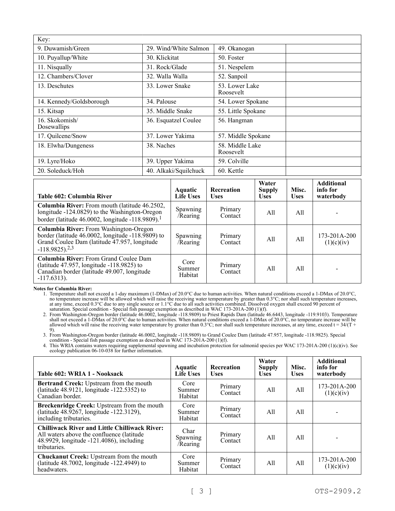| Key:                          |                       |                              |  |
|-------------------------------|-----------------------|------------------------------|--|
| 9. Duwamish/Green             | 29. Wind/White Salmon | 49. Okanogan                 |  |
| 10. Puyallup/White            | 30. Klickitat         | 50. Foster                   |  |
| 11. Nisqually                 | 31. Rock/Glade        | 51. Nespelem                 |  |
| 12. Chambers/Clover           | 32. Walla Walla       | 52. Sanpoil                  |  |
| 13. Deschutes                 | 33. Lower Snake       | 53. Lower Lake<br>Roosevelt  |  |
| 14. Kennedy/Goldsborough      | 34. Palouse           | 54. Lower Spokane            |  |
| 15. Kitsap                    | 35. Middle Snake      | 55. Little Spokane           |  |
| 16. Skokomish/<br>Dosewallips | 36. Esquatzel Coulee  | 56. Hangman                  |  |
| 17. Quilcene/Snow             | 37. Lower Yakima      | 57. Middle Spokane           |  |
| 18. Elwha/Dungeness           | 38. Naches            | 58. Middle Lake<br>Roosevelt |  |
| 19. Lyre/Hoko                 | 39. Upper Yakima      | 59. Colville                 |  |
| 20. Soleduck/Hoh              | 40. Alkaki/Squilchuck | 60. Kettle                   |  |

| Table 602: Columbia River                                                                                                                                                          | Aquatic<br><b>Life Uses</b> | <b>Recreation</b><br><b>Uses</b> | Water<br><b>Supply</b><br><b>Uses</b> | Misc.<br><b>Uses</b> | <b>Additional</b><br>info for<br>waterbody |
|------------------------------------------------------------------------------------------------------------------------------------------------------------------------------------|-----------------------------|----------------------------------|---------------------------------------|----------------------|--------------------------------------------|
| <b>Columbia River:</b> From mouth (latitude 46.2502,<br>longitude -124.0829) to the Washington-Oregon<br>border (latitude 46.0002, longitude -118.9809). <sup>1</sup>              | Spawning<br>/Rearing        | Primary<br>Contact               | All                                   | All                  |                                            |
| Columbia River: From Washington-Oregon<br>border (latitude $46.0002$ , longitude $-118.9809$ ) to<br>Grand Coulee Dam (latitude 47.957, longitude<br>$-118.9825$ ). <sup>2,3</sup> | Spawning<br>/Rearing        | Primary<br>Contact               | All                                   | All                  | 173-201A-200<br>(1)(c)(iv)                 |
| Columbia River: From Grand Coulee Dam<br>(latitude $47.957$ , longitude $-118.9825$ ) to<br>Canadian border (latitude 49.007, longitude<br>$-117.6313$ ).                          | Core<br>Summer<br>Habitat   | Primary<br>Contact               | All                                   | A11                  |                                            |

**Notes for Columbia River:**

1. Temperature shall not exceed a 1-day maximum (1-DMax) of 20.0°C due to human activities. When natural conditions exceed a 1-DMax of 20.0°C, no temperature increase will be allowed which will raise the receiving water temperature by greater than 0.3°C; nor shall such temperature increases, at any time, exceed 0.3°C due to any single source or 1.1°C due to all such activities combined. Dissolved oxygen shall exceed 90 percent of saturation. Special condition - Special fish passage exemption as described in WAC 173-201A-200 (1)(f).

2. From Washington-Oregon border (latitude 46.0002, longitude -118.9809) to Priest Rapids Dam (latitude 46.6443, longitude -119.9103). Temperature shall not exceed a 1-DMax of 20.0°C due to human activities. When natural conditions exceed a 1-DMax of 20.0°C, no temperature increase will be allowed which will raise the receiving water temperature by greater than  $0.3^{\circ}$ C; nor shall such temperature increases, at any time, exceed t =  $34/(T +$ 9).

3. From Washington-Oregon border (latitude 46.0002, longitude -118.9809) to Grand Coulee Dam (latitude 47.957, longitude -118.9825). Special condition - Special fish passage exemption as described in WAC 173-201A-200 (1)(f).

| Table 602: WRIA 1 - Nooksack                                                                                                                                  | Aquatic<br><b>Life Uses</b>  | <b>Recreation</b><br><b>Uses</b> | Water<br><b>Supply</b><br><b>Uses</b> | Misc.<br><b>Uses</b> | <b>Additional</b><br>info for<br>waterbody |
|---------------------------------------------------------------------------------------------------------------------------------------------------------------|------------------------------|----------------------------------|---------------------------------------|----------------------|--------------------------------------------|
| <b>Bertrand Creek:</b> Upstream from the mouth<br>(latitude 48.9121, longitude -122.5352) to<br>Canadian border.                                              | Core<br>Summer<br>Habitat    | Primary<br>Contact               | All                                   | All                  | 173-201A-200<br>(1)(c)(iv)                 |
| Breckenridge Creek: Upstream from the mouth<br>(latitude 48.9267, longitude -122.3129),<br>including tributaries.                                             | Core<br>Summer<br>Habitat    | Primary<br>Contact               | All                                   | All                  |                                            |
| <b>Chilliwack River and Little Chilliwack River:</b><br>All waters above the confluence (latitude<br>48.9929, longitude -121.4086), including<br>tributaries. | Char<br>Spawning<br>/Rearing | Primary<br>Contact               | All                                   | All                  |                                            |
| <b>Chuckanut Creek: Upstream from the mouth</b><br>(latitude 48.7002, longitude -122.4949) to<br>headwaters.                                                  | Core<br>Summer<br>Habitat    | Primary<br>Contact               | All                                   | All                  | 173-201A-200<br>(1)(c)(iv)                 |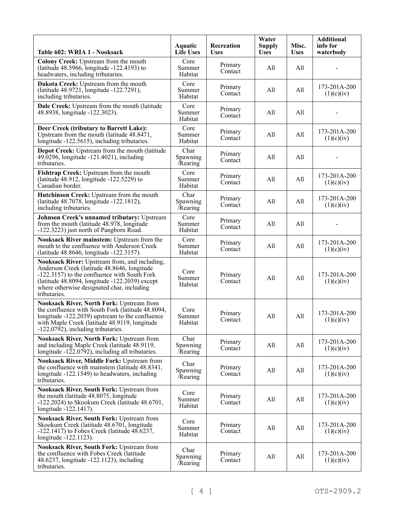| Table 602: WRIA 1 - Nooksack                                                                                                                                                                                                                                 | <b>Aquatic</b><br><b>Life Uses</b> | Recreation<br><b>Uses</b> | Water<br><b>Supply</b><br><b>Uses</b> | Misc.<br><b>Uses</b> | <b>Additional</b><br>info for<br>waterbody |
|--------------------------------------------------------------------------------------------------------------------------------------------------------------------------------------------------------------------------------------------------------------|------------------------------------|---------------------------|---------------------------------------|----------------------|--------------------------------------------|
| Colony Creek: Upstream from the mouth<br>(latitude 48.5966, longitude -122.4193) to<br>headwaters, including tributaries.                                                                                                                                    | Core<br>Summer<br>Habitat          | Primary<br>Contact        | All                                   | All                  |                                            |
| Dakota Creek: Upstream from the mouth<br>(latitude 48.9721, longitude -122.7291),<br>including tributaries.                                                                                                                                                  | Core<br>Summer<br>Habitat          | Primary<br>Contact        | All                                   | All                  | 173-201A-200<br>(1)(c)(iv)                 |
| Dale Creek: Upstream from the mouth (latitude<br>48.8938, longitude -122.3023).                                                                                                                                                                              | Core<br>Summer<br>Habitat          | Primary<br>Contact        | All                                   | All                  |                                            |
| Deer Creek (tributary to Barrett Lake):<br>Upstream from the mouth (latitude 48.8471,<br>longitude -122.5615), including tributaries.                                                                                                                        | Core<br>Summer<br>Habitat          | Primary<br>Contact        | All                                   | All                  | 173-201A-200<br>(1)(c)(iv)                 |
| Depot Creek: Upstream from the mouth (latitude<br>49.0296, longitude -121.4021), including<br>tributaries.                                                                                                                                                   | Char<br>Spawning<br>/Rearing       | Primary<br>Contact        | All                                   | All                  |                                            |
| Fishtrap Creek: Upstream from the mouth<br>(latitude 48.912, longitude -122.5229) to<br>Canadian border.                                                                                                                                                     | Core<br>Summer<br>Habitat          | Primary<br>Contact        | All                                   | All                  | 173-201A-200<br>(1)(c)(iv)                 |
| Hutchinson Creek: Upstream from the mouth<br>(latitude 48.7078, longitude -122.1812),<br>including tributaries.                                                                                                                                              | Char<br>Spawning<br>/Rearing       | Primary<br>Contact        | All                                   | All                  | 173-201A-200<br>(1)(c)(iv)                 |
| <b>Johnson Creek's unnamed tributary: Upstream</b><br>from the mouth (latitude 48.978, longitude<br>-122.3223) just north of Pangborn Road.                                                                                                                  | Core<br>Summer<br>Habitat          | Primary<br>Contact        | All                                   | All                  |                                            |
| Nooksack River mainstem: Upstream from the<br>mouth to the confluence with Anderson Creek<br>(latitude 48.8646, longitude -122.3157).                                                                                                                        | Core<br>Summer<br>Habitat          | Primary<br>Contact        | All                                   | All                  | 173-201A-200<br>(1)(c)(iv)                 |
| Nooksack River: Upstream from, and including,<br>Anderson Creek (latitude 48.8646, longitude<br>-122.3157) to the confluence with South Fork<br>(latitude 48.8094, longitude -122.2039) except<br>where otherwise designated char, including<br>tributaries. | Core<br>Summer<br>Habitat          | Primary<br>Contact        | All                                   | All                  | 173-201A-200<br>(1)(c)(iv)                 |
| <b>Nooksack River, North Fork: Upstream from</b><br>the confluence with South Fork (latitude 48.8094,<br>longitude -122.2039) upstream to the confluence<br>with Maple Creek (latitude 48.9119, longitude<br>-122.0792), including tributaries.              | Core<br>Summer<br>Habitat          | Primary<br>Contact        | All                                   | All                  | 173-201A-200<br>(1)(c)(iv)                 |
| <b>Nooksack River, North Fork: Upstream from</b><br>and including Maple Creek (latitude 48.9119,<br>longitude -122.0792), including all tributaries.                                                                                                         | Char<br>Spawning<br>/Rearing       | Primary<br>Contact        | All                                   | All                  | 173-201A-200<br>(1)(c)(iv)                 |
| Nooksack River, Middle Fork: Upstream from<br>the confluence with mainstem (latitude 48.8341,<br>longitude -122.1549) to headwaters, including<br>tributaries.                                                                                               | Char<br>Spawning<br>/Rearing       | Primary<br>Contact        | All                                   | All                  | 173-201A-200<br>(1)(c)(iv)                 |
| Nooksack River, South Fork: Upstream from<br>the mouth (latitude 48.8075, longitude<br>$-122.2024$ ) to Skookum Creek (latitude 48.6701,<br>longitude -122.1417).                                                                                            | Core<br>Summer<br>Habitat          | Primary<br>Contact        | All                                   | All                  | 173-201A-200<br>(1)(c)(iv)                 |
| <b>Nooksack River, South Fork: Upstream from</b><br>Skookum Creek (latitude 48.6701, longitude<br>$-122.1417$ ) to Fobes Creek (latitude 48.6237,<br>longitude -122.1123).                                                                                   | Core<br>Summer<br>Habitat          | Primary<br>Contact        | All                                   | All                  | 173-201A-200<br>(1)(c)(iv)                 |
| <b>Nooksack River, South Fork: Upstream from</b><br>the confluence with Fobes Creek (latitude<br>48.6237, longitude -122.1123), including<br>tributaries.                                                                                                    | Char<br>Spawning<br>/Rearing       | Primary<br>Contact        | All                                   | All                  | 173-201A-200<br>(1)(c)(iv)                 |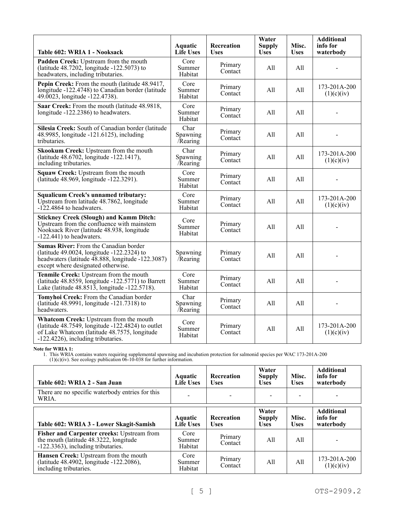| Table 602: WRIA 1 - Nooksack                                                                                                                                                      | <b>Aquatic</b><br><b>Life Uses</b> | <b>Recreation</b><br><b>Uses</b> | Water<br><b>Supply</b><br><b>Uses</b> | Misc.<br><b>Uses</b> | <b>Additional</b><br>info for<br>waterbody |
|-----------------------------------------------------------------------------------------------------------------------------------------------------------------------------------|------------------------------------|----------------------------------|---------------------------------------|----------------------|--------------------------------------------|
| Padden Creek: Upstream from the mouth<br>(latitude $48.7202$ , longitude $-122.5073$ ) to<br>headwaters, including tributaries.                                                   | Core<br>Summer<br>Habitat          | Primary<br>Contact               | All                                   | All                  |                                            |
| Pepin Creek: From the mouth (latitude 48.9417,<br>longitude -122.4748) to Canadian border (latitude<br>49.0023, longitude -122.4738).                                             | Core<br>Summer<br>Habitat          | Primary<br>Contact               | All                                   | All                  | 173-201A-200<br>(1)(c)(iv)                 |
| Saar Creek: From the mouth (latitude 48.9818,<br>longitude -122.2386) to headwaters.                                                                                              | Core<br>Summer<br>Habitat          | Primary<br>Contact               | All                                   | All                  |                                            |
| Silesia Creek: South of Canadian border (latitude<br>48.9985, longitude -121.6125), including<br>tributaries.                                                                     | Char<br>Spawning<br>Rearing        | Primary<br>Contact               | All                                   | All                  |                                            |
| Skookum Creek: Upstream from the mouth<br>(latitude 48.6702, longitude -122.1417),<br>including tributaries.                                                                      | Char<br>Spawning<br>Rearing        | Primary<br>Contact               | All                                   | All                  | 173-201A-200<br>(1)(c)(iv)                 |
| Squaw Creek: Upstream from the mouth<br>(latitude 48.969, longitude -122.3291).                                                                                                   | Core<br>Summer<br>Habitat          | Primary<br>Contact               | All                                   | All                  |                                            |
| <b>Squalicum Creek's unnamed tributary:</b><br>Upstream from latitude 48.7862, longitude<br>$-122.4864$ to headwaters.                                                            | Core<br>Summer<br>Habitat          | Primary<br>Contact               | All                                   | All                  | 173-201A-200<br>(1)(c)(iv)                 |
| <b>Stickney Creek (Slough) and Kamm Ditch:</b><br>Upstream from the confluence with mainstem<br>Nooksack River (latitude 48.938, longitude<br>$-122.441$ ) to headwaters.         | Core<br>Summer<br>Habitat          | Primary<br>Contact               | All                                   | All                  |                                            |
| Sumas River: From the Canadian border<br>(latitude 49.0024, longitude -122.2324) to<br>headwaters (latitude 48.888, longitude -122.3087)<br>except where designated otherwise.    | Spawning<br>/Rearing               | Primary<br>Contact               | All                                   | All                  |                                            |
| Tenmile Creek: Upstream from the mouth<br>(latitude $48.8559$ , longitude $-122.5771$ ) to Barrett<br>Lake (latitude 48.8513, longitude -122.5718).                               | Core<br>Summer<br>Habitat          | Primary<br>Contact               | All                                   | All                  | $\overline{a}$                             |
| Tomyhoi Creek: From the Canadian border<br>(latitude 48.9991, longitude -121.7318) to<br>headwaters.                                                                              | Char<br>Spawning<br>/Rearing       | Primary<br>Contact               | All                                   | All                  |                                            |
| Whatcom Creek: Upstream from the mouth<br>(latitude 48.7549, longitude -122.4824) to outlet<br>of Lake Whatcom (latitude 48.7575, longitude<br>-122.4226), including tributaries. | Core<br>Summer<br>Habitat          | Primary<br>Contact               | All                                   | All                  | 173-201A-200<br>(1)(c)(iv)                 |

**Note for WRIA 1:**

| Table 602: WRIA 2 - San Juan                                                                                               | <b>Aquatic</b><br><b>Life Uses</b> | <b>Recreation</b><br><b>Uses</b> | Water<br><b>Supply</b><br><b>Uses</b> | Misc.<br><b>Uses</b> | <b>Additional</b><br>info for<br>waterbody |
|----------------------------------------------------------------------------------------------------------------------------|------------------------------------|----------------------------------|---------------------------------------|----------------------|--------------------------------------------|
| There are no specific waterbody entries for this<br>WRIA.                                                                  |                                    |                                  |                                       |                      |                                            |
| Table 602: WRIA 3 - Lower Skagit-Samish                                                                                    | <b>Aquatic</b><br><b>Life Uses</b> | <b>Recreation</b><br><b>Uses</b> | Water<br><b>Supply</b><br><b>Uses</b> | Misc.<br><b>Uses</b> | <b>Additional</b><br>info for<br>waterbody |
| Fisher and Carpenter creeks: Upstream from<br>the mouth (latitude 48.3222, longitude<br>-122.3363), including tributaries. | Core<br>Summer<br>Habitat          | Primary<br>Contact               | All                                   | All                  |                                            |
| Hansen Creek: Upstream from the mouth<br>(latitude 48.4902, longitude -122.2086),<br>including tributaries.                | Core<br>Summer<br>Habitat          | Primary<br>Contact               | All                                   | All                  | $173 - 201A - 200$<br>(1)(c)(iv)           |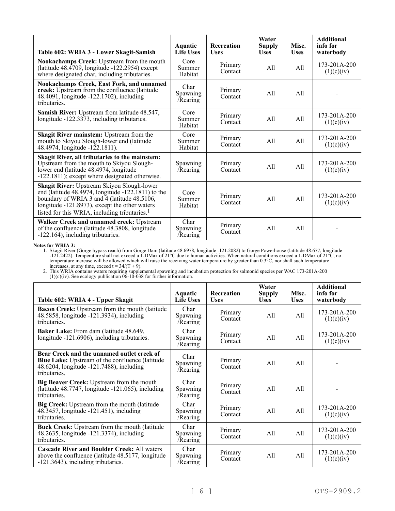| Table 602: WRIA 3 - Lower Skagit-Samish                                                                                                                                                                                                                          | Aquatic<br><b>Life Uses</b>  | <b>Recreation</b><br><b>Uses</b> | Water<br><b>Supply</b><br><b>Uses</b> | Misc.<br><b>Uses</b> | <b>Additional</b><br>info for<br>waterbody |
|------------------------------------------------------------------------------------------------------------------------------------------------------------------------------------------------------------------------------------------------------------------|------------------------------|----------------------------------|---------------------------------------|----------------------|--------------------------------------------|
| Nookachamps Creek: Upstream from the mouth<br>(latitude 48.4709, longitude -122.2954) except<br>where designated char, including tributaries.                                                                                                                    | Core<br>Summer<br>Habitat    | Primary<br>Contact               | All                                   | All                  | 173-201A-200<br>(1)(c)(iv)                 |
| <b>Nookachamps Creek, East Fork, and unnamed</b><br>creek: Upstream from the confluence (latitude<br>48.4091, longitude -122.1702), including<br>tributaries.                                                                                                    | Char<br>Spawning<br>/Rearing | Primary<br>Contact               | A11                                   | A11                  |                                            |
| Samish River: Upstream from latitude 48.547,<br>longitude -122.3373, including tributaries.                                                                                                                                                                      | Core<br>Summer<br>Habitat    | Primary<br>Contact               | All                                   | All                  | 173-201A-200<br>(1)(c)(iv)                 |
| Skagit River mainstem: Upstream from the<br>mouth to Skiyou Slough-lower end (latitude<br>48.4974, longitude -122.1811).                                                                                                                                         | Core<br>Summer<br>Habitat    | Primary<br>Contact               | A11                                   | All                  | 173-201A-200<br>(1)(c)(iv)                 |
| Skagit River, all tributaries to the mainstem:<br>Upstream from the mouth to Skiyou Slough-<br>lower end (latitude 48.4974, longitude<br>-122.1811); except where designated otherwise.                                                                          | Spawning<br>/Rearing         | Primary<br>Contact               | All                                   | A11                  | 173-201A-200<br>(1)(c)(iv)                 |
| Skagit River: Upstream Skiyou Slough-lower<br>end (latitude 48.4974, longitude $-122.1811$ ) to the<br>boundary of WRIA 3 and 4 (latitude 48.5106,<br>longitude -121.8973), except the other waters<br>listed for this WRIA, including tributaries. <sup>1</sup> | Core<br>Summer<br>Habitat    | Primary<br>Contact               | All                                   | All                  | $173 - 201A - 200$<br>(1)(c)(iv)           |
| Walker Creek and unnamed creek: Upstream<br>of the confluence (latitude 48.3808, longitude<br>-122.164), including tributaries.                                                                                                                                  | Char<br>Spawning<br>/Rearing | Primary<br>Contact               | All                                   | A11                  |                                            |

**Notes for WRIA 3:**

1. Skagit River (Gorge bypass reach) from Gorge Dam (latitude 48.6978, longitude -121.2082) to Gorge Powerhouse (latitude 48.677, longitude -121.2422). Temperature shall not exceed a 1-DMax of 21°C due to human activities. When natural conditions exceed a 1-DMax of 21°C, no temperature increase will be allowed which will raise the receiving water temperature by greater than 0.3°C, nor shall such temperature increases, at any time, exceed  $t = 34/(T + 9)$ .

| Table 602: WRIA 4 - Upper Skagit                                                                                                                                 | Aquatic<br><b>Life Uses</b>  | Recreation<br><b>Uses</b> | Water<br><b>Supply</b><br><b>Uses</b> | Misc.<br><b>Uses</b> | <b>Additional</b><br>info for<br>waterbody |
|------------------------------------------------------------------------------------------------------------------------------------------------------------------|------------------------------|---------------------------|---------------------------------------|----------------------|--------------------------------------------|
| <b>Bacon Creek:</b> Upstream from the mouth (latitude<br>48.5858, longitude -121.3934), including<br>tributaries.                                                | Char<br>Spawning<br>/Rearing | Primary<br>Contact        | All                                   | All                  | 173-201A-200<br>(1)(c)(iv)                 |
| Baker Lake: From dam (latitude 48.649,<br>longitude -121.6906), including tributaries.                                                                           | Char<br>Spawning<br>/Rearing | Primary<br>Contact        | All                                   | All                  | 173-201A-200<br>(1)(c)(iv)                 |
| Bear Creek and the unnamed outlet creek of<br><b>Blue Lake:</b> Upstream of the confluence (latitude<br>48.6204, longitude -121.7488), including<br>tributaries. | Char<br>Spawning<br>/Rearing | Primary<br>Contact        | All                                   | A11                  |                                            |
| Big Beaver Creek: Upstream from the mouth<br>(latitude $48.7747$ , longitude $-121.065$ ), including<br>tributaries.                                             | Char<br>Spawning<br>/Rearing | Primary<br>Contact        | All                                   | A11                  |                                            |
| Big Creek: Upstream from the mouth (latitude<br>48.3457, longitude -121.451), including<br>tributaries.                                                          | Char<br>Spawning<br>/Rearing | Primary<br>Contact        | All                                   | All                  | 173-201A-200<br>(1)(c)(iv)                 |
| Buck Creek: Upstream from the mouth (latitude<br>48.2635, longitude -121.3374), including<br>tributaries.                                                        | Char<br>Spawning<br>/Rearing | Primary<br>Contact        | All                                   | All                  | 173-201A-200<br>(1)(c)(iv)                 |
| <b>Cascade River and Boulder Creek: All waters</b><br>above the confluence (latitude 48.5177, longitude<br>-121.3643), including tributaries.                    | Char<br>Spawning<br>/Rearing | Primary<br>Contact        | All                                   | All                  | 173-201A-200<br>(1)(c)(iv)                 |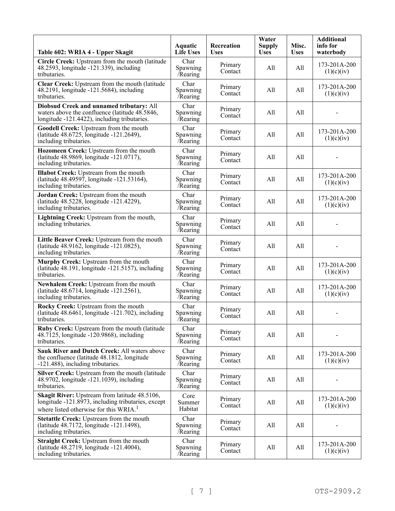| Table 602: WRIA 4 - Upper Skagit                                                                                                                          | Aquatic<br><b>Life Uses</b>  | Recreation<br><b>Uses</b> | Water<br><b>Supply</b><br><b>Uses</b> | Misc.<br><b>Uses</b> | <b>Additional</b><br>info for<br>waterbody |
|-----------------------------------------------------------------------------------------------------------------------------------------------------------|------------------------------|---------------------------|---------------------------------------|----------------------|--------------------------------------------|
| Circle Creek: Upstream from the mouth (latitude<br>48.2593, longitude -121.339), including<br>tributaries.                                                | Char<br>Spawning<br>Rearing  | Primary<br>Contact        | All                                   | All                  | 173-201A-200<br>(1)(c)(iv)                 |
| Clear Creek: Upstream from the mouth (latitude<br>48.2191, longitude -121.5684), including<br>tributaries.                                                | Char<br>Spawning<br>Rearing  | Primary<br>Contact        | All                                   | All                  | 173-201A-200<br>(1)(c)(iv)                 |
| Diobsud Creek and unnamed tributary: All<br>waters above the confluence (latitude 48.5846,<br>longitude -121.4422), including tributaries.                | Char<br>Spawning<br>Rearing  | Primary<br>Contact        | All                                   | All                  |                                            |
| Goodell Creek: Upstream from the mouth<br>(latitude 48.6725, longitude -121.2649),<br>including tributaries.                                              | Char<br>Spawning<br>Rearing  | Primary<br>Contact        | All                                   | All                  | 173-201A-200<br>(1)(c)(iv)                 |
| Hozomeen Creek: Upstream from the mouth<br>(latitude 48.9869, longitude -121.0717),<br>including tributaries.                                             | Char<br>Spawning<br>Rearing  | Primary<br>Contact        | All                                   | All                  |                                            |
| <b>Illabot Creek:</b> Upstream from the mouth<br>(latitude 48.49597, longitude -121.53164),<br>including tributaries.                                     | Char<br>Spawning<br>Rearing  | Primary<br>Contact        | All                                   | All                  | 173-201A-200<br>(1)(c)(iv)                 |
| Jordan Creek: Upstream from the mouth<br>(latitude 48.5228, longitude -121.4229),<br>including tributaries.                                               | Char<br>Spawning<br>/Rearing | Primary<br>Contact        | All                                   | All                  | 173-201A-200<br>(1)(c)(iv)                 |
| Lightning Creek: Upstream from the mouth,<br>including tributaries.                                                                                       | Char<br>Spawning<br>Rearing  | Primary<br>Contact        | All                                   | All                  |                                            |
| Little Beaver Creek: Upstream from the mouth<br>(latitude 48.9162, longitude -121.0825),<br>including tributaries.                                        | Char<br>Spawning<br>/Rearing | Primary<br>Contact        | All                                   | All                  |                                            |
| Murphy Creek: Upstream from the mouth<br>(latitude 48.191, longitude -121.5157), including<br>tributaries.                                                | Char<br>Spawning<br>Rearing  | Primary<br>Contact        | All                                   | All                  | 173-201A-200<br>(1)(c)(iv)                 |
| Newhalem Creek: Upstream from the mouth<br>(latitude 48.6714, longitude -121.2561),<br>including tributaries.                                             | Char<br>Spawning<br>Rearing  | Primary<br>Contact        | All                                   | All                  | 173-201A-200<br>(1)(c)(iv)                 |
| Rocky Creek: Upstream from the mouth<br>(latitude $48.6461$ , longitude $-121.702$ ), including<br>tributaries.                                           | Char<br>Spawning<br>Rearing  | Primary<br>Contact        | All                                   | All                  |                                            |
| Ruby Creek: Upstream from the mouth (latitude<br>48.7125, longitude -120.9868), including<br>tributaries.                                                 | Char<br>Spawning<br>Rearing  | Primary<br>Contact        | All                                   | All                  |                                            |
| Sauk River and Dutch Creek: All waters above<br>the confluence (latitude 48.1812, longitude<br>-121.488), including tributaries.                          | Char<br>Spawning<br>Rearing  | Primary<br>Contact        | All                                   | All                  | 173-201A-200<br>(1)(c)(iv)                 |
| Silver Creek: Upstream from the mouth (latitude<br>48.9702, longitude -121.1039), including<br>tributaries.                                               | Char<br>Spawning<br>/Rearing | Primary<br>Contact        | All                                   | All                  |                                            |
| Skagit River: Upstream from latitude 48.5106,<br>longitude -121.8973, including tributaries, except<br>where listed otherwise for this WRIA. <sup>1</sup> | Core<br>Summer<br>Habitat    | Primary<br>Contact        | All                                   | All                  | 173-201A-200<br>(1)(c)(iv)                 |
| Stetattle Creek: Upstream from the mouth<br>(latitude 48.7172, longitude -121.1498),<br>including tributaries.                                            | Char<br>Spawning<br>/Rearing | Primary<br>Contact        | All                                   | All                  |                                            |
| Straight Creek: Upstream from the mouth<br>(latitude 48.2719, longitude -121.4004),<br>including tributaries.                                             | Char<br>Spawning<br>/Rearing | Primary<br>Contact        | All                                   | All                  | 173-201A-200<br>(1)(c)(iv)                 |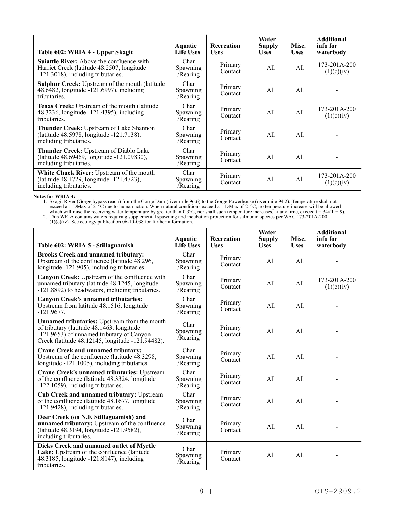| Table 602: WRIA 4 - Upper Skagit                                                                                                     | Aquatic<br><b>Life Uses</b>         | <b>Recreation</b><br><b>Uses</b> | Water<br><b>Supply</b><br><b>Uses</b> | Misc.<br><b>Uses</b> | <b>Additional</b><br>info for<br>waterbody |
|--------------------------------------------------------------------------------------------------------------------------------------|-------------------------------------|----------------------------------|---------------------------------------|----------------------|--------------------------------------------|
| <b>Suiattle River:</b> Above the confluence with<br>Harriet Creek (latitude 48.2507, longitude<br>-121.3018), including tributaries. | Char<br>Spawning<br>/Rearing        | Primary<br>Contact               | All                                   | All                  | 173-201A-200<br>(1)(c)(iv)                 |
| <b>Sulphur Creek:</b> Upstream of the mouth (latitude<br>48.6482, longitude -121.6997), including<br>tributaries.                    | Char<br><b>Spawning</b><br>/Rearing | Primary<br>Contact               | All                                   | All                  |                                            |
| Tenas Creek: Upstream of the mouth (latitude<br>48.3236, longitude -121.4395), including<br>tributaries.                             | Char<br><b>Spawning</b><br>/Rearing | Primary<br>Contact               | All                                   | All                  | 173-201A-200<br>(1)(c)(iv)                 |
| <b>Thunder Creek:</b> Upstream of Lake Shannon<br>(latitude 48.5978, longitude -121.7138),<br>including tributaries.                 | Char<br><b>Spawning</b><br>/Rearing | Primary<br>Contact               | All                                   | All                  |                                            |
| Thunder Creek: Upstream of Diablo Lake<br>(latitude 48.69469, longitude -121.09830),<br>including tributaries.                       | Char<br>Spawning<br>/Rearing        | Primary<br>Contact               | All                                   | All                  |                                            |
| White Chuck River: Upstream of the mouth<br>(latitude 48.1729, longitude -121.4723),<br>including tributaries.                       | Char<br><b>Spawning</b><br>/Rearing | Primary<br>Contact               | All                                   | All                  | 173-201A-200<br>(1)(c)(iv)                 |

### **Notes for WRIA 4:**

1. Skagit River (Gorge bypass reach) from the Gorge Dam (river mile 96.6) to the Gorge Powerhouse (river mile 94.2). Temperature shall not exceed a 1-DMax of 21°C due to human action. When natural conditions exceed a 1-DMax of 21°C, no temperature increase will be allowed which will raise the receiving water temperature by greater than  $0.3^{\circ}\text{C}$ , nor shall such temperature increases, at any time, exceed t =  $34/(T + 9)$ .

| Table 602: WRIA 5 - Stillaguamish                                                                                                                                                                               | <b>Aquatic</b><br><b>Life Uses</b> | <b>Recreation</b><br><b>Uses</b> | Water<br><b>Supply</b><br><b>Uses</b> | Misc.<br><b>Uses</b> | <b>Additional</b><br>info for<br>waterbody |
|-----------------------------------------------------------------------------------------------------------------------------------------------------------------------------------------------------------------|------------------------------------|----------------------------------|---------------------------------------|----------------------|--------------------------------------------|
| <b>Brooks Creek and unnamed tributary:</b><br>Upstream of the confluence (latitude 48.296,<br>longitude -121.905), including tributaries.                                                                       | Char<br>Spawning<br>/Rearing       | Primary<br>Contact               | All                                   | All                  |                                            |
| Canyon Creek: Upstream of the confluence with<br>unnamed tributary (latitude 48.1245, longitude<br>-121.8892) to headwaters, including tributaries.                                                             | Char<br>Spawning<br>/Rearing       | Primary<br>Contact               | All                                   | All                  | 173-201A-200<br>(1)(c)(iv)                 |
| <b>Canyon Creek's unnamed tributaries:</b><br>Upstream from latitude 48.1516, longitude<br>$-121.9677.$                                                                                                         | Char<br>Spawning<br>/Rearing       | Primary<br>Contact               | A11                                   | All                  |                                            |
| <b>Unnamed tributaries:</b> Upstream from the mouth<br>of tributary (latitude $48.1\overline{4}63$ , longitude<br>-121.9653) of unnamed tributary of Canyon<br>Creek (latitude 48.12145, longitude -121.94482). | Char<br>Spawning<br>Rearing        | Primary<br>Contact               | All                                   | A11                  |                                            |
| <b>Crane Creek and unnamed tributary:</b><br>Upstream of the confluence (latitude 48.3298,<br>longitude -121.1005), including tributaries.                                                                      | Char<br>Spawning<br>/Rearing       | Primary<br>Contact               | All                                   | All                  |                                            |
| <b>Crane Creek's unnamed tributaries: Upstream</b><br>of the confluence (latitude 48.3324, longitude<br>-122.1059), including tributaries.                                                                      | Char<br>Spawning<br>/Rearing       | Primary<br>Contact               | All                                   | A11                  |                                            |
| <b>Cub Creek and unnamed tributary: Upstream</b><br>of the confluence (latitude 48.1677, longitude<br>-121.9428), including tributaries.                                                                        | Char<br>Spawning<br>/Rearing       | Primary<br>Contact               | A11                                   | A11                  |                                            |
| Deer Creek (on N.F. Stillaguamish) and<br>unnamed tributary: Upstream of the confluence<br>(latitude 48.3194, longitude -121.9582),<br>including tributaries.                                                   | Char<br>Spawning<br>/Rearing       | Primary<br>Contact               | All                                   | All                  |                                            |
| Dicks Creek and unnamed outlet of Myrtle<br>Lake: Upstream of the confluence (latitude<br>48.3185, longitude -121.8147), including<br>tributaries.                                                              | Char<br>Spawning<br>/Rearing       | Primary<br>Contact               | All                                   | A11                  |                                            |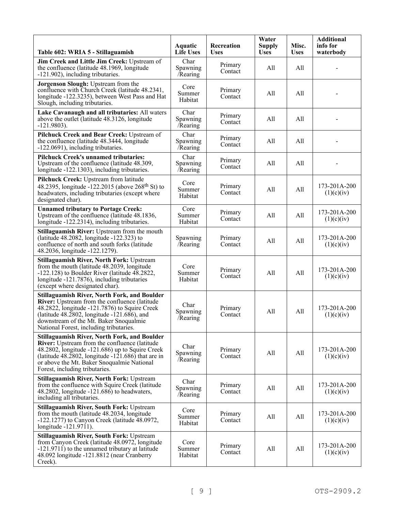| Table 602: WRIA 5 - Stillaguamish                                                                                                                                                                                                                                                                   | <b>Aquatic</b><br><b>Life Uses</b> | <b>Recreation</b><br><b>Uses</b> | Water<br><b>Supply</b><br><b>Uses</b> | Misc.<br><b>Uses</b> | <b>Additional</b><br>info for<br>waterbody |
|-----------------------------------------------------------------------------------------------------------------------------------------------------------------------------------------------------------------------------------------------------------------------------------------------------|------------------------------------|----------------------------------|---------------------------------------|----------------------|--------------------------------------------|
| Jim Creek and Little Jim Creek: Upstream of<br>the confluence (latitude 48.1969, longitude<br>-121.902), including tributaries.                                                                                                                                                                     | Char<br>Spawning<br>/Rearing       | Primary<br>Contact               | All                                   | All                  |                                            |
| Jorgenson Slough: Upstream from the<br>confluence with Church Creek (latitude 48.2341,<br>longitude -122.3235), between West Pass and Hat<br>Slough, including tributaries.                                                                                                                         | Core<br>Summer<br>Habitat          | Primary<br>Contact               | All                                   | All                  |                                            |
| Lake Cavanaugh and all tributaries: All waters<br>above the outlet (latitude 48.3126, longitude<br>$-121.9803$ ).                                                                                                                                                                                   | Char<br>Spawning<br>$/$ Rearing    | Primary<br>Contact               | All                                   | All                  |                                            |
| Pilchuck Creek and Bear Creek: Upstream of<br>the confluence (latitude 48.3444, longitude<br>-122.0691), including tributaries.                                                                                                                                                                     | Char<br>Spawning<br>/Rearing       | Primary<br>Contact               | All                                   | All                  |                                            |
| <b>Pilchuck Creek's unnamed tributaries:</b><br>Upstream of the confluence (latitude 48.309,<br>longitude -122.1303), including tributaries.                                                                                                                                                        | Char<br>Spawning<br>Rearing        | Primary<br>Contact               | All                                   | All                  |                                            |
| Pilchuck Creek: Upstream from latitude<br>48.2395, longitude -122.2015 (above $268^{\text{th}}$ St) to<br>headwaters, including tributaries (except where<br>designated char).                                                                                                                      | Core<br>Summer<br>Habitat          | Primary<br>Contact               | All                                   | All                  | 173-201A-200<br>(1)(c)(iv)                 |
| <b>Unnamed tributary to Portage Creek:</b><br>Upstream of the confluence (latitude 48.1836,<br>longitude -122.2314), including tributaries.                                                                                                                                                         | Core<br>Summer<br>Habitat          | Primary<br>Contact               | All                                   | All                  | 173-201A-200<br>(1)(c)(iv)                 |
| <b>Stillaguamish River:</b> Upstream from the mouth<br>(latitude 48.2082, longitude -122.323) to<br>confluence of north and south forks (latitude<br>48.2036, longitude -122.1279).                                                                                                                 | Spawning<br>Rearing                | Primary<br>Contact               | All                                   | All                  | 173-201A-200<br>(1)(c)(iv)                 |
| <b>Stillaguamish River, North Fork: Upstream</b><br>from the mouth (latitude 48.2039, longitude<br>$-122.128$ ) to Boulder River (latitude 48.2822,<br>longitude -121.7876), including tributaries<br>(except where designated char).                                                               | Core<br>Summer<br>Habitat          | Primary<br>Contact               | All                                   | All                  | 173-201A-200<br>(1)(c)(iv)                 |
| <b>Stillaguamish River, North Fork, and Boulder</b><br>River: Upstream from the confluence (latitude<br>$48.2822$ , longitude $-121.7876$ ) to Squire Creek<br>(latitude 48.2802, longitude -121.686), and<br>downstream of the Mt. Baker Snoqualmie<br>National Forest, including tributaries.     | Char<br>Spawning<br>/Rearing       | Primary<br>Contact               | All                                   | All                  | 173-201A-200<br>(1)(c)(iv)                 |
| <b>Stillaguamish River, North Fork, and Boulder</b><br>River: Upstream from the confluence (latitude<br>48.2802, longitude -121.686) up to Squire Creek<br>(latitude $48.2802$ , longitude $-121.686$ ) that are in<br>or above the Mt. Baker Snoqualmie National<br>Forest, including tributaries. | Char<br>Spawning<br>Rearing        | Primary<br>Contact               | All                                   | All                  | 173-201A-200<br>(1)(c)(iv)                 |
| <b>Stillaguamish River, North Fork: Upstream</b><br>from the confluence with Squire Creek (latitude<br>$48.2802$ , longitude $-121.686$ ) to headwaters,<br>including all tributaries.                                                                                                              | Char<br>Spawning<br>/Rearing       | Primary<br>Contact               | All                                   | All                  | 173-201A-200<br>(1)(c)(iv)                 |
| <b>Stillaguamish River, South Fork: Upstream</b><br>from the mouth (latitude 48.2034, longitude<br>$-122.1277$ ) to Canyon Creek (latitude 48.0972,<br>longitude -121.9711).                                                                                                                        | Core<br>Summer<br>Habitat          | Primary<br>Contact               | All                                   | All                  | 173-201A-200<br>(1)(c)(iv)                 |
| <b>Stillaguamish River, South Fork: Upstream</b><br>from Canyon Creek (latitude 48.0972, longitude<br>-121.9711) to the unnamed tributary at latitude<br>48.092 longitude -121.8812 (near Cranberry<br>Creek).                                                                                      | Core<br>Summer<br>Habitat          | Primary<br>Contact               | All                                   | All                  | 173-201A-200<br>(1)(c)(iv)                 |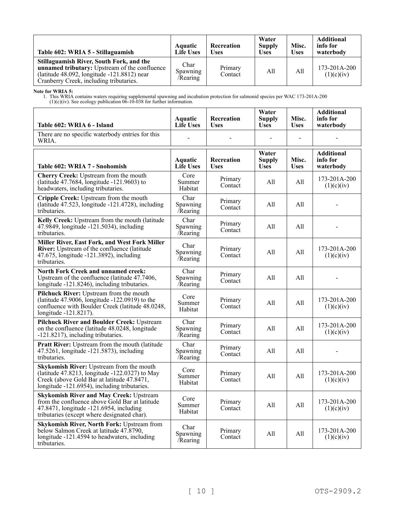| Table 602: WRIA 5 - Stillaguamish                                                                                                                                                                | <b>Aquatic</b><br><b>Life Uses</b> | Recreation<br><b>Uses</b> | Water<br><b>Supply</b><br><b>Uses</b> | Misc.<br><b>Uses</b> | <b>Additional</b><br>info for<br>waterbody |
|--------------------------------------------------------------------------------------------------------------------------------------------------------------------------------------------------|------------------------------------|---------------------------|---------------------------------------|----------------------|--------------------------------------------|
| Stillaguamish River, South Fork, and the<br><b>unnamed tributary:</b> Upstream of the confluence<br>(latitude $48.092$ , longitude $-121.8812$ ) near<br>Cranberry Creek, including tributaries. | Char<br>Spawning<br>/Rearing       | Primary<br>Contact        | A11                                   | All                  | $173 - 201A - 200$<br>(1)(c)(iv)           |

**Note for WRIA 5:**

| Table 602: WRIA 6 - Island                                                                                                                                                                 | Aquatic<br><b>Life Uses</b>        | <b>Recreation</b><br><b>Uses</b> | Water<br><b>Supply</b><br><b>Uses</b> | Misc.<br><b>Uses</b> | <b>Additional</b><br>info for<br>waterbody |
|--------------------------------------------------------------------------------------------------------------------------------------------------------------------------------------------|------------------------------------|----------------------------------|---------------------------------------|----------------------|--------------------------------------------|
| There are no specific waterbody entries for this<br>WRIA.                                                                                                                                  |                                    |                                  |                                       |                      |                                            |
| Table 602: WRIA 7 - Snohomish                                                                                                                                                              | <b>Aquatic</b><br><b>Life Uses</b> | Recreation<br><b>Uses</b>        | Water<br><b>Supply</b><br><b>Uses</b> | Misc.<br><b>Uses</b> | <b>Additional</b><br>info for<br>waterbody |
| Cherry Creek: Upstream from the mouth<br>(latitude 47.7684, longitude -121.9603) to<br>headwaters, including tributaries.                                                                  | Core<br>Summer<br>Habitat          | Primary<br>Contact               | All                                   | All                  | 173-201A-200<br>(1)(c)(iv)                 |
| Cripple Creek: Upstream from the mouth<br>(latitude 47.523, longitude -121.4728), including<br>tributaries.                                                                                | Char<br>Spawning<br>Rearing        | Primary<br>Contact               | All                                   | All                  |                                            |
| Kelly Creek: Upstream from the mouth (latitude<br>47.9849, longitude -121.5034), including<br>tributaries.                                                                                 | Char<br>Spawning<br>Rearing        | Primary<br>Contact               | All                                   | All                  |                                            |
| Miller River, East Fork, and West Fork Miller<br>River: Upstream of the confluence (latitude<br>47.675, longitude -121.3892), including<br>tributaries.                                    | Char<br>Spawning<br>/Rearing       | Primary<br>Contact               | All                                   | All                  | 173-201A-200<br>(1)(c)(iv)                 |
| <b>North Fork Creek and unnamed creek:</b><br>Upstream of the confluence (latitude 47.7406,<br>longitude -121.8246), including tributaries.                                                | Char<br>Spawning<br>/Rearing       | Primary<br>Contact               | All                                   | All                  |                                            |
| Pilchuck River: Upstream from the mouth<br>(latitude $47.9006$ , longitude $-122.0919$ ) to the<br>confluence with Boulder Creek (latitude 48.0248,<br>longitude -121.8217).               | Core<br>Summer<br>Habitat          | Primary<br>Contact               | All                                   | All                  | 173-201A-200<br>(1)(c)(iv)                 |
| <b>Pilchuck River and Boulder Creek: Upstream</b><br>on the confluence (latitude 48.0248, longitude<br>-121.8217), including tributaries.                                                  | Char<br>Spawning<br>/Rearing       | Primary<br>Contact               | All                                   | All                  | 173-201A-200<br>(1)(c)(iv)                 |
| Pratt River: Upstream from the mouth (latitude<br>47.5261, longitude -121.5873), including<br>tributaries.                                                                                 | Char<br>Spawning<br>/Rearing       | Primary<br>Contact               | All                                   | All                  |                                            |
| Skykomish River: Upstream from the mouth<br>(latitude 47.8213, longitude -122.0327) to May<br>Creek (above Gold Bar at latitude 47.8471,<br>longitude -121.6954), including tributaries.   | Core<br>Summer<br>Habitat          | Primary<br>Contact               | All                                   | All                  | 173-201A-200<br>(1)(c)(iv)                 |
| <b>Skykomish River and May Creek: Upstream</b><br>from the confluence above Gold Bar at latitude<br>47.8471, longitude -121.6954, including<br>tributaries (except where designated char). | Core<br>Summer<br>Habitat          | Primary<br>Contact               | All                                   | All                  | 173-201A-200<br>(1)(c)(iv)                 |
| <b>Skykomish River, North Fork: Upstream from</b><br>below Salmon Creek at latitude 47.8790,<br>longitude -121.4594 to headwaters, including<br>tributaries.                               | Char<br>Spawning<br>Rearing        | Primary<br>Contact               | All                                   | All                  | 173-201A-200<br>(1)(c)(iv)                 |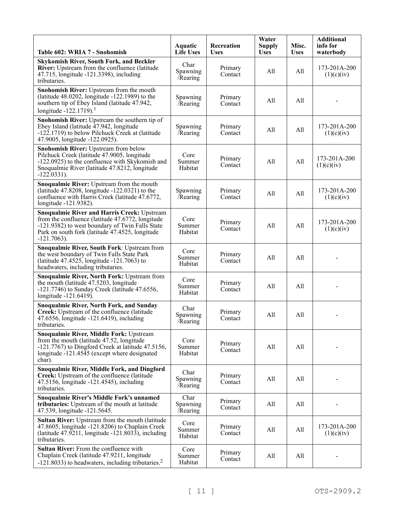| Table 602: WRIA 7 - Snohomish                                                                                                                                                                                                  | Aquatic<br><b>Life Uses</b>  | Recreation<br><b>Uses</b> | Water<br><b>Supply</b><br><b>Uses</b> | Misc.<br><b>Uses</b> | <b>Additional</b><br>info for<br>waterbody |
|--------------------------------------------------------------------------------------------------------------------------------------------------------------------------------------------------------------------------------|------------------------------|---------------------------|---------------------------------------|----------------------|--------------------------------------------|
| <b>Skykomish River, South Fork, and Beckler</b><br><b>River:</b> Upstream from the confluence (latitude)<br>47.715, longitude -121.3398), including<br>tributaries.                                                            | Char<br>Spawning<br>Rearing  | Primary<br>Contact        | All                                   | All                  | 173-201A-200<br>(1)(c)(iv)                 |
| Snohomish River: Upstream from the mouth<br>(latitude $48.0202$ , longitude $-122.1989$ ) to the<br>southern tip of Ebey Island (latitude 47.942,<br>longitude -122.1719). <sup>1</sup>                                        | Spawning<br><b>Rearing</b>   | Primary<br>Contact        | All                                   | All                  |                                            |
| Snohomish River: Upstream the southern tip of<br>Ebey Island (latitude 47.942, longitude<br>-122.1719) to below Pilchuck Creek at (latitude<br>47.9005, longitude -122.0925).                                                  | Spawning<br><b>Rearing</b>   | Primary<br>Contact        | All                                   | All                  | 173-201A-200<br>(1)(c)(iv)                 |
| <b>Snohomish River: Upstream from below</b><br>Pilchuck Creek (latitude 47.9005, longitude<br>-122.0925) to the confluence with Skykomish and<br>Snoqualmie River (latitude 47.8212, longitude<br>$-122.0331$ ).               | Core<br>Summer<br>Habitat    | Primary<br>Contact        | All                                   | All                  | 173-201A-200<br>(1)(c)(iv)                 |
| Snoqualmie River: Upstream from the mouth<br>(latitude $47.8208$ , longitude $-122.0321$ ) to the<br>confluence with Harris Creek (latitude 47.6772,<br>longitude -121.9382).                                                  | Spawning<br><b>Rearing</b>   | Primary<br>Contact        | All                                   | All                  | 173-201A-200<br>(1)(c)(iv)                 |
| <b>Snoqualmie River and Harris Creek: Upstream</b><br>from the confluence (latitude 47.6772, longitude<br>-121.9382) to west boundary of Twin Falls State<br>Park on south fork (latitude 47.4525, longitude<br>$-121.7063$ ). | Core<br>Summer<br>Habitat    | Primary<br>Contact        | All                                   | All                  | 173-201A-200<br>(1)(c)(iv)                 |
| Snoqualmie River, South Fork: Upstream from<br>the west boundary of Twin Falls State Park<br>(latitude 47.4525, longitude -121.7063) to<br>headwaters, including tributaries.                                                  | Core<br>Summer<br>Habitat    | Primary<br>Contact        | All                                   | All                  |                                            |
| Snoqualmie River, North Fork: Upstream from<br>the mouth (latitude 47.5203, longitude<br>$-121.7746$ ) to Sunday Creek (latitude 47.6556,<br>longitude -121.6419).                                                             | Core<br>Summer<br>Habitat    | Primary<br>Contact        | All                                   | All                  |                                            |
| <b>Snoqualmie River, North Fork, and Sunday</b><br>Creek: Upstream of the confluence (latitude<br>47.6556, longitude -121.6419), including<br>tributaries.                                                                     | Char<br>Spawning<br>/Rearing | Primary<br>Contact        | All                                   | All                  |                                            |
| Snoqualmie River, Middle Fork: Upstream<br>from the mouth (latitude 47.52, longitude<br>$-121.7767$ ) to Dingford Creek at latitude 47.5156,<br>longitude -121.4545 (except where designated<br>char).                         | Core<br>Summer<br>Habitat    | Primary<br>Contact        | All                                   | All                  |                                            |
| <b>Snoqualmie River, Middle Fork, and Dingford</b><br>Creek: Upstream of the confluence (latitude<br>47.5156, longitude -121.4545), including<br>tributaries.                                                                  | Char<br>Spawning<br>/Rearing | Primary<br>Contact        | All                                   | All                  |                                            |
| Snoqualmie River's Middle Fork's unnamed<br>tributaries: Upstream of the mouth at latitude<br>47.539, longitude -121.5645.                                                                                                     | Char<br>Spawning<br>/Rearing | Primary<br>Contact        | All                                   | All                  |                                            |
| Sultan River: Upstream from the mouth (latitude<br>47.8605, longitude -121.8206) to Chaplain Creek<br>(latitude $47.9211$ , longitude $-121.8033$ ), including<br>tributaries.                                                 | Core<br>Summer<br>Habitat    | Primary<br>Contact        | All                                   | All                  | 173-201A-200<br>(1)(c)(iv)                 |
| Sultan River: From the confluence with<br>Chaplain Creek (latitude 47.9211, longitude<br>$-121.8033$ ) to headwaters, including tributaries. <sup>2</sup>                                                                      | Core<br>Summer<br>Habitat    | Primary<br>Contact        | All                                   | All                  |                                            |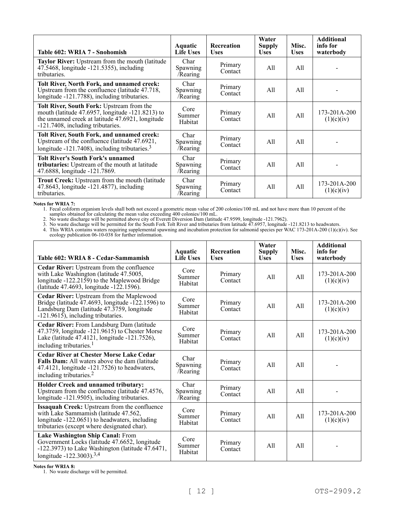| Table 602: WRIA 7 - Snohomish                                                                                                                                                          | <b>Aquatic</b><br><b>Life Uses</b>  | <b>Recreation</b><br><b>Uses</b> | Water<br><b>Supply</b><br><b>Uses</b> | Misc.<br><b>Uses</b> | <b>Additional</b><br>info for<br>waterbody |
|----------------------------------------------------------------------------------------------------------------------------------------------------------------------------------------|-------------------------------------|----------------------------------|---------------------------------------|----------------------|--------------------------------------------|
| Taylor River: Upstream from the mouth (latitude<br>47.5468, longitude -121.5355), including<br>tributaries.                                                                            | Char<br><b>Spawning</b><br>/Rearing | Primary<br>Contact               | All                                   | All                  |                                            |
| Tolt River, North Fork, and unnamed creek:<br>Upstream from the confluence (latitude 47.718,<br>longitude -121.7788), including tributaries.                                           | Char<br><b>Spawning</b><br>/Rearing | Primary<br>Contact               | All                                   | All                  |                                            |
| Tolt River, South Fork: Upstream from the<br>mouth (latitude 47.6957, longitude -121.8213) to<br>the unnamed creek at latitude 47.6921, longitude<br>-121.7408, including tributaries. | Core<br>Summer<br>Habitat           | Primary<br>Contact               | All                                   | All                  | 173-201A-200<br>(1)(c)(iv)                 |
| Tolt River, South Fork, and unnamed creek:<br>Upstream of the confluence (latitude 47.6921,<br>longitude -121.7408), including tributaries. $3$                                        | Char<br><b>Spawning</b><br>/Rearing | Primary<br>Contact               | All                                   | All                  |                                            |
| <b>Tolt River's South Fork's unnamed</b><br>tributaries: Upstream of the mouth at latitude<br>47.6888, longitude -121.7869.                                                            | Char<br>Spawning<br>/Rearing        | Primary<br>Contact               | All                                   | All                  |                                            |
| Trout Creek: Upstream from the mouth (latitude<br>47.8643, longitude -121.4877), including<br>tributaries.                                                                             | Char<br>Spawning<br>/Rearing        | Primary<br>Contact               | All                                   | All                  | 173-201A-200<br>(1)(c)(iv)                 |

### **Notes for WRIA 7:**

1. Fecal coliform organism levels shall both not exceed a geometric mean value of 200 colonies/100 mL and not have more than 10 percent of the samples obtained for calculating the mean value exceeding 400 colonies/100 mL.

2. No waste discharge will be permitted above city of Everett Diversion Dam (latitude 47.9599, longitude -121.7962).

3. No waste discharge will be permitted for the South Fork Tolt River and tributaries from latitude 47.6957, longitude -121.8213 to headwaters.

4. This WRIA contains waters requiring supplemental spawning and incubation protection for salmonid species per WAC 173-201A-200 (1)(c)(iv). See ecology publication 06-10-038 for further information.

| Table 602: WRIA 8 - Cedar-Sammamish                                                                                                                                                                    | Aquatic<br><b>Life Uses</b>  | <b>Recreation</b><br><b>Uses</b> | Water<br><b>Supply</b><br><b>Uses</b> | Misc.<br><b>Uses</b> | <b>Additional</b><br>info for<br>waterbody |
|--------------------------------------------------------------------------------------------------------------------------------------------------------------------------------------------------------|------------------------------|----------------------------------|---------------------------------------|----------------------|--------------------------------------------|
| Cedar River: Upstream from the confluence<br>with Lake Washington (latitude 47.5005,<br>longitude -122.2159) to the Maplewood Bridge<br>(latitude 47.4693, longitude $-122.1596$ ).                    | Core<br>Summer<br>Habitat    | Primary<br>Contact               | A11                                   | A11                  | 173-201A-200<br>(1)(c)(iv)                 |
| <b>Cedar River:</b> Upstream from the Maplewood<br>Bridge (latitude $\overline{47.4693}$ , longitude -122.1596) to<br>Landsburg Dam (latitude 47.3759, longitude<br>-121.9615), including tributaries. | Core<br>Summer<br>Habitat    | Primary<br>Contact               | A11                                   | All                  | 173-201A-200<br>(1)(c)(iv)                 |
| Cedar River: From Landsburg Dam (latitude<br>47.3759, longitude $-121.9615$ to Chester Morse<br>Lake (latitude 47.4121, longitude -121.7526),<br>including tributaries. <sup>1</sup>                   | Core<br>Summer<br>Habitat    | Primary<br>Contact               | A11                                   | A11                  | 173-201A-200<br>(1)(c)(iv)                 |
| <b>Cedar River at Chester Morse Lake Cedar</b><br>Falls Dam: All waters above the dam (latitude<br>47.4121, longitude -121.7526) to headwaters,<br>including tributaries. <sup>2</sup>                 | Char<br>Spawning<br>/Rearing | Primary<br>Contact               | A11                                   | A11                  |                                            |
| <b>Holder Creek and unnamed tributary:</b><br>Upstream from the confluence (latitude 47.4576,<br>longitude -121.9505), including tributaries.                                                          | Char<br>Spawning<br>/Rearing | Primary<br>Contact               | A11                                   | A11                  |                                            |
| Issaquah Creek: Upstream from the confluence<br>with Lake Sammamish (latitude 47.562,<br>longitude -122.0651) to headwaters, including<br>tributaries (except where designated char).                  | Core<br>Summer<br>Habitat    | Primary<br>Contact               | A11                                   | All                  | 173-201A-200<br>(1)(c)(iv)                 |
| Lake Washington Ship Canal: From<br>Government Locks (latitude 47.6652, longitude<br>$-122.3973$ ) to Lake Washington (latitude $\overline{47.6471}$ ,<br>longitude -122.3003). <sup>3,4</sup>         | Core<br>Summer<br>Habitat    | Primary<br>Contact               | A11                                   | A11                  |                                            |

**Notes for WRIA 8:**

1. No waste discharge will be permitted.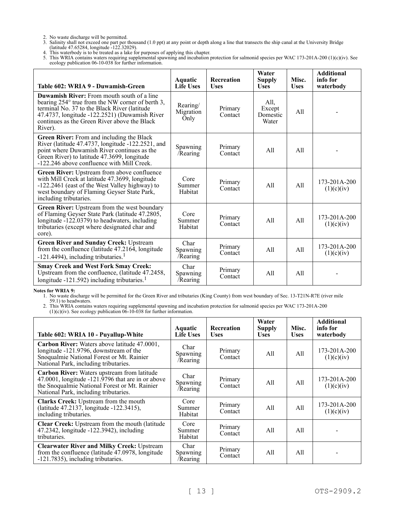- 2. No waste discharge will be permitted.
- 3. Salinity shall not exceed one part per thousand (1.0 ppt) at any point or depth along a line that transects the ship canal at the University Bridge (latitude 47.65284, longitude -122.32029).
- 4. This waterbody is to be treated as a lake for purposes of applying this chapter.
- 5. This WRIA contains waters requiring supplemental spawning and incubation protection for salmonid species per WAC 173-201A-200 (1)(c)(iv). See ecology publication 06-10-038 for further information.

| Table 602: WRIA 9 - Duwamish-Green                                                                                                                                                                                                                                | Aquatic<br>Life Uses          | Recreation<br><b>Uses</b> | Water<br><b>Supply</b><br><b>Uses</b> | Misc.<br><b>Uses</b> | <b>Additional</b><br>info for<br>waterbody |
|-------------------------------------------------------------------------------------------------------------------------------------------------------------------------------------------------------------------------------------------------------------------|-------------------------------|---------------------------|---------------------------------------|----------------------|--------------------------------------------|
| <b>Duwamish River:</b> From mouth south of a line<br>bearing 254° true from the NW corner of berth 3,<br>terminal No. 37 to the Black River (latitude<br>47.4737, longitude -122.2521) (Duwamish River<br>continues as the Green River above the Black<br>River). | Rearing/<br>Migration<br>Only | Primary<br>Contact        | All,<br>Except<br>Domestic<br>Water   | A11                  |                                            |
| Green River: From and including the Black<br>River (latitude 47.4737, longitude -122.2521, and<br>point where Duwamish River continues as the<br>Green River) to latitude 47.3699, longitude<br>-122.246 above confluence with Mill Creek.                        | Spawning<br>/Rearing          | Primary<br>Contact        | A11                                   | All                  |                                            |
| Green River: Upstream from above confluence<br>with Mill Creek at latitude 47.3699, longitude<br>-122.2461 (east of the West Valley highway) to<br>west boundary of Flaming Geyser State Park,<br>including tributaries.                                          | Core<br>Summer<br>Habitat     | Primary<br>Contact        | A11                                   | A11                  | $173 - 201A - 200$<br>(1)(c)(iv)           |
| Green River: Upstream from the west boundary<br>of Flaming Geyser State Park (latitude 47.2805,<br>longitude -122.0379) to headwaters, including<br>tributaries (except where designated char and<br>core).                                                       | Core<br>Summer<br>Habitat     | Primary<br>Contact        | A11                                   | A11                  | $173 - 201A - 200$<br>(1)(c)(iv)           |
| <b>Green River and Sunday Creek: Upstream</b><br>from the confluence (latitude $47.216\overline{4}$ , longitude<br>$-121.4494$ ), including tributaries. <sup>1</sup>                                                                                             | Char<br>Spawning<br>/Rearing  | Primary<br>Contact        | All                                   | All                  | $173 - 201A - 200$<br>(1)(c)(iv)           |
| <b>Smay Creek and West Fork Smay Creek:</b><br>Upstream from the confluence, (latitude 47.2458,<br>longitude $-121.592$ ) including tributaries. <sup>1</sup>                                                                                                     | Char<br>Spawning<br>/Rearing  | Primary<br>Contact        | A11                                   | A11                  |                                            |

**Notes for WRIA 9:**

1. No waste discharge will be permitted for the Green River and tributaries (King County) from west boundary of Sec. 13-T21N-R7E (river mile 59.1) to headwaters.

| Table 602: WRIA 10 - Puyallup-White                                                                                                                                                             | <b>Aquatic</b><br><b>Life Uses</b> | <b>Recreation</b><br><b>Uses</b> | Water<br>Supply<br><b>Uses</b> | Misc.<br><b>Uses</b> | <b>Additional</b><br>info for<br>waterbody |
|-------------------------------------------------------------------------------------------------------------------------------------------------------------------------------------------------|------------------------------------|----------------------------------|--------------------------------|----------------------|--------------------------------------------|
| Carbon River: Waters above latitude 47.0001,<br>longitude -121.9796, downstream of the<br>Snoqualmie National Forest or Mt. Rainier<br>National Park, including tributaries.                    | Char<br>Spawning<br>/Rearing       | Primary<br>Contact               | All                            | All                  | 173-201A-200<br>(1)(c)(iv)                 |
| Carbon River: Waters upstream from latitude<br>$47.0001$ , longitude $-121.9796$ that are in or above<br>the Snoqualmie National Forest or Mt. Rainier<br>National Park, including tributaries. | Char<br>Spawning<br>/Rearing       | Primary<br>Contact               | All                            | All                  | 173-201A-200<br>(1)(c)(iv)                 |
| Clarks Creek: Upstream from the mouth<br>(latitude 47.2137, longitude -122.3415),<br>including tributaries.                                                                                     | Core<br>Summer<br>Habitat          | Primary<br>Contact               | All                            | All                  | 173-201A-200<br>(1)(c)(iv)                 |
| Clear Creek: Upstream from the mouth (latitude<br>47.2342, longitude -122.3942), including<br>tributaries.                                                                                      | Core<br>Summer<br>Habitat          | Primary<br>Contact               | All                            | All                  |                                            |
| <b>Clearwater River and Milky Creek: Upstream</b><br>from the confluence (latitude 47.0978, longitude<br>-121.7835), including tributaries.                                                     | Char<br>Spawning<br>/Rearing       | Primary<br>Contact               | All                            | All                  |                                            |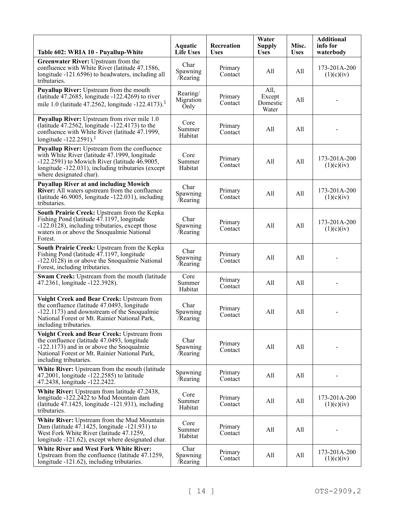| Table 602: WRIA 10 - Puyallup-White                                                                                                                                                                                                | <b>Aquatic</b><br><b>Life Uses</b> | Recreation<br><b>Uses</b> | Water<br><b>Supply</b><br><b>Uses</b> | Misc.<br><b>Uses</b> | <b>Additional</b><br>info for<br>waterbody |
|------------------------------------------------------------------------------------------------------------------------------------------------------------------------------------------------------------------------------------|------------------------------------|---------------------------|---------------------------------------|----------------------|--------------------------------------------|
| Greenwater River: Upstream from the<br>confluence with White River (latitude 47.1586,<br>longitude -121.6596) to headwaters, including all<br>tributaries.                                                                         | Char<br>Spawning<br>Rearing        | Primary<br>Contact        | All                                   | All                  | 173-201A-200<br>(1)(c)(iv)                 |
| <b>Puyallup River:</b> Upstream from the mouth<br>(latitude $47.2685$ , longitude $-122.4269$ ) to river<br>mile 1.0 (latitude 47.2562, longitude -122.4173). <sup>1</sup>                                                         | Rearing/<br>Migration<br>Only      | Primary<br>Contact        | All,<br>Except<br>Domestic<br>Water   | All                  |                                            |
| Puyallup River: Upstream from river mile 1.0<br>(latitude $47.2562$ , longitude $-122.4173$ ) to the<br>confluence with White River (latitude 47.1999,<br>longitude $-122.2591$ ). <sup>1</sup>                                    | Core<br>Summer<br>Habitat          | Primary<br>Contact        | All                                   | All                  |                                            |
| Puyallup River: Upstream from the confluence<br>with White River (latitude 47.1999, longitude<br>$-122.2591$ ) to Mowich River (latitude 46.9005,<br>longitude -122.031), including tributaries (except<br>where designated char). | Core<br>Summer<br>Habitat          | Primary<br>Contact        | All                                   | All                  | 173-201A-200<br>(1)(c)(iv)                 |
| <b>Puyallup River at and including Mowich</b><br>River: All waters upstream from the confluence<br>(latitude 46.9005, longitude -122.031), including<br>tributaries.                                                               | Char<br>Spawning<br>/Rearing       | Primary<br>Contact        | All                                   | All                  | 173-201A-200<br>(1)(c)(iv)                 |
| South Prairie Creek: Upstream from the Kepka<br>Fishing Pond (latitude 47.1197, longitude<br>-122.0128), including tributaries, except those<br>waters in or above the Snoqualmie National<br>Forest.                              | Char<br>Spawning<br>/Rearing       | Primary<br>Contact        | All                                   | All                  | 173-201A-200<br>(1)(c)(iv)                 |
| South Prairie Creek: Upstream from the Kepka<br>Fishing Pond (latitude 47.1197, longitude<br>$-122.0128$ ) in or above the Snoqualmie National<br>Forest, including tributaries.                                                   | Char<br>Spawning<br>/Rearing       | Primary<br>Contact        | All                                   | All                  |                                            |
| Swam Creek: Upstream from the mouth (latitude<br>47.2361, longitude -122.3928).                                                                                                                                                    | Core<br>Summer<br>Habitat          | Primary<br>Contact        | All                                   | All                  |                                            |
| Voight Creek and Bear Creek: Upstream from<br>the confluence (latitude 47.0493, longitude<br>-122.1173) and downstream of the Snoqualmie<br>National Forest or Mt. Rainier National Park,<br>including tributaries.                | Char<br>Spawning<br>/Rearing       | Primary<br>Contact        | All                                   | All                  |                                            |
| Voight Creek and Bear Creek: Upstream from<br>the confluence (latitude 47.0493, longitude<br>-122.1173) and in or above the Snoqualmie<br>National Forest or Mt. Rainier National Park,<br>including tributaries.                  | Char<br>Spawning<br>/Rearing       | Primary<br>Contact        | All                                   | All                  |                                            |
| White River: Upstream from the mouth (latitude<br>47.2001, longitude -122.2585) to latitude<br>47.2438, longitude -122.2422.                                                                                                       | Spawning<br>Rearing                | Primary<br>Contact        | All                                   | All                  |                                            |
| White River: Upstream from latitude 47.2438,<br>longitude -122.2422 to Mud Mountain dam<br>(latitude 47.1425, longitude -121.931), including<br>tributaries.                                                                       | Core<br>Summer<br>Habitat          | Primary<br>Contact        | All                                   | All                  | 173-201A-200<br>(1)(c)(iv)                 |
| White River: Upstream from the Mud Mountain<br>Dam (latitude 47.1425, longitude -121.931) to<br>West Fork White River (latitude 47.1259,<br>longitude -121.62), except where designated char.                                      | Core<br>Summer<br>Habitat          | Primary<br>Contact        | All                                   | All                  |                                            |
| <b>White River and West Fork White River:</b><br>Upstream from the confluence (latitude 47.1259,<br>longitude -121.62), including tributaries.                                                                                     | Char<br>Spawning<br>/Rearing       | Primary<br>Contact        | All                                   | All                  | 173-201A-200<br>(1)(c)(iv)                 |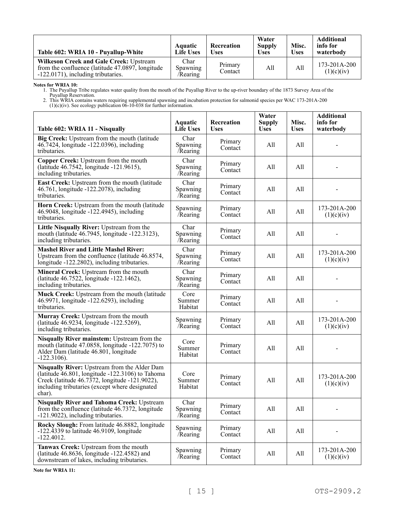| Table 602: WRIA 10 - Puyallup-White                                                                                                      | Aquatic<br><b>Life Uses</b>         | Recreation<br><b>Uses</b> | Water<br><b>Supply</b><br><b>Uses</b> | Misc.<br><b>Uses</b> | <b>Additional</b><br>info for<br>waterbody |
|------------------------------------------------------------------------------------------------------------------------------------------|-------------------------------------|---------------------------|---------------------------------------|----------------------|--------------------------------------------|
| <b>Wilkeson Creek and Gale Creek: Upstream</b><br>from the confluence (latitude 47.0897, longitude<br>-122.0171), including tributaries. | Char<br><b>Spawning</b><br>/Rearing | Primary<br>Contact        | All                                   | All                  | $173 - 201A - 200$<br>(1)(c)(iv)           |

**Notes for WRIA 10:**

1. The Puyallup Tribe regulates water quality from the mouth of the Puyallup River to the up-river boundary of the 1873 Survey Area of the Puyallup Reservation.

2. This WRIA contains waters requiring supplemental spawning and incubation protection for salmonid species per WAC 173-201A-200

 $(1)(c)(iv)$ . See ecology publication  $06-10-038$  for further information.

| Table 602: WRIA 11 - Nisqually                                                                                                                                                                                       | <b>Aquatic</b><br><b>Life Uses</b> | Recreation<br><b>Uses</b> | Water<br><b>Supply</b><br><b>Uses</b> | Misc.<br><b>Uses</b> | <b>Additional</b><br>info for<br>waterbody |
|----------------------------------------------------------------------------------------------------------------------------------------------------------------------------------------------------------------------|------------------------------------|---------------------------|---------------------------------------|----------------------|--------------------------------------------|
| Big Creek: Upstream from the mouth (latitude<br>46.7424, longitude -122.0396), including<br>tributaries.                                                                                                             | Char<br>Spawning<br>Rearing        | Primary<br>Contact        | All                                   | All                  |                                            |
| Copper Creek: Upstream from the mouth<br>(latitude 46.7542, longitude -121.9615),<br>including tributaries.                                                                                                          | Char<br>Spawning<br>/Rearing       | Primary<br>Contact        | All                                   | All                  |                                            |
| East Creek: Upstream from the mouth (latitude<br>46.761, longitude -122.2078), including<br>tributaries.                                                                                                             | Char<br>Spawning<br>/Rearing       | Primary<br>Contact        | All                                   | All                  |                                            |
| Horn Creek: Upstream from the mouth (latitude<br>46.9048, longitude -122.4945), including<br>tributaries.                                                                                                            | Spawning<br>/Rearing               | Primary<br>Contact        | All                                   | All                  | 173-201A-200<br>(1)(c)(iv)                 |
| Little Nisqually River: Upstream from the<br>mouth (latitude 46.7945, longitude -122.3123),<br>including tributaries.                                                                                                | Char<br>Spawning<br>Rearing        | Primary<br>Contact        | All                                   | All                  |                                            |
| <b>Mashel River and Little Mashel River:</b><br>Upstream from the confluence (latitude 46.8574,<br>longitude -122.2802), including tributaries.                                                                      | Char<br>Spawning<br>/Rearing       | Primary<br>Contact        | All                                   | All                  | 173-201A-200<br>(1)(c)(iv)                 |
| Mineral Creek: Upstream from the mouth<br>(latitude 46.7522, longitude -122.1462),<br>including tributaries.                                                                                                         | Char<br>Spawning<br>/Rearing       | Primary<br>Contact        | All                                   | All                  |                                            |
| Muck Creek: Upstream from the mouth (latitude<br>46.9971, longitude -122.6293), including<br>tributaries.                                                                                                            | Core<br>Summer<br>Habitat          | Primary<br>Contact        | All                                   | All                  |                                            |
| Murray Creek: Upstream from the mouth<br>(latitude 46.9234, longitude -122.5269),<br>including tributaries.                                                                                                          | Spawning<br>Rearing                | Primary<br>Contact        | All                                   | All                  | 173-201A-200<br>(1)(c)(iv)                 |
| Nisqually River mainstem: Upstream from the<br>mouth (latitude 47.0858, longitude -122.7075) to<br>Alder Dam (latitude 46.801, longitude<br>$-122.3106$ ).                                                           | Core<br>Summer<br>Habitat          | Primary<br>Contact        | All                                   | All                  |                                            |
| Nisqually River: Upstream from the Alder Dam<br>(latitude $46.801$ , longitude $-122.3106$ ) to Tahoma<br>Creek (latitude 46.7372, longitude -121.9022),<br>including tributaries (except where designated<br>char). | Core<br>Summer<br>Habitat          | Primary<br>Contact        | All                                   | All                  | 173-201A-200<br>(1)(c)(iv)                 |
| <b>Nisqually River and Tahoma Creek: Upstream</b><br>from the confluence (latitude 46.7372, longitude<br>-121.9022), including tributaries.                                                                          | Char<br>Spawning<br>/Rearing       | Primary<br>Contact        | All                                   | All                  |                                            |
| Rocky Slough: From latitude 46.8882, longitude<br>$-122.4339$ to latitude 46.9109, longitude<br>$-122.4012.$                                                                                                         | Spawning<br>Rearing                | Primary<br>Contact        | All                                   | All                  |                                            |
| Tanwax Creek: Upstream from the mouth<br>(latitude 46.8636, longitude -122.4582) and<br>downstream of lakes, including tributaries.                                                                                  | Spawning<br>Rearing                | Primary<br>Contact        | All                                   | All                  | 173-201A-200<br>(1)(c)(iv)                 |

**Note for WRIA 11:**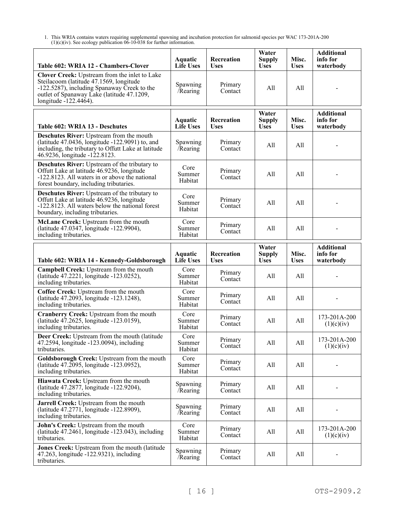| Table 602: WRIA 12 - Chambers-Clover                                                                                                                                                                             | Aquatic<br><b>Life Uses</b>        | Recreation<br><b>Uses</b> | Water<br><b>Supply</b><br><b>Uses</b> | Misc.<br><b>Uses</b> | <b>Additional</b><br>info for<br>waterbody |
|------------------------------------------------------------------------------------------------------------------------------------------------------------------------------------------------------------------|------------------------------------|---------------------------|---------------------------------------|----------------------|--------------------------------------------|
| Clover Creek: Upstream from the inlet to Lake<br>Steilacoom (latitude 47.1569, longitude<br>$-122.5287$ , including Spanaway Creek to the<br>outlet of Spanaway Lake (latitude 47.1209,<br>longitude -122.4464). | Spawning<br>/Rearing               | Primary<br>Contact        | All                                   | All                  |                                            |
| Table 602: WRIA 13 - Deschutes                                                                                                                                                                                   | Aquatic<br><b>Life Uses</b>        | Recreation<br><b>Uses</b> | Water<br><b>Supply</b><br><b>Uses</b> | Misc.<br><b>Uses</b> | <b>Additional</b><br>info for<br>waterbody |
| Deschutes River: Upstream from the mouth<br>(latitude 47.0436, longitude -122.9091) to, and<br>including, the tributary to Offutt Lake at latitude<br>46.9236, longitude -122.8123.                              | Spawning<br>/Rearing               | Primary<br>Contact        | All                                   | All                  |                                            |
| <b>Deschutes River:</b> Upstream of the tributary to<br>Offutt Lake at latitude 46.9236, longitude<br>-122.8123. All waters in or above the national<br>forest boundary, including tributaries.                  | Core<br>Summer<br>Habitat          | Primary<br>Contact        | All                                   | All                  |                                            |
| <b>Deschutes River:</b> Upstream of the tributary to<br>Offutt Lake at latitude 46.9236, longitude<br>-122.8123. All waters below the national forest<br>boundary, including tributaries.                        | Core<br>Summer<br>Habitat          | Primary<br>Contact        | All                                   | All                  |                                            |
| McLane Creek: Upstream from the mouth<br>(latitude 47.0347, longitude -122.9904),<br>including tributaries.                                                                                                      | Core<br>Summer<br>Habitat          | Primary<br>Contact        | All                                   | All                  |                                            |
| Table 602: WRIA 14 - Kennedy-Goldsborough                                                                                                                                                                        | <b>Aquatic</b><br><b>Life Uses</b> | Recreation<br><b>Uses</b> | Water<br><b>Supply</b><br><b>Uses</b> | Misc.<br><b>Uses</b> | <b>Additional</b><br>info for<br>waterbody |
| Campbell Creek: Upstream from the mouth<br>(latitude 47.2221, longitude -123.0252),<br>including tributaries.                                                                                                    | Core<br>Summer<br>Habitat          | Primary<br>Contact        | All                                   | All                  |                                            |
| Coffee Creek: Upstream from the mouth<br>(latitude 47.2093, longitude -123.1248),<br>including tributaries.                                                                                                      | Core<br>Summer<br>Habitat          | Primary<br>Contact        | All                                   | All                  |                                            |
| Cranberry Creek: Upstream from the mouth<br>(latitude 47.2625, longitude -123.0159),<br>including tributaries.                                                                                                   | Core<br>Summer<br>Habitat          | Primary<br>Contact        | All                                   | All                  | 173-201A-200<br>(1)(c)(iv)                 |
| Deer Creek: Upstream from the mouth (latitude<br>47.2594, longitude -123.0094), including<br>tributaries.                                                                                                        | Core<br>Summer<br>Habitat          | Primary<br>Contact        | All                                   | All                  | 173-201A-200<br>(1)(c)(iv)                 |
| Goldsborough Creek: Upstream from the mouth<br>(latitude 47.2095, longitude -123.0952),<br>including tributaries.                                                                                                | Core<br>Summer<br>Habitat          | Primary<br>Contact        | All                                   | All                  |                                            |
| Hiawata Creek: Upstream from the mouth<br>(latitude 47.2877, longitude -122.9204),<br>including tributaries.                                                                                                     | Spawning<br>/Rearing               | Primary<br>Contact        | All                                   | All                  |                                            |
| Jarrell Creek: Upstream from the mouth<br>(latitude 47.2771, longitude -122.8909),<br>including tributaries.                                                                                                     | Spawning<br>/Rearing               | Primary<br>Contact        | All                                   | All                  |                                            |
| John's Creek: Upstream from the mouth<br>(latitude $47.2461$ , longitude $-123.043$ ), including<br>tributaries.                                                                                                 | Core<br>Summer<br>Habitat          | Primary<br>Contact        | All                                   | All                  | 173-201A-200<br>(1)(c)(iv)                 |
| Jones Creek: Upstream from the mouth (latitude<br>47.263, longitude -122.9321), including<br>tributaries.                                                                                                        | Spawning<br>/Rearing               | Primary<br>Contact        | All                                   | All                  |                                            |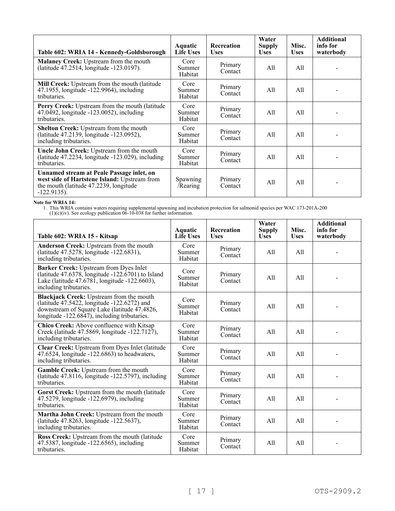| Table 602: WRIA 14 - Kennedy-Goldsborough                                                                                                             | Aquatic<br><b>Life Uses</b> | <b>Recreation</b><br><b>Uses</b> | Water<br><b>Supply</b><br><b>Uses</b> | Misc.<br><b>Uses</b> | <b>Additional</b><br>info for<br>waterbody |
|-------------------------------------------------------------------------------------------------------------------------------------------------------|-----------------------------|----------------------------------|---------------------------------------|----------------------|--------------------------------------------|
| Malaney Creek: Upstream from the mouth<br>(latitude 47.2514, longitude -123.0197).                                                                    | Core<br>Summer<br>Habitat   | Primary<br>Contact               | All                                   | All                  |                                            |
| Mill Creek: Upstream from the mouth (latitude<br>47.1955, longitude -122.9964), including<br>tributaries.                                             | Core<br>Summer<br>Habitat   | Primary<br>Contact               | All                                   | All                  |                                            |
| Perry Creek: Upstream from the mouth (latitude<br>47.0492, longitude -123.0052), including<br>tributaries.                                            | Core<br>Summer<br>Habitat   | Primary<br>Contact               | All                                   | All                  |                                            |
| <b>Shelton Creek:</b> Upstream from the mouth<br>(latitude 47.2139, longitude -123.0952),<br>including tributaries.                                   | Core<br>Summer<br>Habitat   | Primary<br>Contact               | All                                   | All                  |                                            |
| Uncle John Creek: Upstream from the mouth<br>(latitude $47.2234$ , longitude $-123.029$ ), including<br>tributaries.                                  | Core<br>Summer<br>Habitat   | Primary<br>Contact               | All                                   | All                  |                                            |
| Unnamed stream at Peale Passage inlet, on<br>west side of Hartstene Island: Upstream from<br>the mouth (latitude 47.2239, longitude<br>$-122.9135$ ). | Spawning<br>/Rearing        | Primary<br>Contact               | All                                   | All                  |                                            |

**Note for WRIA 14:**

| Table 602: WRIA 15 - Kitsap                                                                                                                                                                    | <b>Aquatic</b><br><b>Life Uses</b> | <b>Recreation</b><br><b>Uses</b> | Water<br><b>Supply</b><br><b>Uses</b> | Misc.<br><b>Uses</b> | <b>Additional</b><br>info for<br>waterbody |
|------------------------------------------------------------------------------------------------------------------------------------------------------------------------------------------------|------------------------------------|----------------------------------|---------------------------------------|----------------------|--------------------------------------------|
| Anderson Creek: Upstream from the mouth<br>(latitude 47.5278, longitude -122.6831),<br>including tributaries.                                                                                  | Core<br>Summer<br>Habitat          | Primary<br>Contact               | All                                   | All                  |                                            |
| Barker Creek: Upstream from Dyes Inlet<br>(latitude $47.6378$ , longitude $-122.6701$ ) to Island<br>Lake (latitude 47.6781, longitude -122.6603),<br>including tributaries.                   | Core<br>Summer<br>Habitat          | Primary<br>Contact               | All                                   | A11                  |                                            |
| <b>Blackjack Creek:</b> Upstream from the mouth<br>(latitude 47.5422, longitude -122.6272) and<br>downstream of Square Lake (latitude 47.4826,<br>longitude -122.6847), including tributaries. | Core<br>Summer<br>Habitat          | Primary<br>Contact               | All                                   | A11                  |                                            |
| Chico Creek: Above confluence with Kitsap<br>Creek (latitude 47.5869, longitude -122.7127),<br>including tributaries.                                                                          | Core<br>Summer<br>Habitat          | Primary<br>Contact               | All                                   | A11                  |                                            |
| Clear Creek: Upstream from Dyes Inlet (latitude<br>47.6524, longitude -122.6863) to headwaters,<br>including tributaries.                                                                      | Core<br>Summer<br>Habitat          | Primary<br>Contact               | All                                   | A11                  |                                            |
| Gamble Creek: Upstream from the mouth<br>(latitude $47.8116$ , longitude $-122.5797$ ), including<br>tributaries.                                                                              | Core<br>Summer<br>Habitat          | Primary<br>Contact               | All                                   | A11                  |                                            |
| Gorst Creek: Upstream from the mouth (latitude<br>47.5279, longitude -122.6979), including<br>tributaries.                                                                                     | Core<br>Summer<br>Habitat          | Primary<br>Contact               | A11                                   | A11                  |                                            |
| Martha John Creek: Upstream from the mouth<br>(latitude 47.8263, longitude -122.5637),<br>including tributaries.                                                                               | Core<br>Summer<br>Habitat          | Primary<br>Contact               | All                                   | A11                  |                                            |
| Ross Creek: Upstream from the mouth (latitude<br>47.5387, longitude -122.6565), including<br>tributaries.                                                                                      | Core<br>Summer<br>Habitat          | Primary<br>Contact               | A11                                   | All                  |                                            |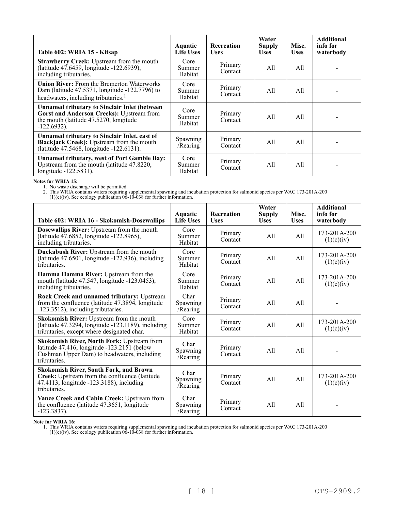| Table 602: WRIA 15 - Kitsap                                                                                                                                   | <b>Aquatic</b><br><b>Life Uses</b> | <b>Recreation</b><br><b>Uses</b> | Water<br><b>Supply</b><br><b>Uses</b> | Misc.<br><b>Uses</b> | <b>Additional</b><br>info for<br>waterbody |
|---------------------------------------------------------------------------------------------------------------------------------------------------------------|------------------------------------|----------------------------------|---------------------------------------|----------------------|--------------------------------------------|
| Strawberry Creek: Upstream from the mouth<br>(latitude 47.6459, longitude -122.6939),<br>including tributaries.                                               | Core<br>Summer<br>Habitat          | Primary<br>Contact               | All                                   | All                  |                                            |
| <b>Union River:</b> From the Bremerton Waterworks<br>Dam (latitude 47.5371, longitude -122.7796) to<br>headwaters, including tributaries. <sup>1</sup>        | Core<br>Summer<br>Habitat          | Primary<br>Contact               | All                                   | All                  |                                            |
| <b>Unnamed tributary to Sinclair Inlet (between)</b><br>Gorst and Anderson Creeks): Upstream from<br>the mouth (latitude 47.5270, longitude<br>$-122.6932$ ). | Core<br>Summer<br>Habitat          | Primary<br>Contact               | All                                   | All                  |                                            |
| Unnamed tributary to Sinclair Inlet, east of<br>Blackjack Creek): Upstream from the mouth<br>(latitude 47.5468, longitude -122.6131).                         | Spawning<br>/Rearing               | Primary<br>Contact               | All                                   | All                  |                                            |
| <b>Unnamed tributary, west of Port Gamble Bay:</b><br>Upstream from the mouth (latitude 47.8220,<br>longitude -122.5831).                                     | Core<br>Summer<br>Habitat          | Primary<br>Contact               | All                                   | All                  |                                            |

### **Notes for WRIA 15:**

1. No waste discharge will be permitted.

2. This WRIA contains waters requiring supplemental spawning and incubation protection for salmonid species per WAC 173-201A-200  $(1)(c)(iv)$ . See ecology publication  $06-10-038$  for further information.

| Table 602: WRIA 16 - Skokomish-Dosewallips                                                                                                                           | Aquatic<br><b>Life Uses</b>  | Recreation<br><b>Uses</b> | Water<br><b>Supply</b><br><b>Uses</b> | Misc.<br><b>Uses</b> | <b>Additional</b><br>info for<br>waterbody |
|----------------------------------------------------------------------------------------------------------------------------------------------------------------------|------------------------------|---------------------------|---------------------------------------|----------------------|--------------------------------------------|
| <b>Dosewallips River:</b> Upstream from the mouth<br>(latitude 47.6852, longitude -122.8965),<br>including tributaries.                                              | Core<br>Summer<br>Habitat    | Primary<br>Contact        | All                                   | All                  | 173-201A-200<br>(1)(c)(iv)                 |
| Duckabush River: Upstream from the mouth<br>(latitude 47.6501, longitude -122.936), including<br>tributaries.                                                        | Core<br>Summer<br>Habitat    | Primary<br>Contact        | All                                   | All                  | 173-201A-200<br>(1)(c)(iv)                 |
| Hamma Hamma River: Upstream from the<br>mouth (latitude 47.547, longitude -123.0453),<br>including tributaries.                                                      | Core<br>Summer<br>Habitat    | Primary<br>Contact        | All                                   | All                  | 173-201A-200<br>(1)(c)(iv)                 |
| Rock Creek and unnamed tributary: Upstream<br>from the confluence (latitude 47.3894, longitude<br>-123.3512), including tributaries.                                 | Char<br>Spawning<br>/Rearing | Primary<br>Contact        | A11                                   | All                  |                                            |
| Skokomish River: Upstream from the mouth<br>(latitude 47.3294, longitude -123.1189), including<br>tributaries, except where designated char.                         | Core<br>Summer<br>Habitat    | Primary<br>Contact        | All                                   | All                  | 173-201A-200<br>(1)(c)(iv)                 |
| <b>Skokomish River, North Fork: Upstream from</b><br>latitude $47.416$ , longitude $-123.2151$ (below<br>Cushman Upper Dam) to headwaters, including<br>tributaries. | Char<br>Spawning<br>/Rearing | Primary<br>Contact        | All                                   | All                  |                                            |
| <b>Skokomish River, South Fork, and Brown</b><br>Creek: Upstream from the confluence (latitude<br>47.4113, longitude -123.3188), including<br>tributaries.           | Char<br>Spawning<br>/Rearing | Primary<br>Contact        | All                                   | All                  | $173 - 201A - 200$<br>(1)(c)(iv)           |
| Vance Creek and Cabin Creek: Upstream from<br>the confluence (latitude 47.3651, longitude<br>$-123.3837$ ).                                                          | Char<br>Spawning<br>/Rearing | Primary<br>Contact        | A11                                   | A11                  |                                            |

#### **Note for WRIA 16:**

1. This WRIA contains waters requiring supplemental spawning and incubation protection for salmonid species per WAC 173-201A-200

 $(1)(c)(iv)$ . See ecology publication  $06-10-038$  for further information.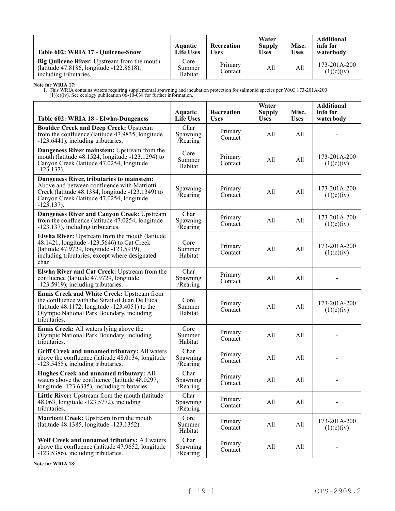| Table 602: WRIA 17 - Ouilcene-Snow                                                                                       | Aquatic<br><b>Life Uses</b> | <b>Recreation</b><br>Uses | Water<br><b>Supply</b><br><b>Uses</b> | Misc.<br><b>Uses</b> | <b>Additional</b><br>info for<br>waterbody |
|--------------------------------------------------------------------------------------------------------------------------|-----------------------------|---------------------------|---------------------------------------|----------------------|--------------------------------------------|
| <b>Big Quilcene River:</b> Upstream from the mouth<br>(latitude 47.8186, longitude -122.8618),<br>including tributaries. | Core<br>Summer<br>Habitat   | Primary<br>Contact        | All                                   | All                  | $173 - 201A - 200$<br>(1)(c)(iv)           |

**Note for WRIA 17:**

1. This WRIA contains waters requiring supplemental spawning and incubation protection for salmonid species per WAC 173-201A-200  $(1)(c)(iv)$ . See ecology publication  $06-10-038$  for further information.

| Table 602: WRIA 18 - Elwha-Dungeness                                                                                                                                                                              | <b>Aquatic</b><br><b>Life Uses</b> | <b>Recreation</b><br><b>Uses</b> | Water<br><b>Supply</b><br><b>Uses</b> | Misc.<br><b>Uses</b> | <b>Additional</b><br>info for<br>waterbody |
|-------------------------------------------------------------------------------------------------------------------------------------------------------------------------------------------------------------------|------------------------------------|----------------------------------|---------------------------------------|----------------------|--------------------------------------------|
| <b>Boulder Creek and Deep Creek: Upstream</b><br>from the confluence (latitude 47.9835, longitude<br>-123.6441), including tributaries.                                                                           | Char<br>Spawning<br>Rearing        | Primary<br>Contact               | All                                   | All                  |                                            |
| Dungeness River mainstem: Upstream from the<br>mouth (latitude 48.1524, longitude -123.1294) to<br>Canyon Creek (latitude 47.0254, longitude<br>$-123.137$ ).                                                     | Core<br>Summer<br>Habitat          | Primary<br>Contact               | All                                   | All                  | 173-201A-200<br>(1)(c)(iv)                 |
| Dungeness River, tributaries to mainstem:<br>Above and between confluence with Matriotti<br>Creek (latitude 48.1384, longitude -123.1349) to<br>Canyon Creek (latitude 47.0254, longitude<br>$-123.137$ ).        | Spawning<br>/Rearing               | Primary<br>Contact               | All                                   | All                  | 173-201A-200<br>(1)(c)(iv)                 |
| <b>Dungeness River and Canyon Creek: Upstream</b><br>from the confluence (latitude 47.0254, longitude<br>-123.137), including tributaries.                                                                        | Char<br>Spawning<br>/Rearing       | Primary<br>Contact               | All                                   | All                  | 173-201A-200<br>(1)(c)(iv)                 |
| Elwha River: Upstream from the mouth (latitude<br>48.1421, longitude -123.5646) to Cat Creek<br>(latitude 47.9729, longitude -123.5919),<br>including tributaries, except where designated<br>char.               | Core<br>Summer<br>Habitat          | Primary<br>Contact               | All                                   | All                  | 173-201A-200<br>(1)(c)(iv)                 |
| Elwha River and Cat Creek: Upstream from the<br>confluence (latitude 47.9729, longitude<br>-123.5919), including tributaries.                                                                                     | Char<br>Spawning<br>Rearing        | Primary<br>Contact               | All                                   | All                  |                                            |
| Ennis Creek and White Creek: Upstream from<br>the confluence with the Strait of Juan De Fuca<br>(latitude $48.1172$ , longitude $-123.4051$ ) to the<br>Olympic National Park Boundary, including<br>tributaries. | Core<br>Summer<br>Habitat          | Primary<br>Contact               | All                                   | All                  | 173-201A-200<br>(1)(c)(iv)                 |
| <b>Ennis Creek:</b> All waters lying above the<br>Olympic National Park Boundary, including<br>tributaries.                                                                                                       | Core<br>Summer<br>Habitat          | Primary<br>Contact               | All                                   | All                  |                                            |
| Griff Creek and unnamed tributary: All waters<br>above the confluence (latitude 48.0134, longitude<br>-123.5455), including tributaries.                                                                          | Char<br>Spawning<br>/Rearing       | Primary<br>Contact               | All                                   | All                  |                                            |
| Hughes Creek and unnamed tributary: All<br>waters above the confluence (latitude 48.0297,<br>longitude -123.6335), including tributaries.                                                                         | Char<br>Spawning<br>/Rearing       | Primary<br>Contact               | All                                   | All                  |                                            |
| Little River: Upstream from the mouth (latitude<br>48.063, longitude -123.5772), including<br>tributaries.                                                                                                        | Char<br>Spawning<br>/Rearing       | Primary<br>Contact               | All                                   | All                  |                                            |
| Matriotti Creek: Upstream from the mouth<br>(latitude 48.1385, longitude -123.1352).                                                                                                                              | Core<br>Summer<br>Habitat          | Primary<br>Contact               | All                                   | All                  | 173-201A-200<br>(1)(c)(iv)                 |
| Wolf Creek and unnamed tributary: All waters<br>above the confluence (latitude 47.9652, longitude<br>-123.5386), including tributaries.                                                                           | Char<br>Spawning<br>/Rearing       | Primary<br>Contact               | All                                   | All                  |                                            |

**Note for WRIA 18:**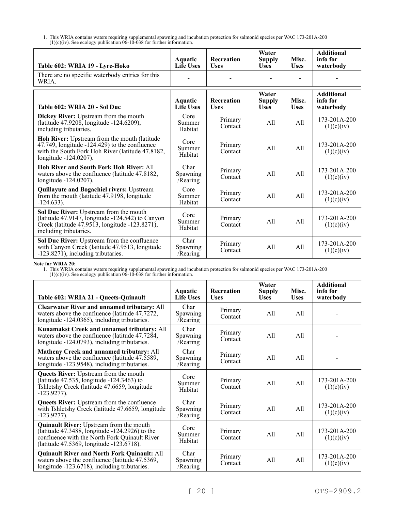1. This WRIA contains waters requiring supplemental spawning and incubation protection for salmonid species per WAC 173-201A-200  $(1)(c)(iv)$ . See ecology publication  $0\bar{6}$ -10-038 for further information.

| Table 602: WRIA 19 - Lyre-Hoko                                                                                                                                               | Aquatic<br><b>Life Uses</b>  | <b>Recreation</b><br><b>Uses</b> | Water<br><b>Supply</b><br><b>Uses</b> | Misc.<br><b>Uses</b> | <b>Additional</b><br>info for<br>waterbody |
|------------------------------------------------------------------------------------------------------------------------------------------------------------------------------|------------------------------|----------------------------------|---------------------------------------|----------------------|--------------------------------------------|
| There are no specific waterbody entries for this<br>WRIA.                                                                                                                    |                              |                                  |                                       |                      |                                            |
| Table 602: WRIA 20 - Sol Duc                                                                                                                                                 | Aquatic<br><b>Life Uses</b>  | <b>Recreation</b><br><b>Uses</b> | Water<br><b>Supply</b><br><b>Uses</b> | Misc.<br><b>Uses</b> | <b>Additional</b><br>info for<br>waterbody |
| Dickey River: Upstream from the mouth<br>(latitude 47.9208, longitude -124.6209),<br>including tributaries.                                                                  | Core<br>Summer<br>Habitat    | Primary<br>Contact               | All                                   | A11                  | 173-201A-200<br>(1)(c)(iv)                 |
| Hoh River: Upstream from the mouth (latitude<br>47.749, longitude -124.429) to the confluence<br>with the South Fork Hoh River (latitude 47.8182,<br>longitude -124.0207).   | Core<br>Summer<br>Habitat    | Primary<br>Contact               | All                                   | A11                  | $173 - 201A - 200$<br>(1)(c)(iv)           |
| Hoh River and South Fork Hoh River: All<br>waters above the confluence (latitude 47.8182,<br>longitude -124.0207).                                                           | Char<br>Spawning<br>/Rearing | Primary<br>Contact               | A11                                   | A11                  | 173-201A-200<br>(1)(c)(iv)                 |
| <b>Quillayute and Bogachiel rivers: Upstream</b><br>from the mouth (latitude 47.9198, longitude<br>$-124.633$ ).                                                             | Core<br>Summer<br>Habitat    | Primary<br>Contact               | A11                                   | A11                  | 173-201A-200<br>(1)(c)(iv)                 |
| Sol Duc River: Upstream from the mouth<br>(latitude $47.9147$ , longitude $-124.542$ ) to Canyon<br>Creek (latitude 47.9513, longitude -123.8271),<br>including tributaries. | Core<br>Summer<br>Habitat    | Primary<br>Contact               | All                                   | A11                  | 173-201A-200<br>(1)(c)(iv)                 |
| Sol Duc River: Upstream from the confluence<br>with Canyon Creek (latitude 47.9513, longitude<br>-123.8271), including tributaries.                                          | Char<br>Spawning<br>/Rearing | Primary<br>Contact               | A11                                   | A11                  | 173-201A-200<br>(1)(c)(iv)                 |

**Note for WRIA 20:**

| Table 602: WRIA 21 - Queets-Quinault                                                                                                                                                         | Aquatic<br><b>Life Uses</b>  | <b>Recreation</b><br><b>Uses</b> | Water<br><b>Supply</b><br><b>Uses</b> | Misc.<br><b>Uses</b> | <b>Additional</b><br>info for<br>waterbody |
|----------------------------------------------------------------------------------------------------------------------------------------------------------------------------------------------|------------------------------|----------------------------------|---------------------------------------|----------------------|--------------------------------------------|
| <b>Clearwater River and unnamed tributary: All</b><br>waters above the confluence (latitude 47.7272,<br>longitude -124.0365), including tributaries.                                         | Char<br>Spawning<br>/Rearing | Primary<br>Contact               | All                                   | All                  |                                            |
| Kunamakst Creek and unnamed tributary: All<br>waters above the confluence (latitude 47.7284,<br>longitude -124.0793), including tributaries.                                                 | Char<br>Spawning<br>/Rearing | Primary<br>Contact               | All                                   | A11                  |                                            |
| <b>Matheny Creek and unnamed tributary: All</b><br>waters above the confluence (latitude 47.5589,<br>longitude -123.9548), including tributaries.                                            | Char<br>Spawning<br>/Rearing | Primary<br>Contact               | All                                   | All                  |                                            |
| <b>Queets River:</b> Upstream from the mouth<br>(latitude 47.535, longitude -124.3463) to<br>Tshletshy Creek (latitude 47.6659, longitude<br>$-123.9277$ ).                                  | Core<br>Summer<br>Habitat    | Primary<br>Contact               | All                                   | All                  | 173-201A-200<br>(1)(c)(iv)                 |
| <b>Queets River:</b> Upstream from the confluence<br>with Tshletshy Creek (latitude 47.6659, longitude<br>$-123.9277$ ).                                                                     | Char<br>Spawning<br>/Rearing | Primary<br>Contact               | All                                   | All                  | 173-201A-200<br>(1)(c)(iv)                 |
| Quinault River: Upstream from the mouth<br>(latitude $47.3488$ , longitude $-124.2926$ ) to the<br>confluence with the North Fork Quinault River<br>(latitude 47.5369, longitude -123.6718). | Core<br>Summer<br>Habitat    | Primary<br>Contact               | All                                   | All                  | 173-201A-200<br>(1)(c)(iv)                 |
| <b>Quinault River and North Fork Quinault: All</b><br>waters above the confluence (latitude 47.5369,<br>longitude -123.6718), including tributaries.                                         | Char<br>Spawning<br>/Rearing | Primary<br>Contact               | All                                   | All                  | 173-201A-200<br>(1)(c)(iv)                 |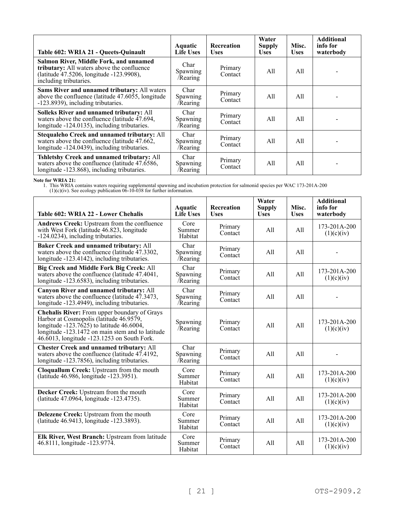| Table 602: WRIA 21 - Queets-Quinault                                                                                                                       | Aquatic<br><b>Life Uses</b>  | <b>Recreation</b><br><b>Uses</b> | Water<br>Supply<br><b>Uses</b> | Misc.<br><b>Uses</b> | <b>Additional</b><br>info for<br>waterbody |
|------------------------------------------------------------------------------------------------------------------------------------------------------------|------------------------------|----------------------------------|--------------------------------|----------------------|--------------------------------------------|
| Salmon River, Middle Fork, and unnamed<br>tributary: All waters above the confluence<br>(latitude 47.5206, longitude -123.9908),<br>including tributaries. | Char<br>Spawning<br>/Rearing | Primary<br>Contact               | All                            | All                  |                                            |
| Sams River and unnamed tributary: All waters<br>above the confluence (latitude $47.6055$ , longitude<br>-123.8939), including tributaries.                 | Char<br>Spawning<br>/Rearing | Primary<br>Contact               | All                            | All                  |                                            |
| Solleks River and unnamed tributary: All<br>waters above the confluence (latitude $47.694$ ,<br>longitude -124.0135), including tributaries.               | Char<br>Spawning<br>/Rearing | Primary<br>Contact               | All                            | All                  |                                            |
| Stequaleho Creek and unnamed tributary: All<br>waters above the confluence (latitude 47.662,<br>longitude -124.0439), including tributaries.               | Char<br>Spawning<br>/Rearing | Primary<br>Contact               | All                            | All                  |                                            |
| Tshletshy Creek and unnamed tributary: All<br>waters above the confluence (latitude $47.\overline{6}586$ ,<br>longitude -123.868), including tributaries.  | Char<br>Spawning<br>/Rearing | Primary<br>Contact               | All                            | All                  |                                            |

**Note for WRIA 21:**

| Table 602: WRIA 22 - Lower Chehalis                                                                                                                                                                                                      | <b>Aquatic</b><br><b>Life Uses</b> | <b>Recreation</b><br><b>Uses</b> | Water<br><b>Supply</b><br><b>Uses</b> | Misc.<br><b>Uses</b> | <b>Additional</b><br>info for<br>waterbody |
|------------------------------------------------------------------------------------------------------------------------------------------------------------------------------------------------------------------------------------------|------------------------------------|----------------------------------|---------------------------------------|----------------------|--------------------------------------------|
| Andrews Creek: Upstream from the confluence<br>with West Fork (latitude 46.823, longitude<br>-124.0234), including tributaries.                                                                                                          | Core<br>Summer<br>Habitat          | Primary<br>Contact               | A11                                   | A11                  | $173 - 201A - 200$<br>(1)(c)(iv)           |
| Baker Creek and unnamed tributary: All<br>waters above the confluence (latitude 47.3302,<br>longitude -123.4142), including tributaries.                                                                                                 | Char<br>Spawning<br>/Rearing       | Primary<br>Contact               | All                                   | A11                  |                                            |
| <b>Big Creek and Middle Fork Big Creek: All</b><br>waters above the confluence (latitude 47.4041,<br>longitude -123.6583), including tributaries.                                                                                        | Char<br>Spawning<br>/Rearing       | Primary<br>Contact               | All                                   | All                  | 173-201A-200<br>(1)(c)(iv)                 |
| Canyon River and unnamed tributary: All<br>waters above the confluence (latitude 47.3473,<br>longitude -123.4949), including tributaries.                                                                                                | Char<br>Spawning<br>/Rearing       | Primary<br>Contact               | A11                                   | A11                  |                                            |
| Chehalis River: From upper boundary of Grays<br>Harbor at Cosmopolis (latitude 46.9579,<br>longitude $-123.7625$ to latitude 46.6004,<br>longitude -123.1472 on main stem and to latitude<br>46.6013, longitude -123.1253 on South Fork. | Spawning<br>/Rearing               | Primary<br>Contact               | All                                   | A11                  | 173-201A-200<br>(1)(c)(iv)                 |
| <b>Chester Creek and unnamed tributary: All</b><br>waters above the confluence (latitude 47.4192,<br>longitude -123.7856), including tributaries.                                                                                        | Char<br>Spawning<br>/Rearing       | Primary<br>Contact               | A11                                   | A11                  |                                            |
| Cloquallum Creek: Upstream from the mouth<br>(latitude 46.986, longitude -123.3951).                                                                                                                                                     | Core<br>Summer<br>Habitat          | Primary<br>Contact               | All                                   | A11                  | 173-201A-200<br>(1)(c)(iv)                 |
| Decker Creek: Upstream from the mouth<br>(latitude 47.0964, longitude -123.4735).                                                                                                                                                        | Core<br>Summer<br>Habitat          | Primary<br>Contact               | All                                   | A11                  | 173-201A-200<br>(1)(c)(iv)                 |
| Delezene Creek: Upstream from the mouth<br>(latitude 46.9413, longitude -123.3893).                                                                                                                                                      | Core<br>Summer<br>Habitat          | Primary<br>Contact               | A11                                   | A11                  | 173-201A-200<br>(1)(c)(iv)                 |
| Elk River, West Branch: Upstream from latitude<br>46.8111, longitude -123.9774.                                                                                                                                                          | Core<br>Summer<br>Habitat          | Primary<br>Contact               | All                                   | All                  | 173-201A-200<br>(1)(c)(iv)                 |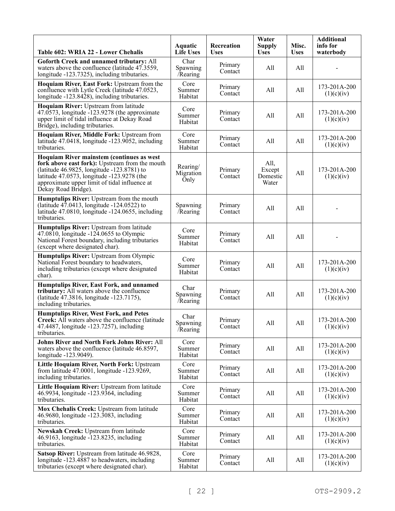| Table 602: WRIA 22 - Lower Chehalis                                                                                                                                                                                                                             | Aquatic<br><b>Life Uses</b>   | Recreation<br><b>Uses</b> | Water<br><b>Supply</b><br><b>Uses</b> | Misc.<br><b>Uses</b> | <b>Additional</b><br>info for<br>waterbody |
|-----------------------------------------------------------------------------------------------------------------------------------------------------------------------------------------------------------------------------------------------------------------|-------------------------------|---------------------------|---------------------------------------|----------------------|--------------------------------------------|
| Goforth Creek and unnamed tributary: All<br>waters above the confluence (latitude 47.3559,<br>longitude -123.7325), including tributaries.                                                                                                                      | Char<br>Spawning<br>Rearing   | Primary<br>Contact        | All                                   | All                  |                                            |
| Hoquiam River, East Fork: Upstream from the<br>confluence with Lytle Creek (latitude 47.0523,<br>longitude -123.8428), including tributaries.                                                                                                                   | Core<br>Summer<br>Habitat     | Primary<br>Contact        | All                                   | All                  | 173-201A-200<br>(1)(c)(iv)                 |
| Hoquiam River: Upstream from latitude<br>47.0573, longitude -123.9278 (the approximate<br>upper limit of tidal influence at Dekay Road<br>Bridge), including tributaries.                                                                                       | Core<br>Summer<br>Habitat     | Primary<br>Contact        | All                                   | All                  | 173-201A-200<br>(1)(c)(iv)                 |
| Hoquiam River, Middle Fork: Upstream from<br>latitude 47.0418, longitude -123.9052, including<br>tributaries.                                                                                                                                                   | Core<br>Summer<br>Habitat     | Primary<br>Contact        | All                                   | All                  | 173-201A-200<br>(1)(c)(iv)                 |
| Hoquiam River mainstem (continues as west<br>fork above east fork): Upstream from the mouth<br>(latitude 46.9825, longitude -123.8781) to<br>latitude 47.0573, longitude -123.9278 (the<br>approximate upper limit of tidal influence at<br>Dekay Road Bridge). | Rearing/<br>Migration<br>Only | Primary<br>Contact        | All,<br>Except<br>Domestic<br>Water   | All                  | 173-201A-200<br>(1)(c)(iv)                 |
| Humptulips River: Upstream from the mouth<br>(latitude 47.0413, longitude -124.0522) to<br>latitude 47.0810, longitude -124.0655, including<br>tributaries.                                                                                                     | Spawning<br>$/$ Rearing       | Primary<br>Contact        | All                                   | All                  |                                            |
| Humptulips River: Upstream from latitude<br>47.0810, longitude -124.0655 to Olympic<br>National Forest boundary, including tributaries<br>(except where designated char).                                                                                       | Core<br>Summer<br>Habitat     | Primary<br>Contact        | All                                   | All                  |                                            |
| Humptulips River: Upstream from Olympic<br>National Forest boundary to headwaters,<br>including tributaries (except where designated<br>char).                                                                                                                  | Core<br>Summer<br>Habitat     | Primary<br>Contact        | All                                   | All                  | 173-201A-200<br>(1)(c)(iv)                 |
| Humptulips River, East Fork, and unnamed<br>tributary: All waters above the confluence<br>(latitude 47.3816, longitude -123.7175),<br>including tributaries.                                                                                                    | Char<br>Spawning<br>/Rearing  | Primary<br>Contact        | All                                   | All                  | 173-201A-200<br>(1)(c)(iv)                 |
| <b>Humptulips River, West Fork, and Petes</b><br>Creek: All waters above the confluence (latitude)<br>47.4487, longitude -123.7257), including<br>tributaries.                                                                                                  | Char<br>Spawning<br>Rearing   | Primary<br>Contact        | All                                   | All                  | 173-201A-200<br>(1)(c)(iv)                 |
| <b>Johns River and North Fork Johns River: All</b><br>waters above the confluence (latitude 46.8597,<br>longitude -123.9049).                                                                                                                                   | Core<br>Summer<br>Habitat     | Primary<br>Contact        | All                                   | All                  | 173-201A-200<br>(1)(c)(iv)                 |
| Little Hoquiam River, North Fork: Upstream<br>from latitude 47.0001, longitude -123.9269,<br>including tributaries.                                                                                                                                             | Core<br>Summer<br>Habitat     | Primary<br>Contact        | All                                   | All                  | 173-201A-200<br>(1)(c)(iv)                 |
| Little Hoquiam River: Upstream from latitude<br>46.9934, longitude -123.9364, including<br>tributaries.                                                                                                                                                         | Core<br>Summer<br>Habitat     | Primary<br>Contact        | All                                   | All                  | 173-201A-200<br>(1)(c)(iv)                 |
| Mox Chehalis Creek: Upstream from latitude<br>46.9680, longitude -123.3083, including<br>tributaries.                                                                                                                                                           | Core<br>Summer<br>Habitat     | Primary<br>Contact        | All                                   | All                  | 173-201A-200<br>(1)(c)(iv)                 |
| Newskah Creek: Upstream from latitude<br>46.9163, longitude -123.8235, including<br>tributaries.                                                                                                                                                                | Core<br>Summer<br>Habitat     | Primary<br>Contact        | All                                   | All                  | 173-201A-200<br>(1)(c)(iv)                 |
| Satsop River: Upstream from latitude 46.9828,<br>longitude -123.4887 to headwaters, including<br>tributaries (except where designated char).                                                                                                                    | Core<br>Summer<br>Habitat     | Primary<br>Contact        | All                                   | All                  | 173-201A-200<br>(1)(c)(iv)                 |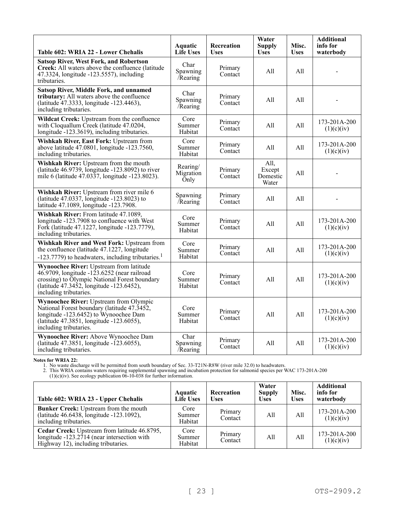| Table 602: WRIA 22 - Lower Chehalis                                                                                                                                                                                    | <b>Aquatic</b><br><b>Life Uses</b> | Recreation<br><b>Uses</b> | Water<br><b>Supply</b><br><b>Uses</b> | Misc.<br><b>Uses</b> | <b>Additional</b><br>info for<br>waterbody |
|------------------------------------------------------------------------------------------------------------------------------------------------------------------------------------------------------------------------|------------------------------------|---------------------------|---------------------------------------|----------------------|--------------------------------------------|
| <b>Satsop River, West Fork, and Robertson</b><br>Creek: All waters above the confluence (latitude)<br>47.3324, longitude -123.5557), including<br>tributaries.                                                         | Char<br>Spawning<br>/Rearing       | Primary<br>Contact        | All                                   | A11                  |                                            |
| <b>Satsop River, Middle Fork, and unnamed</b><br>tributary: All waters above the confluence<br>(latitude 47.3333, longitude -123.4463),<br>including tributaries.                                                      | Char<br>Spawning<br>Rearing        | Primary<br>Contact        | All                                   | All                  |                                            |
| Wildcat Creek: Upstream from the confluence<br>with Cloquallum Creek (latitude 47.0204,<br>longitude -123.3619), including tributaries.                                                                                | Core<br>Summer<br>Habitat          | Primary<br>Contact        | All                                   | All                  | 173-201A-200<br>(1)(c)(iv)                 |
| Wishkah River, East Fork: Upstream from<br>above latitude 47.0801, longitude -123.7560,<br>including tributaries.                                                                                                      | Core<br>Summer<br>Habitat          | Primary<br>Contact        | All                                   | All                  | 173-201A-200<br>(1)(c)(iv)                 |
| Wishkah River: Upstream from the mouth<br>(latitude $46.9739$ , longitude $-123.8092$ ) to river<br>mile 6 (latitude 47.0337, longitude -123.8023).                                                                    | Rearing/<br>Migration<br>Only      | Primary<br>Contact        | All,<br>Except<br>Domestic<br>Water   | All                  |                                            |
| Wishkah River: Upstream from river mile 6<br>(latitude 47.0337, longitude -123.8023) to<br>latitude 47.1089, longitude -123.7908.                                                                                      | Spawning<br>/Rearing               | Primary<br>Contact        | All                                   | All                  |                                            |
| Wishkah River: From latitude 47.1089,<br>longitude -123.7908 to confluence with West<br>Fork (latitude 47.1227, longitude -123.7779),<br>including tributaries.                                                        | Core<br>Summer<br>Habitat          | Primary<br>Contact        | All                                   | All                  | 173-201A-200<br>(1)(c)(iv)                 |
| Wishkah River and West Fork: Upstream from<br>the confluence (latitude 47.1227, longitude<br>$-123.7779$ ) to headwaters, including tributaries. <sup>1</sup>                                                          | Core<br>Summer<br>Habitat          | Primary<br>Contact        | All                                   | All                  | 173-201A-200<br>(1)(c)(iv)                 |
| <b>Wynoochee River: Upstream from latitude</b><br>46.9709, longitude $-123.6252$ (near railroad<br>crossing) to Olympic National Forest boundary<br>(latitude 47.3452, longitude -123.6452),<br>including tributaries. | Core<br>Summer<br>Habitat          | Primary<br>Contact        | All                                   | All                  | 173-201A-200<br>(1)(c)(iv)                 |
| <b>Wynoochee River: Upstream from Olympic</b><br>National Forest boundary (latitude 47.3452,<br>longitude -123.6452) to Wynoochee Dam<br>(latitude 47.3851, longitude -123.6055),<br>including tributaries.            | Core<br>Summer<br>Habitat          | Primary<br>Contact        | All                                   | All                  | 173-201A-200<br>(1)(c)(iv)                 |
| Wynoochee River: Above Wynoochee Dam<br>(latitude 47.3851, longitude -123.6055),<br>including tributaries.                                                                                                             | Char<br>Spawning<br>Rearing        | Primary<br>Contact        | All                                   | All                  | 173-201A-200<br>(1)(c)(iv)                 |

**Notes for WRIA 22:**

1. No waste discharge will be permitted from south boundary of Sec. 33-T21N-R8W (river mile 32.0) to headwaters.

2. This WRIA contains waters requiring supplemental spawning and incubation protection for salmonid species per WAC 173-201A-200

 $(1)(c)(iv)$ . See ecology publication  $0\bar{6}$ -10-038 for further information.

| Table 602: WRIA 23 - Upper Chehalis                                                                                                | <b>Aquatic</b><br><b>Life Uses</b> | <b>Recreation</b><br>Uses | Water<br><b>Supply</b><br><b>Uses</b> | Misc.<br><b>Uses</b> | <b>Additional</b><br>info for<br>waterbody |
|------------------------------------------------------------------------------------------------------------------------------------|------------------------------------|---------------------------|---------------------------------------|----------------------|--------------------------------------------|
| <b>Bunker Creek:</b> Upstream from the mouth<br>(latitude 46.6438, longitude -123.1092),<br>including tributaries.                 | Core<br>Summer<br>Habitat          | Primary<br>Contact        | All                                   | A11                  | 173-201A-200<br>(1)(c)(iv)                 |
| Cedar Creek: Upstream from latitude 46.8795,<br>longitude -123.2714 (near intersection with<br>Highway 12), including tributaries. | Core<br>Summer<br>Habitat          | Primary<br>Contact        | All                                   | A11                  | 173-201A-200<br>(1)(c)(iv)                 |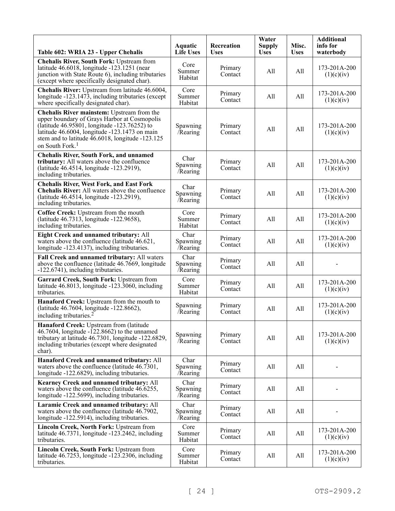| Table 602: WRIA 23 - Upper Chehalis                                                                                                                                                                                                                                            | Aquatic<br><b>Life Uses</b>  | Recreation<br><b>Uses</b> | Water<br><b>Supply</b><br><b>Uses</b> | Misc.<br><b>Uses</b> | <b>Additional</b><br>info for<br>waterbody |
|--------------------------------------------------------------------------------------------------------------------------------------------------------------------------------------------------------------------------------------------------------------------------------|------------------------------|---------------------------|---------------------------------------|----------------------|--------------------------------------------|
| <b>Chehalis River, South Fork: Upstream from</b><br>latitude 46.6018, longitude -123.1251 (near<br>junction with State Route 6), including tributaries<br>(except where specifically designated char).                                                                         | Core<br>Summer<br>Habitat    | Primary<br>Contact        | All                                   | All                  | 173-201A-200<br>(1)(c)(iv)                 |
| Chehalis River: Upstream from latitude 46.6004,<br>longitude -123.1473, including tributaries (except<br>where specifically designated char).                                                                                                                                  | Core<br>Summer<br>Habitat    | Primary<br>Contact        | All                                   | All                  | 173-201A-200<br>(1)(c)(iv)                 |
| Chehalis River mainstem: Upstream from the<br>upper boundary of Grays Harbor at Cosmopolis<br>(latitude 46.95801, longitude -123.76252) to<br>latitude 46.6004, longitude -123.1473 on main<br>stem and to latitude 46.6018, longitude -123.125<br>on South Fork. <sup>1</sup> | Spawning<br>/Rearing         | Primary<br>Contact        | All                                   | All                  | 173-201A-200<br>(1)(c)(iv)                 |
| <b>Chehalis River, South Fork, and unnamed</b><br>tributary: All waters above the confluence<br>(latitude 46.4514, longitude -123.2919),<br>including tributaries.                                                                                                             | Char<br>Spawning<br>Rearing  | Primary<br>Contact        | All                                   | All                  | 173-201A-200<br>(1)(c)(iv)                 |
| <b>Chehalis River, West Fork, and East Fork</b><br>Chehalis River: All waters above the confluence<br>(latitude 46.4514, longitude -123.2919),<br>including tributaries.                                                                                                       | Char<br>Spawning<br>/Rearing | Primary<br>Contact        | All                                   | All                  | 173-201A-200<br>(1)(c)(iv)                 |
| Coffee Creek: Upstream from the mouth<br>(latitude 46.7313, longitude -122.9658),<br>including tributaries.                                                                                                                                                                    | Core<br>Summer<br>Habitat    | Primary<br>Contact        | All                                   | All                  | 173-201A-200<br>(1)(c)(iv)                 |
| Eight Creek and unnamed tributary: All<br>waters above the confluence (latitude 46.621,<br>longitude -123.4137), including tributaries.                                                                                                                                        | Char<br>Spawning<br>Rearing  | Primary<br>Contact        | All                                   | All                  | 173-201A-200<br>(1)(c)(iv)                 |
| Fall Creek and unnamed tributary: All waters<br>above the confluence (latitude 46.7669, longitude<br>-122.6741), including tributaries.                                                                                                                                        | Char<br>Spawning<br>/Rearing | Primary<br>Contact        | All                                   | All                  |                                            |
| Garrard Creek, South Fork: Upstream from<br>latitude $46.8013$ , longitude $-123.3060$ , including<br>tributaries.                                                                                                                                                             | Core<br>Summer<br>Habitat    | Primary<br>Contact        | All                                   | All                  | 173-201A-200<br>(1)(c)(iv)                 |
| Hanaford Creek: Upstream from the mouth to<br>(latitude 46.7604, longitude -122.8662),<br>including tributaries. <sup>2</sup>                                                                                                                                                  | Spawning<br>/Rearing         | Primary<br>Contact        | All                                   | All                  | 173-201A-200<br>(1)(c)(iv)                 |
| Hanaford Creek: Upstream from (latitude<br>46.7604, longitude -122.8662) to the unnamed<br>tributary at latitude 46.7301, longitude -122.6829,<br>including tributaries (except where designated<br>char).                                                                     | Spawning<br>/Rearing         | Primary<br>Contact        | All                                   | All                  | 173-201A-200<br>(1)(c)(iv)                 |
| Hanaford Creek and unnamed tributary: All<br>waters above the confluence (latitude 46.7301,<br>longitude -122.6829), including tributaries.                                                                                                                                    | Char<br>Spawning<br>/Rearing | Primary<br>Contact        | All                                   | All                  |                                            |
| Kearney Creek and unnamed tributary: All<br>waters above the confluence (latitude 46.6255,<br>longitude -122.5699), including tributaries.                                                                                                                                     | Char<br>Spawning<br>/Rearing | Primary<br>Contact        | All                                   | All                  |                                            |
| Laramie Creek and unnamed tributary: All<br>waters above the confluence (latitude 46.7902,<br>longitude -122.5914), including tributaries.                                                                                                                                     | Char<br>Spawning<br>/Rearing | Primary<br>Contact        | All                                   | All                  |                                            |
| Lincoln Creek, North Fork: Upstream from<br>latitude 46.7371, longitude -123.2462, including<br>tributaries.                                                                                                                                                                   | Core<br>Summer<br>Habitat    | Primary<br>Contact        | All                                   | All                  | 173-201A-200<br>(1)(c)(iv)                 |
| Lincoln Creek, South Fork: Upstream from<br>latitude 46.7253, longitude -123.2306, including<br>tributaries.                                                                                                                                                                   | Core<br>Summer<br>Habitat    | Primary<br>Contact        | All                                   | All                  | 173-201A-200<br>(1)(c)(iv)                 |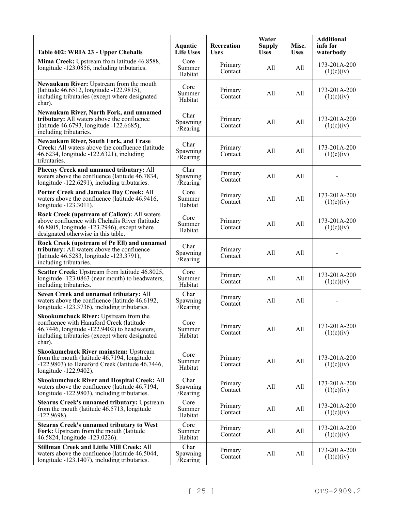| Table 602: WRIA 23 - Upper Chehalis                                                                                                                                                           | Aquatic<br><b>Life Uses</b>  | Recreation<br><b>Uses</b> | Water<br><b>Supply</b><br><b>Uses</b> | Misc.<br><b>Uses</b> | <b>Additional</b><br>info for<br>waterbody |
|-----------------------------------------------------------------------------------------------------------------------------------------------------------------------------------------------|------------------------------|---------------------------|---------------------------------------|----------------------|--------------------------------------------|
| Mima Creek: Upstream from latitude 46.8588,<br>longitude -123.0856, including tributaries.                                                                                                    | Core<br>Summer<br>Habitat    | Primary<br>Contact        | All                                   | All                  | 173-201A-200<br>(1)(c)(iv)                 |
| Newaukum River: Upstream from the mouth<br>(latitude 46.6512, longitude -122.9815),<br>including tributaries (except where designated<br>char).                                               | Core<br>Summer<br>Habitat    | Primary<br>Contact        | All                                   | All                  | 173-201A-200<br>(1)(c)(iv)                 |
| Newaukum River, North Fork, and unnamed<br>tributary: All waters above the confluence<br>(latitude 46.6793, longitude -122.6685),<br>including tributaries.                                   | Char<br>Spawning<br>Rearing  | Primary<br>Contact        | All                                   | All                  | 173-201A-200<br>(1)(c)(iv)                 |
| <b>Newaukum River, South Fork, and Frase</b><br>Creek: All waters above the confluence (latitude)<br>46.6234, longitude -122.6321), including<br>tributaries.                                 | Char<br>Spawning<br>/Rearing | Primary<br>Contact        | All                                   | All                  | 173-201A-200<br>(1)(c)(iv)                 |
| Pheeny Creek and unnamed tributary: All<br>waters above the confluence (latitude 46.7834,<br>longitude -122.6291), including tributaries.                                                     | Char<br>Spawning<br>Rearing  | Primary<br>Contact        | All                                   | All                  |                                            |
| Porter Creek and Jamaica Day Creek: All<br>waters above the confluence (latitude 46.9416,<br>longitude -123.3011).                                                                            | Core<br>Summer<br>Habitat    | Primary<br>Contact        | All                                   | All                  | 173-201A-200<br>(1)(c)(iv)                 |
| Rock Creek (upstream of Callow): All waters<br>above confluence with Chehalis River (latitude<br>46.8805, longitude -123.2946), except where<br>designated otherwise in this table.           | Core<br>Summer<br>Habitat    | Primary<br>Contact        | All                                   | All                  | 173-201A-200<br>(1)(c)(iv)                 |
| Rock Creek (upstream of Pe Ell) and unnamed<br>tributary: All waters above the confluence<br>(latitude 46.5283, longitude -123.3791),<br>including tributaries.                               | Char<br>Spawning<br>Rearing  | Primary<br>Contact        | All                                   | All                  |                                            |
| Scatter Creek: Upstream from latitude 46.8025,<br>longitude -123.0863 (near mouth) to headwaters,<br>including tributaries.                                                                   | Core<br>Summer<br>Habitat    | Primary<br>Contact        | All                                   | All                  | 173-201A-200<br>(1)(c)(iv)                 |
| Seven Creek and unnamed tributary: All<br>waters above the confluence (latitude 46.6192,<br>longitude -123.3736), including tributaries.                                                      | Char<br>Spawning<br>/Rearing | Primary<br>Contact        | All                                   | All                  |                                            |
| Skookumchuck River: Upstream from the<br>confluence with Hanaford Creek (latitude<br>46.7446, longitude -122.9402) to headwaters,<br>including tributaries (except where designated<br>char). | Core<br>Summer<br>Habitat    | Primary<br>Contact        | All                                   | All                  | 173-201A-200<br>(1)(c)(iv)                 |
| <b>Skookumchuck River mainstem: Upstream</b><br>from the mouth (latitude 46.7194, longitude<br>-122.9803) to Hanaford Creek (latitude 46.7446,<br>longitude -122.9402).                       | Core<br>Summer<br>Habitat    | Primary<br>Contact        | All                                   | All                  | 173-201A-200<br>(1)(c)(iv)                 |
| <b>Skookumchuck River and Hospital Creek: All</b><br>waters above the confluence (latitude 46.7194,<br>longitude -122.9803), including tributaries.                                           | Char<br>Spawning<br>Rearing  | Primary<br>Contact        | All                                   | All                  | 173-201A-200<br>(1)(c)(iv)                 |
| <b>Stearns Creek's unnamed tributary: Upstream</b><br>from the mouth (latitude 46.5713, longitude<br>$-122.9698$ ).                                                                           | Core<br>Summer<br>Habitat    | Primary<br>Contact        | All                                   | All                  | 173-201A-200<br>(1)(c)(iv)                 |
| <b>Stearns Creek's unnamed tributary to West</b><br>Fork: Upstream from the mouth (latitude)<br>46.5824, longitude -123.0226).                                                                | Core<br>Summer<br>Habitat    | Primary<br>Contact        | All                                   | All                  | 173-201A-200<br>(1)(c)(iv)                 |
| <b>Stillman Creek and Little Mill Creek: All</b><br>waters above the confluence (latitude 46.5044,<br>longitude -123.1407), including tributaries.                                            | Char<br>Spawning<br>/Rearing | Primary<br>Contact        | All                                   | All                  | 173-201A-200<br>(1)(c)(iv)                 |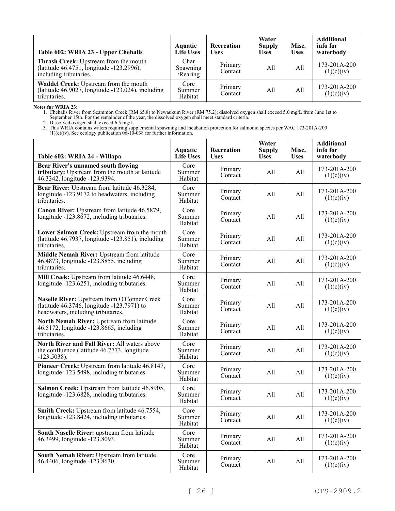| Table 602: WRIA 23 - Upper Chehalis                                                                         | <b>Aquatic</b><br><b>Life Uses</b> | <b>Recreation</b><br><b>Uses</b> | Water<br><b>Supply</b><br><b>Uses</b> | Misc.<br><b>Uses</b> | <b>Additional</b><br>info for<br>waterbody |
|-------------------------------------------------------------------------------------------------------------|------------------------------------|----------------------------------|---------------------------------------|----------------------|--------------------------------------------|
| Thrash Creek: Upstream from the mouth<br>(latitude 46.4751, longitude -123.2996),<br>including tributaries. | Char<br>Spawning<br>/Rearing       | Primary<br>Contact               | All                                   | All                  | 173-201A-200<br>(1)(c)(iv)                 |
| Waddel Creek: Upstream from the mouth<br>(latitude 46.9027, longitude -123.024), including<br>tributaries.  | Core<br>Summer<br>Habitat          | Primary<br>Contact               | All                                   | A11                  | $173 - 201A - 200$<br>(1)(c)(iv)           |

**Notes for WRIA 23:**

1. Chehalis River from Scammon Creek (RM 65.8) to Newaukum River (RM 75.2); dissolved oxygen shall exceed 5.0 mg/L from June 1st to September 15th. For the remainder of the year, the dissolved oxygen shall meet standard criteria.

2. Dissolved oxygen shall exceed 6.5 mg/L.

| Table 602: WRIA 24 - Willapa                                                                                                    | <b>Aquatic</b><br><b>Life Uses</b> | Recreation<br><b>Uses</b> | Water<br><b>Supply</b><br><b>Uses</b> | Misc.<br><b>Uses</b> | <b>Additional</b><br>info for<br>waterbody |
|---------------------------------------------------------------------------------------------------------------------------------|------------------------------------|---------------------------|---------------------------------------|----------------------|--------------------------------------------|
| <b>Bear River's unnamed south flowing</b><br>tributary: Upstream from the mouth at latitude<br>46.3342, longitude -123.9394.    | Core<br>Summer<br>Habitat          | Primary<br>Contact        | All                                   | All                  | 173-201A-200<br>(1)(c)(iv)                 |
| Bear River: Upstream from latitude 46.3284,<br>longitude -123.9172 to headwaters, including<br>tributaries.                     | Core<br>Summer<br>Habitat          | Primary<br>Contact        | All                                   | All                  | 173-201A-200<br>(1)(c)(iv)                 |
| Canon River: Upstream from latitude 46.5879,<br>longitude -123.8672, including tributaries.                                     | Core<br>Summer<br>Habitat          | Primary<br>Contact        | All                                   | All                  | $173 - 201A - 200$<br>(1)(c)(iv)           |
| Lower Salmon Creek: Upstream from the mouth<br>(latitude $46.7937$ , longitude $-123.851$ ), including<br>tributaries.          | Core<br>Summer<br>Habitat          | Primary<br>Contact        | All                                   | All                  | 173-201A-200<br>(1)(c)(iv)                 |
| Middle Nemah River: Upstream from latitude<br>46.4873, longitude -123.8855, including<br>tributaries.                           | Core<br>Summer<br>Habitat          | Primary<br>Contact        | All                                   | All                  | $173 - 201A - 200$<br>(1)(c)(iv)           |
| Mill Creek: Upstream from latitude 46.6448,<br>longitude -123.6251, including tributaries.                                      | Core<br>Summer<br>Habitat          | Primary<br>Contact        | All                                   | All                  | 173-201A-200<br>(1)(c)(iv)                 |
| Naselle River: Upstream from O'Conner Creek<br>(latitude 46.3746, longitude -123.7971) to<br>headwaters, including tributaries. | Core<br>Summer<br>Habitat          | Primary<br>Contact        | All                                   | All                  | $173 - 201A - 200$<br>(1)(c)(iv)           |
| North Nemah River: Upstream from latitude<br>46.5172, longitude -123.8665, including<br>tributaries.                            | Core<br>Summer<br>Habitat          | Primary<br>Contact        | All                                   | All                  | 173-201A-200<br>(1)(c)(iv)                 |
| North River and Fall River: All waters above<br>the confluence (latitude 46.7773, longitude<br>$-123.5038$ ).                   | Core<br>Summer<br>Habitat          | Primary<br>Contact        | All                                   | All                  | $173 - 201A - 200$<br>(1)(c)(iv)           |
| Pioneer Creek: Upstream from latitude 46.8147,<br>longitude -123.5498, including tributaries.                                   | Core<br>Summer<br>Habitat          | Primary<br>Contact        | All                                   | All                  | 173-201A-200<br>(1)(c)(iv)                 |
| Salmon Creek: Upstream from latitude 46.8905,<br>longitude $-123.6828$ , including tributaries.                                 | Core<br>Summer<br>Habitat          | Primary<br>Contact        | All                                   | All                  | 173-201A-200<br>(1)(c)(iv)                 |
| Smith Creek: Upstream from latitude 46.7554,<br>longitude -123.8424, including tributaries.                                     | Core<br>Summer<br>Habitat          | Primary<br>Contact        | All                                   | All                  | 173-201A-200<br>(1)(c)(iv)                 |
| South Naselle River: upstream from latitude<br>46.3499, longitude -123.8093.                                                    | Core<br>Summer<br>Habitat          | Primary<br>Contact        | All                                   | All                  | 173-201A-200<br>(1)(c)(iv)                 |
| South Nemah River: Upstream from latitude<br>46.4406, longitude -123.8630.                                                      | Core<br>Summer<br>Habitat          | Primary<br>Contact        | All                                   | All                  | 173-201A-200<br>(1)(c)(iv)                 |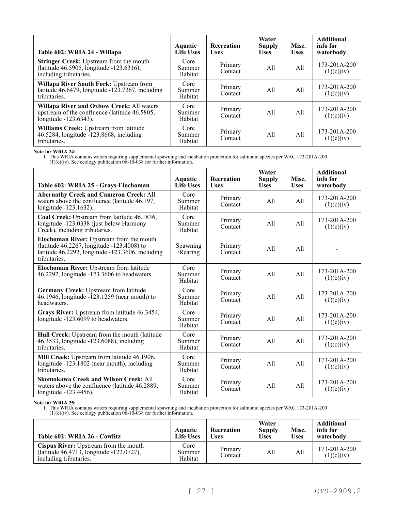| Table 602: WRIA 24 - Willapa                                                                                               | <b>Aquatic</b><br><b>Life Uses</b> | Recreation<br><b>Uses</b> | Water<br><b>Supply</b><br><b>Uses</b> | Misc.<br><b>Uses</b> | <b>Additional</b><br>info for<br>waterbody |
|----------------------------------------------------------------------------------------------------------------------------|------------------------------------|---------------------------|---------------------------------------|----------------------|--------------------------------------------|
| <b>Stringer Creek: Upstream from the mouth</b><br>(latitude 46.5905, longitude -123.6316),<br>including tributaries.       | Core<br>Summer<br>Habitat          | Primary<br>Contact        | All                                   | All                  | $173 - 201A - 200$<br>(1)(c)(iv)           |
| Willapa River South Fork: Upstream from<br>latitude 46.6479, longitude -123.7267, including<br>tributaries.                | Core<br>Summer<br>Habitat          | Primary<br>Contact        | A11                                   | All                  | 173-201A-200<br>(1)(c)(iv)                 |
| <b>Willapa River and Oxbow Creek: All waters</b><br>upstream of the confluence (latitude 46.5805,<br>longitude -123.6343). | Core<br>Summer<br>Habitat          | Primary<br>Contact        | All                                   | All                  | 173-201A-200<br>(1)(c)(iv)                 |
| Williams Creek: Upstream from latitude<br>46.5284, longitude -123.8668, including<br>tributaries.                          | Core<br>Summer<br>Habitat          | Primary<br>Contact        | A11                                   | All                  | $173 - 201A - 200$<br>(1)(c)(iv)           |

**Note for WRIA 24:**

1. This WRIA contains waters requiring supplemental spawning and incubation protection for salmonid species per WAC 173-201A-200

 $(1)(c)(iv)$ . See ecology publication  $06-10-038$  for further information.

| Table 602: WRIA 25 - Grays-Elochoman                                                                                                                       | Aquatic<br><b>Life Uses</b> | Recreation<br><b>Uses</b> | Water<br><b>Supply</b><br><b>Uses</b> | Misc.<br><b>Uses</b> | <b>Additional</b><br>info for<br>waterbody |
|------------------------------------------------------------------------------------------------------------------------------------------------------------|-----------------------------|---------------------------|---------------------------------------|----------------------|--------------------------------------------|
| <b>Abernathy Creek and Cameron Creek: All</b><br>waters above the confluence (latitude 46.197,<br>longitude -123.1632).                                    | Core<br>Summer<br>Habitat   | Primary<br>Contact        | All                                   | A11                  | $173 - 201A - 200$<br>(1)(c)(iv)           |
| Coal Creek: Upstream from latitude 46.1836,<br>longitude -123.0338 (just below Harmony<br>Creek), including tributaries.                                   | Core<br>Summer<br>Habitat   | Primary<br>Contact        | All                                   | All                  | 173-201A-200<br>(1)(c)(iv)                 |
| Elochoman River: Upstream from the mouth<br>(latitude 46.2267, longitude -123.4008) to<br>latitude 46.2292, longitude -123.3606, including<br>tributaries. | Spawning<br>/Rearing        | Primary<br>Contact        | All                                   | A11                  |                                            |
| Elochoman River: Upstream from latitude<br>46.2292, longitude $-1\overline{2}3.3606$ to headwaters.                                                        | Core<br>Summer<br>Habitat   | Primary<br>Contact        | All                                   | All                  | 173-201A-200<br>(1)(c)(iv)                 |
| Germany Creek: Upstream from latitude<br>46.1946, longitude -123.1259 (near mouth) to<br>headwaters.                                                       | Core<br>Summer<br>Habitat   | Primary<br>Contact        | All                                   | All                  | 173-201A-200<br>(1)(c)(iv)                 |
| Grays River: Upstream from latitude 46.3454,<br>longitude -123.6099 to headwaters.                                                                         | Core<br>Summer<br>Habitat   | Primary<br>Contact        | A11                                   | A11                  | 173-201A-200<br>(1)(c)(iv)                 |
| Hull Creek: Upstream from the mouth (latitude<br>46.3533, longitude -123.6088), including<br>tributaries.                                                  | Core<br>Summer<br>Habitat   | Primary<br>Contact        | All                                   | A11                  | 173-201A-200<br>(1)(c)(iv)                 |
| Mill Creek: Upstream from latitude 46.1906,<br>longitude -123.1802 (near mouth), including<br>tributaries.                                                 | Core<br>Summer<br>Habitat   | Primary<br>Contact        | All                                   | A11                  | 173-201A-200<br>(1)(c)(iv)                 |
| <b>Skomokawa Creek and Wilson Creek: All</b><br>waters above the confluence (latitude 46.2889,<br>longitude -123.4456).                                    | Core<br>Summer<br>Habitat   | Primary<br>Contact        | A11                                   | A11                  | 173-201A-200<br>(1)(c)(iv)                 |

#### **Note for WRIA 25:**

| Table 602: WRIA 26 - Cowlitz                                                                                       | Aquatic<br><b>Life Uses</b> | <b>Recreation</b><br>Uses | Water<br><b>Supply</b><br><b>Uses</b> | Misc.<br><b>Uses</b> | <b>Additional</b><br>info for<br>waterbody |
|--------------------------------------------------------------------------------------------------------------------|-----------------------------|---------------------------|---------------------------------------|----------------------|--------------------------------------------|
| <b>Cispus River:</b> Upstream from the mouth<br>(latitude 46.4713, longitude -122.0727),<br>including tributaries. | Core<br>Summer<br>Habitat   | Primary<br>Contact        | All                                   | All                  | $173 - 201A - 200$<br>(1)(c)(iv)           |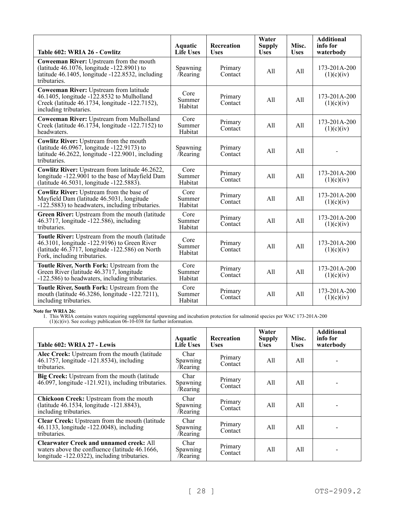| Table 602: WRIA 26 - Cowlitz                                                                                                                                                             | Aquatic<br><b>Life Uses</b> | Recreation<br><b>Uses</b> | Water<br><b>Supply</b><br><b>Uses</b> | Misc.<br><b>Uses</b> | <b>Additional</b><br>info for<br>waterbody |
|------------------------------------------------------------------------------------------------------------------------------------------------------------------------------------------|-----------------------------|---------------------------|---------------------------------------|----------------------|--------------------------------------------|
| Coweeman River: Upstream from the mouth<br>(latitude 46.1076, longitude -122.8901) to<br>latitude 46.1405, longitude -122.8532, including<br>tributaries.                                | Spawning<br>Rearing         | Primary<br>Contact        | All                                   | All                  | 173-201A-200<br>(1)(c)(iv)                 |
| <b>Coweeman River:</b> Upstream from latitude<br>46.1405, longitude -122.8532 to Mulholland<br>Creek (latitude 46.1734, longitude -122.7152),<br>including tributaries.                  | Core<br>Summer<br>Habitat   | Primary<br>Contact        | All                                   | A11                  | 173-201A-200<br>(1)(c)(iv)                 |
| Coweeman River: Upstream from Mulholland<br>Creek (latitude $46.17\overline{3}4$ , longitude $-122.7152$ ) to<br>headwaters.                                                             | Core<br>Summer<br>Habitat   | Primary<br>Contact        | All                                   | A11                  | 173-201A-200<br>(1)(c)(iv)                 |
| Cowlitz River: Upstream from the mouth<br>(latitude 46.0967, longitude -122.9173) to<br>latitude 46.2622, longitude -122.9001, including<br>tributaries.                                 | Spawning<br>Rearing         | Primary<br>Contact        | All                                   | A11                  |                                            |
| Cowlitz River: Upstream from latitude 46.2622,<br>longitude -122.9001 to the base of Mayfield Dam<br>(latitude 46.5031, longitude -122.5883).                                            | Core<br>Summer<br>Habitat   | Primary<br>Contact        | All                                   | All                  | 173-201A-200<br>(1)(c)(iv)                 |
| <b>Cowlitz River:</b> Upstream from the base of<br>Mayfield Dam (latitude 46.5031, longitude<br>-122.5883) to headwaters, including tributaries.                                         | Core<br>Summer<br>Habitat   | Primary<br>Contact        | All                                   | A11                  | 173-201A-200<br>(1)(c)(iv)                 |
| Green River: Upstream from the mouth (latitude<br>46.3717, longitude -122.586), including<br>tributaries.                                                                                | Core<br>Summer<br>Habitat   | Primary<br>Contact        | A11                                   | A11                  | $173 - 201A - 200$<br>(1)(c)(iv)           |
| Toutle River: Upstream from the mouth (latitude<br>46.3101, longitude -122.9196) to Green River<br>(latitude $46.3717$ , longitude $-122.586$ ) on North<br>Fork, including tributaries. | Core<br>Summer<br>Habitat   | Primary<br>Contact        | All                                   | A11                  | $173 - 201A - 200$<br>(1)(c)(iv)           |
| Toutle River, North Fork: Upstream from the<br>Green River (latitude 46.3717, longitude<br>-122.586) to headwaters, including tributaries.                                               | Core<br>Summer<br>Habitat   | Primary<br>Contact        | A11                                   | A11                  | $173 - 201A - 200$<br>(1)(c)(iv)           |
| Toutle River, South Fork: Upstream from the<br>mouth (latitude 46.3286, longitude -122.7211),<br>including tributaries.                                                                  | Core<br>Summer<br>Habitat   | Primary<br>Contact        | All                                   | All                  | 173-201A-200<br>(1)(c)(iv)                 |

**Note for WRIA 26:**

1. This WRIA contains waters requiring supplemental spawning and incubation protection for salmonid species per WAC 173-201A-200

 $(1)(c)(iv)$ . See ecology publication  $06-10-038$  for further information.

| Table 602: WRIA 27 - Lewis                                                                                                                       | <b>Aquatic</b><br><b>Life Uses</b> | <b>Recreation</b><br><b>Uses</b> | Water<br><b>Supply</b><br><b>Uses</b> | Misc.<br><b>Uses</b> | <b>Additional</b><br>info for<br>waterbody |
|--------------------------------------------------------------------------------------------------------------------------------------------------|------------------------------------|----------------------------------|---------------------------------------|----------------------|--------------------------------------------|
| Alec Creek: Upstream from the mouth (latitude<br>46.1757, longitude -121.8534), including<br>tributaries.                                        | Char<br>Spawning<br>/Rearing       | Primary<br>Contact               | All                                   | All                  |                                            |
| Big Creek: Upstream from the mouth (latitude<br>46.097, longitude -121.921), including tributaries.                                              | Char<br>Spawning<br>/Rearing       | Primary<br>Contact               | All                                   | All                  |                                            |
| Chickoon Creek: Upstream from the mouth<br>(latitude 46.1534, longitude -121.8843),<br>including tributaries.                                    | Char<br>Spawning<br>/Rearing       | Primary<br>Contact               | All                                   | All                  |                                            |
| Clear Creek: Upstream from the mouth (latitude<br>46.1133, longitude -122.0048), including<br>tributaries.                                       | Char<br>Spawning<br>/Rearing       | Primary<br>Contact               | All                                   | All                  |                                            |
| <b>Clearwater Creek and unnamed creek: All</b><br>waters above the confluence (latitude 46.1666,<br>longitude -122.0322), including tributaries. | Char<br>Spawning<br>/Rearing       | Primary<br>Contact               | All                                   | All                  |                                            |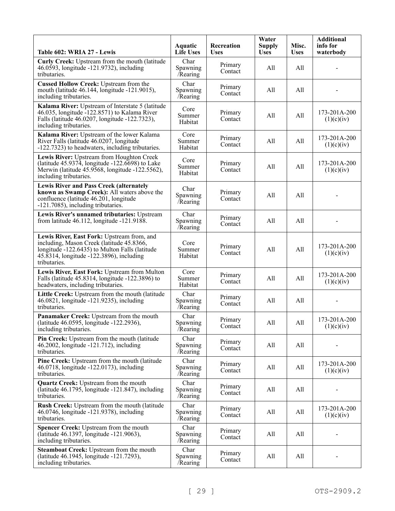| Table 602: WRIA 27 - Lewis                                                                                                                                                                            | Aquatic<br><b>Life Uses</b>  | Recreation<br><b>Uses</b> | Water<br><b>Supply</b><br><b>Uses</b> | Misc.<br><b>Uses</b> | <b>Additional</b><br>info for<br>waterbody |
|-------------------------------------------------------------------------------------------------------------------------------------------------------------------------------------------------------|------------------------------|---------------------------|---------------------------------------|----------------------|--------------------------------------------|
| Curly Creek: Upstream from the mouth (latitude<br>46.0593, longitude -121.9732), including<br>tributaries.                                                                                            | Char<br>Spawning<br>Rearing  | Primary<br>Contact        | All                                   | All                  |                                            |
| <b>Cussed Hollow Creek: Upstream from the</b><br>mouth (latitude 46.144, longitude -121.9015),<br>including tributaries.                                                                              | Char<br>Spawning<br>/Rearing | Primary<br>Contact        | All                                   | All                  |                                            |
| Kalama River: Upstream of Interstate 5 (latitude<br>46.035, longitude -122.8571) to Kalama River<br>Falls (latitude 46.0207, longitude -122.7323),<br>including tributaries.                          | Core<br>Summer<br>Habitat    | Primary<br>Contact        | All                                   | All                  | 173-201A-200<br>(1)(c)(iv)                 |
| Kalama River: Upstream of the lower Kalama<br>River Falls (latitude 46.0207, longitude<br>-122.7323) to headwaters, including tributaries.                                                            | Core<br>Summer<br>Habitat    | Primary<br>Contact        | All                                   | All                  | 173-201A-200<br>(1)(c)(iv)                 |
| Lewis River: Upstream from Houghton Creek<br>(latitude $45.937\overline{4}$ , longitude $-122.6698$ ) to Lake<br>Merwin (latitude 45.9568, longitude -122.5562),<br>including tributaries.            | Core<br>Summer<br>Habitat    | Primary<br>Contact        | All                                   | All                  | 173-201A-200<br>(1)(c)(iv)                 |
| <b>Lewis River and Pass Creek (alternately</b><br>known as Swamp Creek): All waters above the<br>confluence (latitude 46.201, longitude<br>-121.7085), including tributaries.                         | Char<br>Spawning<br>/Rearing | Primary<br>Contact        | All                                   | All                  |                                            |
| Lewis River's unnamed tributaries: Upstream<br>from latitude 46.112, longitude -121.9188.                                                                                                             | Char<br>Spawning<br>/Rearing | Primary<br>Contact        | All                                   | All                  |                                            |
| Lewis River, East Fork: Upstream from, and<br>including, Mason Creek (latitude 45.8366,<br>longitude -122.6435) to Multon Falls (latitude<br>45.8314, longitude -122.3896), including<br>tributaries. | Core<br>Summer<br>Habitat    | Primary<br>Contact        | All                                   | All                  | 173-201A-200<br>(1)(c)(iv)                 |
| Lewis River, East Fork: Upstream from Multon<br>Falls (latitude 45.8314, longitude -122.3896) to<br>headwaters, including tributaries.                                                                | Core<br>Summer<br>Habitat    | Primary<br>Contact        | All                                   | All                  | 173-201A-200<br>(1)(c)(iv)                 |
| Little Creek: Upstream from the mouth (latitude<br>46.0821, longitude -121.9235), including<br>tributaries.                                                                                           | Char<br>Spawning<br>/Rearing | Primary<br>Contact        | All                                   | All                  |                                            |
| Panamaker Creek: Upstream from the mouth<br>(latitude 46.0595, longitude -122.2936),<br>including tributaries.                                                                                        | Char<br>Spawning<br>Rearing  | Primary<br>Contact        | All                                   | All                  | 173-201A-200<br>(1)(c)(iv)                 |
| Pin Creek: Upstream from the mouth (latitude<br>46.2002, longitude -121.712), including<br>tributaries.                                                                                               | Char<br>Spawning<br>/Rearing | Primary<br>Contact        | All                                   | All                  |                                            |
| Pine Creek: Upstream from the mouth (latitude<br>46.0718, longitude -122.0173), including<br>tributaries.                                                                                             | Char<br>Spawning<br>Rearing  | Primary<br>Contact        | All                                   | All                  | 173-201A-200<br>(1)(c)(iv)                 |
| <b>Quartz Creek: Upstream from the mouth</b><br>(latitude 46.1795, longitude -121.847), including<br>tributaries.                                                                                     | Char<br>Spawning<br>/Rearing | Primary<br>Contact        | All                                   | All                  |                                            |
| Rush Creek: Upstream from the mouth (latitude<br>46.0746, longitude -121.9378), including<br>tributaries.                                                                                             | Char<br>Spawning<br>/Rearing | Primary<br>Contact        | All                                   | All                  | 173-201A-200<br>(1)(c)(iv)                 |
| Spencer Creek: Upstream from the mouth<br>(latitude 46.1397, longitude -121.9063),<br>including tributaries.                                                                                          | Char<br>Spawning<br>/Rearing | Primary<br>Contact        | All                                   | All                  |                                            |
| Steamboat Creek: Upstream from the mouth<br>(latitude 46.1945, longitude -121.7293),<br>including tributaries.                                                                                        | Char<br>Spawning<br>/Rearing | Primary<br>Contact        | All                                   | All                  |                                            |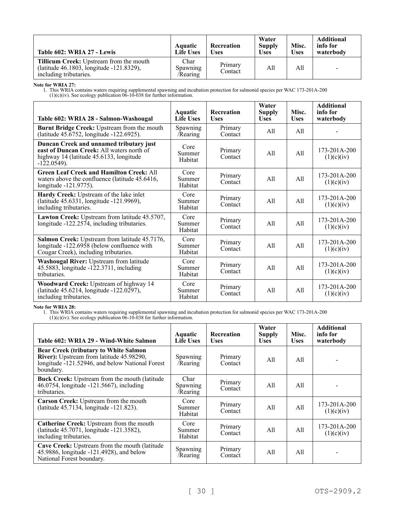| Table 602: WRIA 27 - Lewis                                                                                    | <b>Aquatic</b><br><b>Life Uses</b>  | Recreation<br>Uses | Water<br><b>Supply</b><br><b>Uses</b> | Misc.<br><b>Uses</b> | <b>Additional</b><br>info for<br>waterbody |
|---------------------------------------------------------------------------------------------------------------|-------------------------------------|--------------------|---------------------------------------|----------------------|--------------------------------------------|
| Tillicum Creek: Upstream from the mouth<br>(latitude 46.1803, longitude -121.8329),<br>including tributaries. | Char<br><b>Spawning</b><br>/Rearing | Primary<br>Contact | All                                   | All                  | $\overline{\phantom{0}}$                   |

**Note for WRIA 27:**

1. This WRIA contains waters requiring supplemental spawning and incubation protection for salmonid species per WAC 173-201A-200  $(1)(c)(iv)$ . See ecology publication  $06-10-038$  for further information.

| Table 602: WRIA 28 - Salmon-Washougal                                                                                                             | Aquatic<br><b>Life Uses</b> | <b>Recreation</b><br><b>Uses</b> | Water<br><b>Supply</b><br><b>Uses</b> | Misc.<br><b>Uses</b> | <b>Additional</b><br>info for<br>waterbody |
|---------------------------------------------------------------------------------------------------------------------------------------------------|-----------------------------|----------------------------------|---------------------------------------|----------------------|--------------------------------------------|
| Burnt Bridge Creek: Upstream from the mouth<br>(latitude 45.6752, longitude -122.6925).                                                           | Spawning<br>/Rearing        | Primary<br>Contact               | All                                   | A11                  |                                            |
| Duncan Creek and unnamed tributary just<br>east of Duncan Creek: All waters north of<br>highway 14 (latitude 45.6133, longitude<br>$-122.0549$ ). | Core<br>Summer<br>Habitat   | Primary<br>Contact               | All                                   | A11                  | $173 - 201A - 200$<br>(1)(c)(iv)           |
| <b>Green Leaf Creek and Hamilton Creek: All</b><br>waters above the confluence (latitude 45.6416,<br>longitude -121.9775).                        | Core<br>Summer<br>Habitat   | Primary<br>Contact               | A11                                   | All                  | 173-201A-200<br>(1)(c)(iv)                 |
| Hardy Creek: Upstream of the lake inlet<br>(latitude 45.6331, longitude -121.9969),<br>including tributaries.                                     | Core<br>Summer<br>Habitat   | Primary<br>Contact               | A11                                   | A11                  | $173 - 201A - 200$<br>(1)(c)(iv)           |
| Lawton Creek: Upstream from latitude 45.5707,<br>longitude -122.2574, including tributaries.                                                      | Core<br>Summer<br>Habitat   | Primary<br>Contact               | A11                                   | All                  | 173-201A-200<br>(1)(c)(iv)                 |
| Salmon Creek: Upstream from latitude 45.7176,<br>longitude -122.6958 (below confluence with<br>Cougar Creek), including tributaries.              | Core<br>Summer<br>Habitat   | Primary<br>Contact               | A11                                   | A11                  | $173 - 201A - 200$<br>(1)(c)(iv)           |
| Washougal River: Upstream from latitude<br>$45.5883$ , longitude $-122.3711$ , including<br>tributaries.                                          | Core<br>Summer<br>Habitat   | Primary<br>Contact               | A11                                   | All                  | $173 - 201A - 200$<br>(1)(c)(iv)           |
| Woodward Creek: Upstream of highway 14<br>(latitude 45.6214, longitude -122.0297),<br>including tributaries.                                      | Core<br>Summer<br>Habitat   | Primary<br>Contact               | A11                                   | A11                  | 173-201A-200<br>(1)(c)(iv)                 |

# **Note for WRIA 28:**

| Table 602: WRIA 29 - Wind-White Salmon                                                                                                                   | <b>Aquatic</b><br><b>Life Uses</b>  | <b>Recreation</b><br><b>Uses</b> | Water<br><b>Supply</b><br><b>Uses</b> | Misc.<br><b>Uses</b> | <b>Additional</b><br>info for<br>waterbody |
|----------------------------------------------------------------------------------------------------------------------------------------------------------|-------------------------------------|----------------------------------|---------------------------------------|----------------------|--------------------------------------------|
| <b>Bear Creek (tributary to White Salmon</b><br>River): Upstream from latitude 45.98290,<br>longitude -121.52946, and below National Forest<br>boundary. | Spawning<br>/Rearing                | Primary<br>Contact               | All                                   | All                  |                                            |
| <b>Buck Creek:</b> Upstream from the mouth (latitude)<br>46.0754, longitude -121.5667), including<br>tributaries.                                        | Char<br><b>Spawning</b><br>/Rearing | Primary<br>Contact               | All                                   | All                  |                                            |
| Carson Creek: Upstream from the mouth<br>(latitude 45.7134, longitude -121.823).                                                                         | Core<br>Summer<br>Habitat           | Primary<br>Contact               | All                                   | A11                  | 173-201A-200<br>(1)(c)(iv)                 |
| Catherine Creek: Upstream from the mouth<br>(latitude 45.7071, longitude -121.3582),<br>including tributaries.                                           | Core<br>Summer<br>Habitat           | Primary<br>Contact               | All                                   | All                  | 173-201A-200<br>(1)(c)(iv)                 |
| Cave Creek: Upstream from the mouth (latitude<br>45.9886, longitude -121.4928), and below<br>National Forest boundary.                                   | Spawning<br>/Rearing                | Primary<br>Contact               | All                                   | All                  |                                            |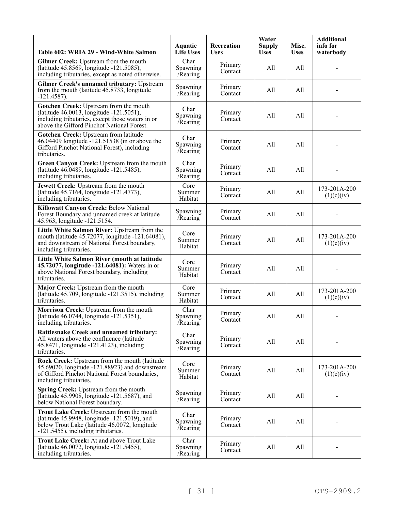| Table 602: WRIA 29 - Wind-White Salmon                                                                                                                                               | Aquatic<br><b>Life Uses</b>  | Recreation<br><b>Uses</b> | Water<br><b>Supply</b><br><b>Uses</b> | Misc.<br><b>Uses</b> | <b>Additional</b><br>info for<br>waterbody |
|--------------------------------------------------------------------------------------------------------------------------------------------------------------------------------------|------------------------------|---------------------------|---------------------------------------|----------------------|--------------------------------------------|
| Gilmer Creek: Upstream from the mouth<br>(latitude 45.8569, longitude -121.5085),<br>including tributaries, except as noted otherwise.                                               | Char<br>Spawning<br>/Rearing | Primary<br>Contact        | All                                   | All                  |                                            |
| Gilmer Creek's unnamed tributary: Upstream<br>from the mouth (latitude 45.8733, longitude<br>$-121.4587$ ).                                                                          | Spawning<br>/Rearing         | Primary<br>Contact        | All                                   | All                  |                                            |
| Gotchen Creek: Upstream from the mouth<br>(latitude 46.0013, longitude -121.5051),<br>including tributaries, except those waters in or<br>above the Gifford Pinchot National Forest. | Char<br>Spawning<br>/Rearing | Primary<br>Contact        | All                                   | All                  |                                            |
| Gotchen Creek: Upstream from latitude<br>46.04409 longitude -121.51538 (in or above the<br>Gifford Pinchot National Forest), including<br>tributaries.                               | Char<br>Spawning<br>Rearing  | Primary<br>Contact        | All                                   | All                  |                                            |
| Green Canyon Creek: Upstream from the mouth<br>(latitude 46.0489, longitude -121.5485),<br>including tributaries.                                                                    | Char<br>Spawning<br>Rearing  | Primary<br>Contact        | All                                   | All                  |                                            |
| Jewett Creek: Upstream from the mouth<br>(latitude 45.7164, longitude -121.4773),<br>including tributaries.                                                                          | Core<br>Summer<br>Habitat    | Primary<br>Contact        | All                                   | All                  | 173-201A-200<br>(1)(c)(iv)                 |
| Killowatt Canyon Creek: Below National<br>Forest Boundary and unnamed creek at latitude<br>45.963, longitude -121.5154.                                                              | Spawning<br>/Rearing         | Primary<br>Contact        | All                                   | All                  |                                            |
| Little White Salmon River: Upstream from the<br>mouth (latitude 45.72077, longitude -121.64081),<br>and downstream of National Forest boundary,<br>including tributaries.            | Core<br>Summer<br>Habitat    | Primary<br>Contact        | All                                   | All                  | 173-201A-200<br>(1)(c)(iv)                 |
| Little White Salmon River (mouth at latitude<br>45.72077, longitude -121.64081): Waters in or<br>above National Forest boundary, including<br>tributaries.                           | Core<br>Summer<br>Habitat    | Primary<br>Contact        | All                                   | All                  |                                            |
| Major Creek: Upstream from the mouth<br>(latitude $45.709$ , longitude $-121.3515$ ), including<br>tributaries.                                                                      | Core<br>Summer<br>Habitat    | Primary<br>Contact        | All                                   | All                  | 173-201A-200<br>(1)(c)(iv)                 |
| Morrison Creek: Upstream from the mouth<br>(latitude 46.0744, longitude -121.5351),<br>including tributaries.                                                                        | Char<br>Spawning<br>/Rearing | Primary<br>Contact        | All                                   | All                  |                                            |
| <b>Rattlesnake Creek and unnamed tributary:</b><br>All waters above the confluence (latitude<br>45.8471, longitude -121.4123), including<br>tributaries.                             | Char<br>Spawning<br>/Rearing | Primary<br>Contact        | All                                   | All                  |                                            |
| Rock Creek: Upstream from the mouth (latitude<br>45.69020, longitude -121.88923) and downstream<br>of Gifford Pinchot National Forest boundaries,<br>including tributaries.          | Core<br>Summer<br>Habitat    | Primary<br>Contact        | All                                   | All                  | 173-201A-200<br>(1)(c)(iv)                 |
| Spring Creek: Upstream from the mouth<br>(latitude 45.9908, longitude -121.5687), and<br>below National Forest boundary.                                                             | Spawning<br>/Rearing         | Primary<br>Contact        | All                                   | All                  |                                            |
| Trout Lake Creek: Upstream from the mouth<br>(latitude 45.9948, longitude -121.5019), and<br>below Trout Lake (latitude 46.0072, longitude<br>-121.5455), including tributaries.     | Char<br>Spawning<br>/Rearing | Primary<br>Contact        | All                                   | All                  |                                            |
| Trout Lake Creek: At and above Trout Lake<br>(latitude 46.0072, longitude -121.5455),<br>including tributaries.                                                                      | Char<br>Spawning<br>Rearing  | Primary<br>Contact        | All                                   | All                  |                                            |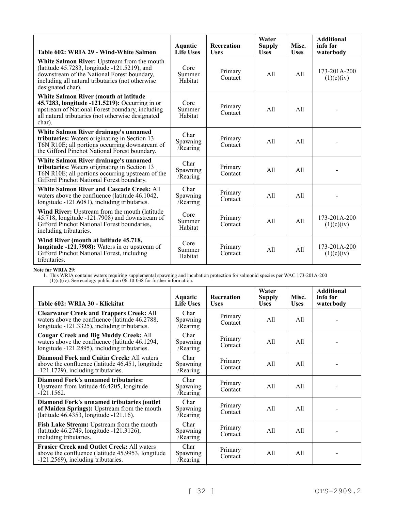| Table 602: WRIA 29 - Wind-White Salmon                                                                                                                                                                              | Aquatic<br><b>Life Uses</b>  | <b>Recreation</b><br><b>Uses</b> | Water<br><b>Supply</b><br><b>Uses</b> | Misc.<br><b>Uses</b> | <b>Additional</b><br>info for<br>waterbody |
|---------------------------------------------------------------------------------------------------------------------------------------------------------------------------------------------------------------------|------------------------------|----------------------------------|---------------------------------------|----------------------|--------------------------------------------|
| White Salmon River: Upstream from the mouth<br>(latitude 45.7283, longitude -121.5219), and<br>downstream of the National Forest boundary,<br>including all natural tributaries (not otherwise<br>designated char). | Core<br>Summer<br>Habitat    | Primary<br>Contact               | All                                   | A11                  | $173 - 201A - 200$<br>(1)(c)(iv)           |
| White Salmon River (mouth at latitude<br>45.7283, longitude -121.5219): Occurring in or<br>upstream of National Forest boundary, including<br>all natural tributaries (not otherwise designated<br>char).           | Core<br>Summer<br>Habitat    | Primary<br>Contact               | All                                   | All                  |                                            |
| White Salmon River drainage's unnamed<br>tributaries: Waters originating in Section 13<br>T6N R10E; all portions occurring downstream of<br>the Gifford Pinchot National Forest boundary.                           | Char<br>Spawning<br>/Rearing | Primary<br>Contact               | A11                                   | A11                  |                                            |
| White Salmon River drainage's unnamed<br>tributaries: Waters originating in Section 13<br>T6N R10E; all portions occurring upstream of the<br>Gifford Pinchot National Forest boundary.                             | Char<br>Spawning<br>/Rearing | Primary<br>Contact               | A11                                   | A11                  |                                            |
| <b>White Salmon River and Cascade Creek: All</b><br>waters above the confluence (latitude 46.1042,<br>longitude -121.6081), including tributaries.                                                                  | Char<br>Spawning<br>/Rearing | Primary<br>Contact               | All                                   | A11                  |                                            |
| Wind River: Upstream from the mouth (latitude<br>45.718, longitude -121.7908) and downstream of<br>Gifford Pinchot National Forest boundaries,<br>including tributaries.                                            | Core<br>Summer<br>Habitat    | Primary<br>Contact               | A11                                   | A11                  | $173 - 201A - 200$<br>(1)(c)(iv)           |
| Wind River (mouth at latitude 45.718,<br>longitude -121.7908): Waters in or upstream of<br>Gifford Pinchot National Forest, including<br>tributaries.                                                               | Core<br>Summer<br>Habitat    | Primary<br>Contact               | All                                   | A11                  | 173-201A-200<br>(1)(c)(iv)                 |

**Note for WRIA 29:**

| Table 602: WRIA 30 - Klickitat                                                                                                                    | Aquatic<br><b>Life Uses</b>         | <b>Recreation</b><br><b>Uses</b> | Water<br><b>Supply</b><br><b>Uses</b> | Misc.<br><b>Uses</b> | <b>Additional</b><br>info for<br>waterbody |
|---------------------------------------------------------------------------------------------------------------------------------------------------|-------------------------------------|----------------------------------|---------------------------------------|----------------------|--------------------------------------------|
| <b>Clearwater Creek and Trappers Creek: All</b><br>waters above the confluence (latitude 46.2788,<br>longitude -121.3325), including tributaries. | Char<br>Spawning<br>/Rearing        | Primary<br>Contact               | All                                   | All                  |                                            |
| <b>Cougar Creek and Big Muddy Creek: All</b><br>waters above the confluence (latitude 46.1294,<br>longitude -121.2895), including tributaries.    | Char<br>Spawning<br>/Rearing        | Primary<br>Contact               | All                                   | All                  |                                            |
| <b>Diamond Fork and Cuitin Creek: All waters</b><br>above the confluence (latitude 46.451, longitude<br>-121.1729), including tributaries.        | Char<br>Spawning<br>/Rearing        | Primary<br>Contact               | All                                   | All                  |                                            |
| Diamond Fork's unnamed tributaries:<br>Upstream from latitude 46.4205, longitude<br>$-121.1562.$                                                  | Char<br>Spawning<br>/Rearing        | Primary<br>Contact               | All                                   | All                  |                                            |
| Diamond Fork's unnamed tributaries (outlet<br>of Maiden Springs): Upstream from the mouth<br>(latitude 46.4353, longitude -121.16).               | Char<br><b>Spawning</b><br>/Rearing | Primary<br>Contact               | All                                   | All                  |                                            |
| Fish Lake Stream: Upstream from the mouth<br>(latitude 46.2749, longitude -121.3126),<br>including tributaries.                                   | Char<br>Spawning<br>/Rearing        | Primary<br>Contact               | All                                   | All                  |                                            |
| <b>Frasier Creek and Outlet Creek: All waters</b><br>above the confluence (latitude 45.9953, longitude<br>-121.2569), including tributaries.      | Char<br>Spawning<br>/Rearing        | Primary<br>Contact               | All                                   | All                  |                                            |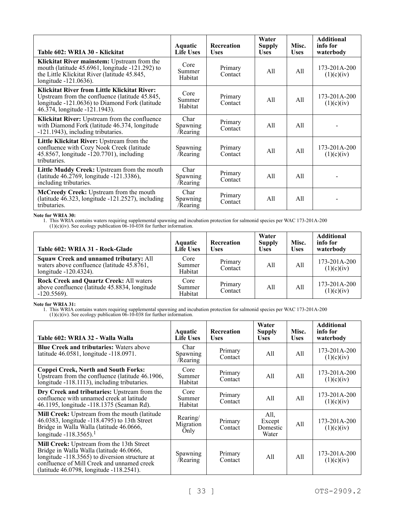| Table 602: WRIA 30 - Klickitat                                                                                                                                                    | Aquatic<br><b>Life Uses</b>  | <b>Recreation</b><br><b>Uses</b> | Water<br><b>Supply</b><br><b>Uses</b> | Misc.<br><b>Uses</b> | <b>Additional</b><br>info for<br>waterbody |
|-----------------------------------------------------------------------------------------------------------------------------------------------------------------------------------|------------------------------|----------------------------------|---------------------------------------|----------------------|--------------------------------------------|
| Klickitat River mainstem: Upstream from the<br>mouth (latitude $45.6961$ , longitude $-121.292$ ) to<br>the Little Klickitat River (latitude 45.845,<br>longitude -121.0636).     | Core<br>Summer<br>Habitat    | Primary<br>Contact               | All                                   | All                  | 173-201A-200<br>(1)(c)(iv)                 |
| Klickitat River from Little Klickitat River:<br>Upstream from the confluence (latitude 45.845,<br>longitude -121.0636) to Diamond Fork (latitude<br>46.374, longitude -121.1943). | Core<br>Summer<br>Habitat    | Primary<br>Contact               | All                                   | All                  | 173-201A-200<br>(1)(c)(iv)                 |
| Klickitat River: Upstream from the confluence<br>with Diamond Fork (latitude 46.374, longitude<br>-121.1943), including tributaries.                                              | Char<br>Spawning<br>/Rearing | Primary<br>Contact               | All                                   | All                  |                                            |
| Little Klickitat River: Upstream from the<br>confluence with Cozy Nook Creek (latitude<br>45.8567, longitude -120.7701), including<br>tributaries.                                | Spawning<br>/Rearing         | Primary<br>Contact               | All                                   | All                  | 173-201A-200<br>(1)(c)(iv)                 |
| Little Muddy Creek: Upstream from the mouth<br>(latitude 46.2769, longitude -121.3386),<br>including tributaries.                                                                 | Char<br>Spawning<br>/Rearing | Primary<br>Contact               | A11                                   | All                  |                                            |
| McCreedy Creek: Upstream from the mouth<br>(latitude 46.323, longitude -121.2527), including<br>tributaries.                                                                      | Char<br>Spawning<br>/Rearing | Primary<br>Contact               | A11                                   | All                  |                                            |

# **Note for WRIA 30:**

1. This WRIA contains waters requiring supplemental spawning and incubation protection for salmonid species per WAC 173-201A-200

 $(1)(c)(iv)$ . See ecology publication  $06-10-038$  for further information.

| Table 602: WRIA 31 - Rock-Glade                                                                                      | Aquatic<br><b>Life Uses</b> | <b>Recreation</b><br><b>Uses</b> | Water<br><b>Supply</b><br><b>Uses</b> | Misc.<br><b>Uses</b> | <b>Additional</b><br>info for<br>waterbody |
|----------------------------------------------------------------------------------------------------------------------|-----------------------------|----------------------------------|---------------------------------------|----------------------|--------------------------------------------|
| <b>Squaw Creek and unnamed tributary: All</b><br>waters above confluence (latitude 45.8761,<br>longitude -120.4324). | Core<br>Summer<br>Habitat   | Primary<br>Contact               | All                                   | A11                  | 173-201A-200<br>(1)(c)(iv)                 |
| <b>Rock Creek and Quartz Creek: All waters</b><br>above confluence (latitude 45.8834, longitude<br>$-120.5569$ ).    | Core<br>Summer<br>Habitat   | Primary<br>Contact               | All                                   | A11                  | $173 - 201A - 200$<br>(1)(c)(iv)           |

# **Note for WRIA 31:**

1. This WRIA contains waters requiring supplemental spawning and incubation protection for salmonid species per WAC 173-201A-200

 $(1)(c)(iv)$ . See ecology publication  $06-10-038$  for further information.

| Table 602: WRIA 32 - Walla Walla                                                                                                                                                                                                  | <b>Aquatic</b><br><b>Life Uses</b> | Recreation<br><b>Uses</b> | Water<br><b>Supply</b><br><b>Uses</b> | Misc.<br><b>Uses</b> | <b>Additional</b><br>info for<br>waterbody |
|-----------------------------------------------------------------------------------------------------------------------------------------------------------------------------------------------------------------------------------|------------------------------------|---------------------------|---------------------------------------|----------------------|--------------------------------------------|
| <b>Blue Creek and tributaries:</b> Waters above<br>latitude 46.0581, longitude -118.0971.                                                                                                                                         | Char<br>Spawning<br>/Rearing       | Primary<br>Contact        | All                                   | All                  | 173-201A-200<br>(1)(c)(iv)                 |
| <b>Coppei Creek, North and South Forks:</b><br>Upstream from the confluence (latitude 46.1906,<br>longitude -118.1113), including tributaries.                                                                                    | Core<br>Summer<br>Habitat          | Primary<br>Contact        | All                                   | All                  | 173-201A-200<br>(1)(c)(iv)                 |
| Dry Creek and tributaries: Upstream from the<br>confluence with unnamed creek at latitude<br>46.1195, longitude -118.1375 (Seaman Rd).                                                                                            | Core<br>Summer<br>Habitat          | Primary<br>Contact        | All                                   | All                  | 173-201A-200<br>(1)(c)(iv)                 |
| Mill Creek: Upstream from the mouth (latitude<br>46.0383, longitude -118.4795) to 13th Street<br>Bridge in Walla Walla (latitude 46.0666,<br>longitude -118.3565). <sup>1</sup>                                                   | Rearing/<br>Migration<br>Only      | Primary<br>Contact        | All,<br>Except<br>Domestic<br>Water   | All                  | 173-201A-200<br>(1)(c)(iv)                 |
| Mill Creek: Upstream from the 13th Street<br>Bridge in Walla Walla (latitude 46.0666,<br>longitude -118.3565) to diversion structure at<br>confluence of Mill Creek and unnamed creek<br>(latitude 46.0798, longitude -118.2541). | Spawning<br>/Rearing               | Primary<br>Contact        | All                                   | All                  | 173-201A-200<br>(1)(c)(iv)                 |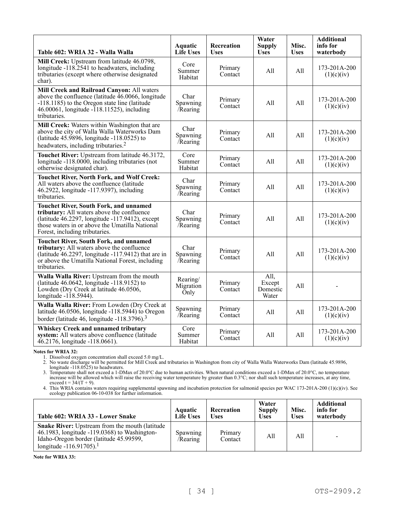| Table 602: WRIA 32 - Walla Walla                                                                                                                                                                                                   | <b>Aquatic</b><br><b>Life Uses</b> | Recreation<br><b>Uses</b> | Water<br><b>Supply</b><br><b>Uses</b> | Misc.<br><b>Uses</b> | <b>Additional</b><br>info for<br>waterbody |
|------------------------------------------------------------------------------------------------------------------------------------------------------------------------------------------------------------------------------------|------------------------------------|---------------------------|---------------------------------------|----------------------|--------------------------------------------|
| Mill Creek: Upstream from latitude 46.0798,<br>longitude -118.2541 to headwaters, including<br>tributaries (except where otherwise designated<br>char).                                                                            | Core<br>Summer<br>Habitat          | Primary<br>Contact        | A11                                   | All                  | 173-201A-200<br>(1)(c)(iv)                 |
| Mill Creek and Railroad Canyon: All waters<br>above the confluence (latitude $46.0066$ , longitude<br>-118.1185) to the Oregon state line (latitude<br>46.00061, longitude -118.11525), including<br>tributaries.                  | Char<br>Spawning<br>$/$ Rearing    | Primary<br>Contact        | All                                   | A11                  | 173-201A-200<br>(1)(c)(iv)                 |
| Mill Creek: Waters within Washington that are<br>above the city of Walla Walla Waterworks Dam<br>(latitude 45.9896, longitude -118.0525) to<br>headwaters, including tributaries. <sup>2</sup>                                     | Char<br>Spawning<br>Rearing        | Primary<br>Contact        | All                                   | All                  | 173-201A-200<br>(1)(c)(iv)                 |
| Touchet River: Upstream from latitude 46.3172,<br>longitude -118.0000, including tributaries (not<br>otherwise designated char).                                                                                                   | Core<br>Summer<br>Habitat          | Primary<br>Contact        | All                                   | All                  | 173-201A-200<br>(1)(c)(iv)                 |
| <b>Touchet River, North Fork, and Wolf Creek:</b><br>All waters above the confluence (latitude<br>46.2922, longitude -117.9397), including<br>tributaries.                                                                         | Char<br>Spawning<br>/Rearing       | Primary<br>Contact        | All                                   | A11                  | 173-201A-200<br>(1)(c)(iv)                 |
| <b>Touchet River, South Fork, and unnamed</b><br>tributary: All waters above the confluence<br>(latitude 46.2297, longitude -117.9412), except<br>those waters in or above the Umatilla National<br>Forest, including tributaries. | Char<br>Spawning<br>Rearing        | Primary<br>Contact        | All                                   | All                  | 173-201A-200<br>(1)(c)(iv)                 |
| <b>Touchet River, South Fork, and unnamed</b><br>tributary: All waters above the confluence<br>(latitude 46.2297, longitude -117.9412) that are in<br>or above the Umatilla National Forest, including<br>tributaries.             | Char<br>Spawning<br>$/$ Rearing    | Primary<br>Contact        | All                                   | All                  | 173-201A-200<br>(1)(c)(iv)                 |
| Walla Walla River: Upstream from the mouth<br>(latitude 46.0642, longitude -118.9152) to<br>Lowden (Dry Creek at latitude 46.0506,<br>longitude -118.5944).                                                                        | Rearing/<br>Migration<br>Only      | Primary<br>Contact        | All,<br>Except<br>Domestic<br>Water   | All                  |                                            |
| Walla Walla River: From Lowden (Dry Creek at<br>latitude 46.0506, longitude -118.5944) to Oregon<br>border (latitude 46, longitude -118.3796). <sup>3</sup>                                                                        | Spawning<br>/Rearing               | Primary<br>Contact        | All                                   | All                  | 173-201A-200<br>(1)(c)(iv)                 |
| <b>Whiskey Creek and unnamed tributary</b><br>system: All waters above confluence (latitude<br>46.2176, longitude -118.0661).                                                                                                      | Core<br>Summer<br>Habitat          | Primary<br>Contact        | All                                   | All                  | 173-201A-200<br>(1)(c)(iv)                 |

**Notes for WRIA 32:**

1. Dissolved oxygen concentration shall exceed 5.0 mg/L.

2. No waste discharge will be permitted for Mill Creek and tributaries in Washington from city of Walla Walla Waterworks Dam (latitude 45.9896, longitude -118.0525) to headwaters.

3. Temperature shall not exceed a 1-DMax of 20.0°C due to human activities. When natural conditions exceed a 1-DMax of 20.0°C, no temperature increase will be allowed which will raise the receiving water temperature by greater than 0.3°C; nor shall such temperature increases, at any time, exceed  $t = 34/(T + 9)$ .

4. This WRIA contains waters requiring supplemental spawning and incubation protection for salmonid species per WAC 173-201A-200 (1)(c)(iv). See ecology publication 06-10-038 for further information.

| Table 602: WRIA 33 - Lower Snake                                                                                                                                                         | Aquatic<br><b>Life Uses</b> | Recreation<br>Uses | Water<br><b>Supply</b><br><b>Uses</b> | Misc.<br><b>Uses</b> | <b>Additional</b><br>info for<br>waterbody |
|------------------------------------------------------------------------------------------------------------------------------------------------------------------------------------------|-----------------------------|--------------------|---------------------------------------|----------------------|--------------------------------------------|
| <b>Snake River:</b> Upstream from the mouth (latitude)<br>46.1983, longitude -119.0368) to Washington-<br>Idaho-Oregon border (latitude 45.99599,<br>longitude -116.91705). <sup>1</sup> | Spawning<br>/Rearing        | Primary<br>Contact | A11                                   | All                  | $\overline{\phantom{0}}$                   |

**Note for WRIA 33:**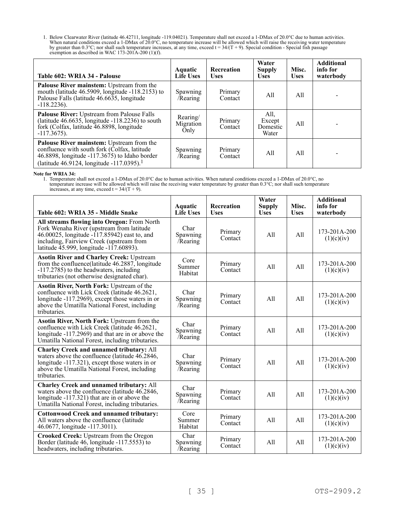1. Below Clearwater River (latitude 46.42711, longitude -119.04021). Temperature shall not exceed a 1-DMax of 20.0°C due to human activities. When natural conditions exceed a 1-DMax of 20.0°C, no temperature increase will be allowed which will raise the receiving water temperature by greater than 0.3°C; nor shall such temperature increases, at any time, exceed  $t = 34/(T + 9)$ . Special condition - Special fish passage exemption as described in WAC 173-201A-200 (1)(f).

| Table 602: WRIA 34 - Palouse                                                                                                                                                                                  | Aquatic<br><b>Life Uses</b>   | <b>Recreation</b><br>Uses | Water<br><b>Supply</b><br><b>Uses</b> | Misc.<br><b>Uses</b> | <b>Additional</b><br>info for<br>waterbody |
|---------------------------------------------------------------------------------------------------------------------------------------------------------------------------------------------------------------|-------------------------------|---------------------------|---------------------------------------|----------------------|--------------------------------------------|
| Palouse River mainstem: Upstream from the<br>mouth (latitude 46.5909, longitude -118.2153) to<br>Palouse Falls (latitude 46.6635, longitude<br>$-118.2236$ ).                                                 | Spawning<br>/Rearing          | Primary<br>Contact        | All                                   | All                  |                                            |
| Palouse River: Upstream from Palouse Falls<br>(latitude $46.6635$ , longitude $-118.2236$ ) to south<br>fork (Colfax, latitude 46.8898, longitude<br>$-117.3675$ ).                                           | Rearing/<br>Migration<br>Only | Primary<br>Contact        | All,<br>Except<br>Domestic<br>Water   | All                  |                                            |
| <b>Palouse River mainstem:</b> Upstream from the<br>confluence with south fork (Colfax, latitude<br>46.8898, longitude $-117.3675$ ) to Idaho border<br>(latitude 46.9124, longitude -117.0395). <sup>1</sup> | Spawning<br>/Rearing          | Primary<br>Contact        | All                                   | All                  |                                            |

**Note for WRIA 34:**

1. Temperature shall not exceed a 1-DMax of 20.0°C due to human activities. When natural conditions exceed a 1-DMax of 20.0°C, no temperature increase will be allowed which will raise the receiving water temperature by greater than 0.3°C; nor shall such temperature increases, at any time, exceed  $t = 34/(T + 9)$ .

| Table 602: WRIA 35 - Middle Snake                                                                                                                                                                                               | <b>Aquatic</b><br><b>Life Uses</b> | <b>Recreation</b><br><b>Uses</b> | Water<br><b>Supply</b><br><b>Uses</b> | Misc.<br><b>Uses</b> | <b>Additional</b><br>info for<br>waterbody |
|---------------------------------------------------------------------------------------------------------------------------------------------------------------------------------------------------------------------------------|------------------------------------|----------------------------------|---------------------------------------|----------------------|--------------------------------------------|
| All streams flowing into Oregon: From North<br>Fork Wenaha River (upstream from latitude<br>46.00025, longitude -117.85942) east to, and<br>including, Fairview Creek (upstream from<br>latitude 45.999, longitude -117.60893). | Char<br>Spawning<br>/Rearing       | Primary<br>Contact               | All                                   | All                  | $173 - 201A - 200$<br>(1)(c)(iv)           |
| <b>Asotin River and Charley Creek: Upstream</b><br>from the confluence (latitude 46.2887, longitude<br>-117.2785) to the headwaters, including<br>tributaries (not otherwise designated char).                                  | Core<br>Summer<br>Habitat          | Primary<br>Contact               | All                                   | A11                  | 173-201A-200<br>(1)(c)(iv)                 |
| Asotin River, North Fork: Upstream of the<br>confluence with Lick Creek (latitude 46.2621,<br>longitude -117.2969), except those waters in or<br>above the Umatilla National Forest, including<br>tributaries.                  | Char<br>Spawning<br>/Rearing       | Primary<br>Contact               | All                                   | All                  | $173 - 201A - 200$<br>(1)(c)(iv)           |
| Asotin River, North Fork: Upstream from the<br>confluence with Lick Creek (latitude 46.2621,<br>longitude -117.2969) and that are in or above the<br>Umatilla National Forest, including tributaries.                           | Char<br>Spawning<br><b>Rearing</b> | Primary<br>Contact               | A11                                   | A11                  | 173-201A-200<br>(1)(c)(iv)                 |
| <b>Charley Creek and unnamed tributary: All</b><br>waters above the confluence (latitude 46.2846,<br>longitude -117.321), except those waters in or<br>above the Umatilla National Forest, including<br>tributaries.            | Char<br>Spawning<br>Rearing        | Primary<br>Contact               | All                                   | A11                  | $173 - 201A - 200$<br>(1)(c)(iv)           |
| <b>Charley Creek and unnamed tributary: All</b><br>waters above the confluence (latitude 46.2846,<br>longitude -117.321) that are in or above the<br>Umatilla National Forest, including tributaries.                           | Char<br>Spawning<br><b>Rearing</b> | Primary<br>Contact               | All                                   | A11                  | 173-201A-200<br>(1)(c)(iv)                 |
| <b>Cottonwood Creek and unnamed tributary:</b><br>All waters above the confluence (latitude<br>46.0677, longitude -117.3011).                                                                                                   | Core<br>Summer<br>Habitat          | Primary<br>Contact               | All                                   | A11                  | 173-201A-200<br>(1)(c)(iv)                 |
| Crooked Creek: Upstream from the Oregon<br>Border (latitude 46, longitude -117.5553) to<br>headwaters, including tributaries.                                                                                                   | Char<br>Spawning<br>/Rearing       | Primary<br>Contact               | A11                                   | A11                  | 173-201A-200<br>(1)(c)(iv)                 |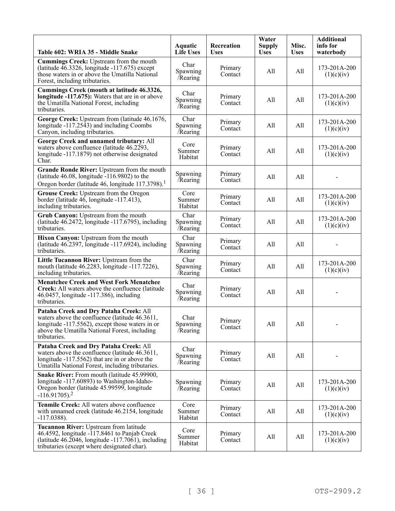| Table 602: WRIA 35 - Middle Snake                                                                                                                                                                            | Aquatic<br><b>Life Uses</b>  | Recreation<br><b>Uses</b> | Water<br><b>Supply</b><br><b>Uses</b> | Misc.<br><b>Uses</b> | <b>Additional</b><br>info for<br>waterbody |
|--------------------------------------------------------------------------------------------------------------------------------------------------------------------------------------------------------------|------------------------------|---------------------------|---------------------------------------|----------------------|--------------------------------------------|
| Cummings Creek: Upstream from the mouth<br>(latitude $46.3326$ , longitude $-117.675$ ) except<br>those waters in or above the Umatilla National<br>Forest, including tributaries.                           | Char<br>Spawning<br>/Rearing | Primary<br>Contact        | All                                   | All                  | 173-201A-200<br>(1)(c)(iv)                 |
| Cummings Creek (mouth at latitude 46.3326,<br>longitude -117.675): Waters that are in or above<br>the Umatilla National Forest, including<br>tributaries.                                                    | Char<br>Spawning<br>Rearing  | Primary<br>Contact        | All                                   | All                  | 173-201A-200<br>(1)(c)(iv)                 |
| George Creek: Upstream from (latitude 46.1676,<br>longitude -117.2543) and including Coombs<br>Canyon, including tributaries.                                                                                | Char<br>Spawning<br>Rearing  | Primary<br>Contact        | All                                   | All                  | 173-201A-200<br>(1)(c)(iv)                 |
| George Creek and unnamed tributary: All<br>waters above confluence (latitude 46.2293,<br>longitude -117.1879) not otherwise designated<br>Char.                                                              | Core<br>Summer<br>Habitat    | Primary<br>Contact        | All                                   | All                  | 173-201A-200<br>(1)(c)(iv)                 |
| Grande Ronde River: Upstream from the mouth<br>(latitude $46.08$ , longitude $-116.9802$ ) to the<br>Oregon border (latitude 46, longitude 117.3798). <sup>1</sup>                                           | Spawning<br>/Rearing         | Primary<br>Contact        | All                                   | All                  |                                            |
| Grouse Creek: Upstream from the Oregon<br>border (latitude $46$ , longitude $-117.413$ ),<br>including tributaries.                                                                                          | Core<br>Summer<br>Habitat    | Primary<br>Contact        | All                                   | All                  | 173-201A-200<br>(1)(c)(iv)                 |
| Grub Canyon: Upstream from the mouth<br>(latitude $46.2472$ , longitude $-117.6795$ ), including<br>tributaries.                                                                                             | Char<br>Spawning<br>Rearing  | Primary<br>Contact        | All                                   | All                  | 173-201A-200<br>(1)(c)(iv)                 |
| Hixon Canyon: Upstream from the mouth<br>(latitude 46.2397, longitude -117.6924), including<br>tributaries.                                                                                                  | Char<br>Spawning<br>/Rearing | Primary<br>Contact        | All                                   | All                  |                                            |
| Little Tucannon River: Upstream from the<br>mouth (latitude 46.2283, longitude -117.7226),<br>including tributaries.                                                                                         | Char<br>Spawning<br>Rearing  | Primary<br>Contact        | All                                   | All                  | 173-201A-200<br>(1)(c)(iv)                 |
| <b>Menatchee Creek and West Fork Menatchee</b><br>Creek: All waters above the confluence (latitude<br>46.0457, longitude -117.386), including<br>tributaries.                                                | Char<br>Spawning<br>/Rearing | Primary<br>Contact        | All                                   | All                  |                                            |
| Pataha Creek and Dry Pataha Creek: All<br>waters above the confluence (latitude 46.3611,<br>longitude -117.5562), except those waters in or<br>above the Umatilla National Forest, including<br>tributaries. | Char<br>Spawning<br>Rearing  | Primary<br>Contact        | All                                   | All                  |                                            |
| Pataha Creek and Dry Pataha Creek: All<br>waters above the confluence (latitude 46.3611,<br>longitude -117.5562) that are in or above the<br>Umatilla National Forest, including tributaries.                | Char<br>Spawning<br>Rearing  | Primary<br>Contact        | All                                   | All                  |                                            |
| Snake River: From mouth (latitude 45.99900,<br>longitude -117.60893) to Washington-Idaho-<br>Oregon border (latitude 45.99599, longitude<br>$-116.91705$ ). <sup>2</sup>                                     | Spawning<br>/Rearing         | Primary<br>Contact        | All                                   | All                  | 173-201A-200<br>(1)(c)(iv)                 |
| Tenmile Creek: All waters above confluence<br>with unnamed creek (latitude 46.2154, longitude<br>$-117.0388$ ).                                                                                              | Core<br>Summer<br>Habitat    | Primary<br>Contact        | All                                   | All                  | 173-201A-200<br>(1)(c)(iv)                 |
| Tucannon River: Upstream from latitude<br>46.4592, longitude -117.8461 to Panjab Creek<br>(latitude $46.2046$ , longitude $-117.7061$ ), including<br>tributaries (except where designated char).            | Core<br>Summer<br>Habitat    | Primary<br>Contact        | All                                   | All                  | 173-201A-200<br>(1)(c)(iv)                 |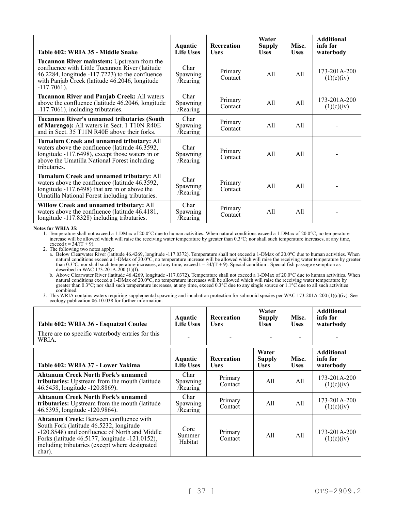| Table 602: WRIA 35 - Middle Snake                                                                                                                                                                                          | Aquatic<br>Life Uses                | <b>Recreation</b><br><b>Uses</b> | Water<br><b>Supply</b><br><b>Uses</b> | Misc.<br><b>Uses</b> | <b>Additional</b><br>info for<br>waterbody |
|----------------------------------------------------------------------------------------------------------------------------------------------------------------------------------------------------------------------------|-------------------------------------|----------------------------------|---------------------------------------|----------------------|--------------------------------------------|
| Tucannon River mainstem: Upstream from the<br>confluence with Little Tucannon River (latitude<br>$46.2284$ , longitude $-117.7223$ ) to the confluence<br>with Panjab Creek (latitude 46.2046, longitude<br>$-117.7061$ ). | Char<br>Spawning<br>/Rearing        | Primary<br>Contact               | All                                   | All                  | 173-201A-200<br>(1)(c)(iv)                 |
| <b>Tucannon River and Panjab Creek: All waters</b><br>above the confluence (latitude 46.2046, longitude<br>-117.7061), including tributaries.                                                                              | Char<br><b>Spawning</b><br>/Rearing | Primary<br>Contact               | All                                   | All                  | 173-201A-200<br>(1)(c)(iv)                 |
| <b>Tucannon River's unnamed tributaries (South</b><br>of Marengo): All waters in Sect. 1 T10N R40E<br>and in Sect. 35 T11N R40E above their forks.                                                                         | Char<br>Spawning<br>/Rearing        | Primary<br>Contact               | A11                                   | A11                  |                                            |
| Tumalum Creek and unnamed tributary: All<br>waters above the confluence (latitude 46.3592,<br>longitude -117.6498), except those waters in or<br>above the Umatilla National Forest including<br>tributaries.              | Char<br>Spawning<br>/Rearing        | Primary<br>Contact               | A11                                   | A11                  |                                            |
| Tumalum Creek and unnamed tributary: All<br>waters above the confluence (latitude 46.3592,<br>longitude -117.6498) that are in or above the<br>Umatilla National Forest including tributaries.                             | Char<br>Spawning<br>/Rearing        | Primary<br>Contact               | All                                   | All                  |                                            |
| Willow Creek and unnamed tributary: All<br>waters above the confluence (latitude 46.4181,<br>longitude -117.8328) including tributaries.                                                                                   | Char<br>Spawning<br>/Rearing        | Primary<br>Contact               | A11                                   | All                  |                                            |

#### **Notes for WRIA 35:**

1. Temperature shall not exceed a 1-DMax of 20.0°C due to human activities. When natural conditions exceed a 1-DMax of 20.0°C, no temperature increases will be allowed which will raise the receiving water temperature by gr increase will be allowed which will raise the receiving water temperature by greater than 0.3°C; nor shall such temperature increases, at any time, exceed  $t = 34/(T + 9)$ .

2. The following two notes apply:

a. Below Clearwater River (latitude 46.4269, longitude -117.0372). Temperature shall not exceed a 1-DMax of 20.0°C due to human activities. When natural conditions exceed a 1-DMax of 20.0°C, no temperature increase will be allowed which will raise the receiving water temperature by greater than  $0.3^{\circ}$ C; nor shall such temperature increases, at any time, exceed t =  $34/(T + 9)$ . Special condition - Special fish passage exemption as described in WAC 173-201A-200 (1)(f).

b. Above Clearwater River (latitude 46.4269, longitude -117.0372). Temperature shall not exceed a 1-DMax of 20.0°C due to human activities. When natural conditions exceed a 1-DMax of 20.0°C, no temperature increases will be allowed which will raise the receiving water temperature by greater than 0.3°C; nor shall such temperature increases, at any time, exceed 0.3°C due to any single source or  $1.1$ °C due to all such activities combined.

| Table 602: WRIA 36 - Esquatzel Coulee                                                                                                                                                                                                            | <b>Aquatic</b><br><b>Life Uses</b>  | <b>Recreation</b><br><b>Uses</b> | Water<br>Supply<br><b>Uses</b> | Misc.<br><b>Uses</b> | <b>Additional</b><br>info for<br>waterbody |
|--------------------------------------------------------------------------------------------------------------------------------------------------------------------------------------------------------------------------------------------------|-------------------------------------|----------------------------------|--------------------------------|----------------------|--------------------------------------------|
| There are no specific waterbody entries for this<br>WRIA.                                                                                                                                                                                        |                                     |                                  |                                |                      |                                            |
| Table 602: WRIA 37 - Lower Yakima                                                                                                                                                                                                                | <b>Aquatic</b><br>Life Uses         | <b>Recreation</b><br><b>Uses</b> | Water<br>Supply<br><b>Uses</b> | Misc.<br><b>Uses</b> | <b>Additional</b><br>info for<br>waterbody |
| <b>Ahtanum Creek North Fork's unnamed</b><br><b>tributaries:</b> Upstream from the mouth (latitude)<br>46.5458, longitude -120.8869).                                                                                                            | Char<br><b>Spawning</b><br>/Rearing | Primary<br>Contact               | All                            | All                  | 173-201A-200<br>(1)(c)(iv)                 |
| <b>Ahtanum Creek North Fork's unnamed</b><br>tributaries: Upstream from the mouth (latitude<br>46.5395, longitude -120.9864).                                                                                                                    | Char<br><b>Spawning</b><br>/Rearing | Primary<br>Contact               | All                            | All                  | 173-201A-200<br>(1)(c)(iv)                 |
| Ahtanum Creek: Between confluence with<br>South Fork (latitude 46.5232, longitude<br>-120.8548) and confluence of North and Middle<br>Forks (latitude 46.5177, longitude -121.0152),<br>including tributaries (except where designated<br>char). | Core<br>Summer<br>Habitat           | Primary<br>Contact               | All                            | All                  | 173-201A-200<br>(1)(c)(iv)                 |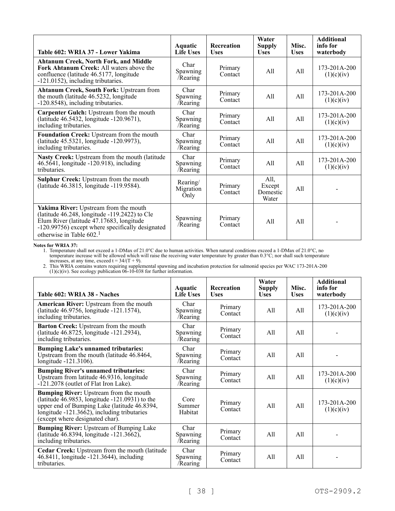| Table 602: WRIA 37 - Lower Yakima                                                                                                                                                                                    | Aquatic<br><b>Life Uses</b>   | <b>Recreation</b><br><b>Uses</b> | Water<br><b>Supply</b><br><b>Uses</b> | Misc.<br><b>Uses</b> | <b>Additional</b><br>info for<br>waterbody |
|----------------------------------------------------------------------------------------------------------------------------------------------------------------------------------------------------------------------|-------------------------------|----------------------------------|---------------------------------------|----------------------|--------------------------------------------|
| <b>Ahtanum Creek, North Fork, and Middle</b><br><b>Fork Ahtanum Creek: All waters above the</b><br>confluence (latitude 46.5177, longitude<br>-121.0152), including tributaries.                                     | Char<br>Spawning<br>/Rearing  | Primary<br>Contact               | All                                   | A11                  | $173 - 201A - 200$<br>(1)(c)(iv)           |
| Ahtanum Creek, South Fork: Upstream from<br>the mouth (latitude 46.5232, longitude<br>-120.8548), including tributaries.                                                                                             | Char<br>Spawning<br>/Rearing  | Primary<br>Contact               | All                                   | All                  | 173-201A-200<br>(1)(c)(iv)                 |
| Carpenter Gulch: Upstream from the mouth<br>(latitude 46.5432, longitude -120.9671),<br>including tributaries.                                                                                                       | Char<br>Spawning<br>/Rearing  | Primary<br>Contact               | All                                   | All                  | 173-201A-200<br>(1)(c)(iv)                 |
| Foundation Creek: Upstream from the mouth<br>(latitude 45.5321, longitude -120.9973),<br>including tributaries.                                                                                                      | Char<br>Spawning<br>/Rearing  | Primary<br>Contact               | All                                   | A11                  | 173-201A-200<br>(1)(c)(iv)                 |
| Nasty Creek: Upstream from the mouth (latitude<br>46.5641, longitude -120.918), including<br>tributaries.                                                                                                            | Char<br>Spawning<br>/Rearing  | Primary<br>Contact               | All                                   | All                  | $173 - 201A - 200$<br>(1)(c)(iv)           |
| <b>Sulphur Creek: Upstream from the mouth</b><br>(latitude 46.3815, longitude -119.9584).                                                                                                                            | Rearing/<br>Migration<br>Only | Primary<br>Contact               | All,<br>Except<br>Domestic<br>Water   | A11                  |                                            |
| Yakima River: Upstream from the mouth<br>(latitude 46.248, longitude -119.2422) to Cle<br>Elum River (latitude 47.17683, longitude<br>-120.99756) except where specifically designated<br>otherwise in Table $602.1$ | Spawning<br>/Rearing          | Primary<br>Contact               | All                                   | A11                  |                                            |

**Notes for WRIA 37:**

1. Temperature shall not exceed a 1-DMax of 21.0°C due to human activities. When natural conditions exceed a 1-DMax of 21.0°C, no temperature increase will be allowed which will raise the receiving water temperature by greater than 0.3°C; nor shall such temperature increases, at any time, exceed  $t = 34/(T + 9)$ .

| Table 602: WRIA 38 - Naches                                                                                                                                                                                                | Aquatic<br>Life Uses         | <b>Recreation</b><br><b>Uses</b> | Water<br>Supply<br><b>Uses</b> | Misc.<br><b>Uses</b> | <b>Additional</b><br>info for<br>waterbody |
|----------------------------------------------------------------------------------------------------------------------------------------------------------------------------------------------------------------------------|------------------------------|----------------------------------|--------------------------------|----------------------|--------------------------------------------|
| American River: Upstream from the mouth<br>(latitude 46.9756, longitude -121.1574),<br>including tributaries.                                                                                                              | Char<br>Spawning<br>/Rearing | Primary<br>Contact               | All                            | All                  | 173-201A-200<br>(1)(c)(iv)                 |
| Barton Creek: Upstream from the mouth<br>(latitude 46.8725, longitude -121.2934),<br>including tributaries.                                                                                                                | Char<br>Spawning<br>/Rearing | Primary<br>Contact               | All                            | A11                  |                                            |
| <b>Bumping Lake's unnamed tributaries:</b><br>Upstream from the mouth (latitude 46.8464,<br>longitude -121.3106).                                                                                                          | Char<br>Spawning<br>/Rearing | Primary<br>Contact               | All                            | A11                  |                                            |
| <b>Bumping River's unnamed tributaries:</b><br>Upstream from latitude 46.9316, longitude<br>-121.2078 (outlet of Flat Iron Lake).                                                                                          | Char<br>Spawning<br>/Rearing | Primary<br>Contact               | All                            | All                  | 173-201A-200<br>(1)(c)(iv)                 |
| Bumping River: Upstream from the mouth<br>(latitude 46.9853, longitude -121.0931) to the<br>upper end of Bumping Lake (latitude 46.8394,<br>longitude -121.3662), including tributaries<br>(except where designated char). | Core<br>Summer<br>Habitat    | Primary<br>Contact               | A11                            | A11                  | 173-201A-200<br>(1)(c)(iv)                 |
| <b>Bumping River:</b> Upstream of Bumping Lake<br>(latitude 46.8394, longitude -121.3662),<br>including tributaries.                                                                                                       | Char<br>Spawning<br>/Rearing | Primary<br>Contact               | All                            | A11                  |                                            |
| Cedar Creek: Upstream from the mouth (latitude<br>46.8411, longitude -121.3644), including<br>tributaries.                                                                                                                 | Char<br>Spawning<br>/Rearing | Primary<br>Contact               | All                            | A11                  |                                            |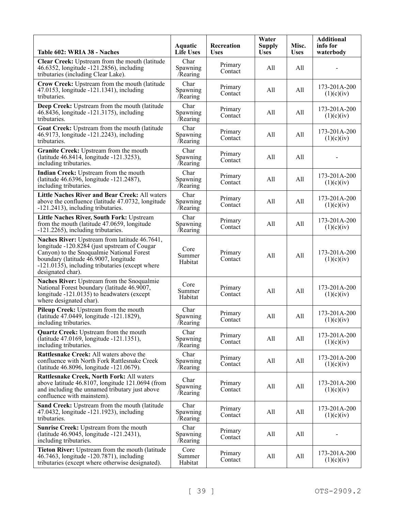| Table 602: WRIA 38 - Naches                                                                                                                                                                                                                                 | Aquatic<br><b>Life Uses</b>        | Recreation<br><b>Uses</b> | Water<br><b>Supply</b><br><b>Uses</b> | Misc.<br><b>Uses</b> | <b>Additional</b><br>info for<br>waterbody |
|-------------------------------------------------------------------------------------------------------------------------------------------------------------------------------------------------------------------------------------------------------------|------------------------------------|---------------------------|---------------------------------------|----------------------|--------------------------------------------|
| Clear Creek: Upstream from the mouth (latitude<br>46.6352, longitude -121.2856), including<br>tributaries (including Clear Lake).                                                                                                                           | Char<br>Spawning<br>Rearing        | Primary<br>Contact        | All                                   | All                  |                                            |
| Crow Creek: Upstream from the mouth (latitude<br>47.0153, longitude -121.1341), including<br>tributaries.                                                                                                                                                   | Char<br>Spawning<br><b>Rearing</b> | Primary<br>Contact        | All                                   | All                  | 173-201A-200<br>(1)(c)(iv)                 |
| Deep Creek: Upstream from the mouth (latitude<br>46.8436, longitude -121.3175), including<br>tributaries.                                                                                                                                                   | Char<br>Spawning<br>Rearing        | Primary<br>Contact        | All                                   | All                  | 173-201A-200<br>(1)(c)(iv)                 |
| Goat Creek: Upstream from the mouth (latitude<br>46.9173, longitude -121.2243), including<br>tributaries.                                                                                                                                                   | Char<br>Spawning<br>Rearing        | Primary<br>Contact        | All                                   | All                  | 173-201A-200<br>(1)(c)(iv)                 |
| Granite Creek: Upstream from the mouth<br>(latitude 46.8414, longitude -121.3253),<br>including tributaries.                                                                                                                                                | Char<br>Spawning<br>Rearing        | Primary<br>Contact        | All                                   | All                  |                                            |
| Indian Creek: Upstream from the mouth<br>(latitude 46.6396, longitude -121.2487),<br>including tributaries.                                                                                                                                                 | Char<br>Spawning<br><b>Rearing</b> | Primary<br>Contact        | All                                   | All                  | 173-201A-200<br>(1)(c)(iv)                 |
| Little Naches River and Bear Creek: All waters<br>above the confluence (latitude 47.0732, longitude<br>-121.2413), including tributaries.                                                                                                                   | Char<br>Spawning<br>/Rearing       | Primary<br>Contact        | All                                   | All                  | 173-201A-200<br>(1)(c)(iv)                 |
| Little Naches River, South Fork: Upstream<br>from the mouth (latitude 47.0659, longitude<br>-121.2265), including tributaries.                                                                                                                              | Char<br>Spawning<br>Rearing        | Primary<br>Contact        | All                                   | All                  | 173-201A-200<br>(1)(c)(iv)                 |
| Naches River: Upstream from latitude 46.7641,<br>longitude -120.8284 (just upstream of Cougar<br>Canyon) to the Snoqualmie National Forest<br>boundary (latitude 46.9007, longitude<br>-121.0135), including tributaries (except where<br>designated char). | Core<br>Summer<br>Habitat          | Primary<br>Contact        | All                                   | All                  | 173-201A-200<br>(1)(c)(iv)                 |
| Naches River: Upstream from the Snoqualmie<br>National Forest boundary (latitude 46.9007,<br>longitude -121.0135) to headwaters (except<br>where designated char).                                                                                          | Core<br>Summer<br>Habitat          | Primary<br>Contact        | All                                   | All                  | 173-201A-200<br>(1)(c)(iv)                 |
| Pileup Creek: Upstream from the mouth<br>(latitude 47.0449, longitude -121.1829),<br>including tributaries.                                                                                                                                                 | Char<br>Spawning<br>/Rearing       | Primary<br>Contact        | All                                   | All                  | 173-201A-200<br>(1)(c)(iv)                 |
| <b>Quartz Creek:</b> Upstream from the mouth<br>(latitude 47.0169, longitude -121.1351),<br>including tributaries.                                                                                                                                          | Char<br>Spawning<br>/Rearing       | Primary<br>Contact        | All                                   | All                  | 173-201A-200<br>(1)(c)(iv)                 |
| Rattlesnake Creek: All waters above the<br>confluence with North Fork Rattlesnake Creek<br>(latitude 46.8096, longitude -121.0679).                                                                                                                         | Char<br>Spawning<br>/Rearing       | Primary<br>Contact        | All                                   | All                  | 173-201A-200<br>(1)(c)(iv)                 |
| Rattlesnake Creek, North Fork: All waters<br>above latitude 46.8107, longitude 121.0694 (from<br>and including the unnamed tributary just above<br>confluence with mainstem).                                                                               | Char<br>Spawning<br>/Rearing       | Primary<br>Contact        | All                                   | All                  | 173-201A-200<br>(1)(c)(iv)                 |
| Sand Creek: Upstream from the mouth (latitude<br>47.0432, longitude -121.1923), including<br>tributaries.                                                                                                                                                   | Char<br>Spawning<br>Rearing        | Primary<br>Contact        | All                                   | All                  | 173-201A-200<br>(1)(c)(iv)                 |
| Sunrise Creek: Upstream from the mouth<br>(latitude 46.9045, longitude -121.2431),<br>including tributaries.                                                                                                                                                | Char<br>Spawning<br>/Rearing       | Primary<br>Contact        | All                                   | All                  |                                            |
| Tieton River: Upstream from the mouth (latitude<br>46.7463, longitude -120.7871), including<br>tributaries (except where otherwise designated).                                                                                                             | Core<br>Summer<br>Habitat          | Primary<br>Contact        | All                                   | All                  | 173-201A-200<br>(1)(c)(iv)                 |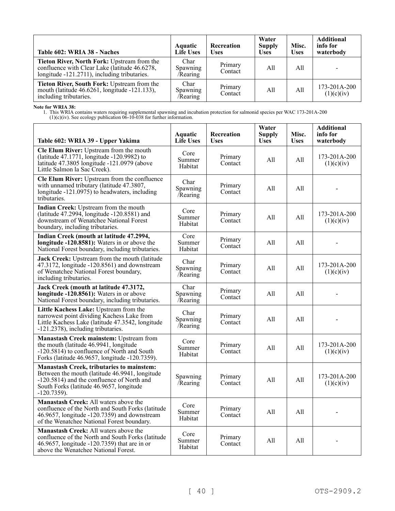| Table 602: WRIA 38 - Naches                                                                                                                  | Aquatic<br><b>Life Uses</b>  | Recreation<br><b>Uses</b> | Water<br><b>Supply</b><br><b>Uses</b> | Misc.<br><b>Uses</b> | <b>Additional</b><br>info for<br>waterbody |
|----------------------------------------------------------------------------------------------------------------------------------------------|------------------------------|---------------------------|---------------------------------------|----------------------|--------------------------------------------|
| Tieton River, North Fork: Upstream from the<br>confluence with Clear Lake (latitude 46.6278,<br>longitude -121.2711), including tributaries. | Char<br>Spawning<br>/Rearing | Primary<br>Contact        | All                                   | All                  |                                            |
| Tieton River, South Fork: Upstream from the<br>mouth (latitude 46.6261, longitude -121.133),<br>including tributaries.                       | Char<br>Spawning<br>/Rearing | Primary<br>Contact        | All                                   | All                  | 173-201A-200<br>(1)(c)(iv)                 |

**Note for WRIA 38:**

| Table 602: WRIA 39 - Upper Yakima                                                                                                                                                                              | <b>Aquatic</b><br><b>Life Uses</b> | Recreation<br><b>Uses</b> | Water<br><b>Supply</b><br><b>Uses</b> | Misc.<br><b>Uses</b> | <b>Additional</b><br>info for<br>waterbody |
|----------------------------------------------------------------------------------------------------------------------------------------------------------------------------------------------------------------|------------------------------------|---------------------------|---------------------------------------|----------------------|--------------------------------------------|
| <b>Cle Elum River:</b> Upstream from the mouth<br>(latitude 47.1771, longitude -120.9982) to<br>latitude 47.3805 longitude -121.0979 (above<br>Little Salmon la Sac Creek).                                    | Core<br>Summer<br>Habitat          | Primary<br>Contact        | All                                   | All                  | 173-201A-200<br>(1)(c)(iv)                 |
| Cle Elum River: Upstream from the confluence<br>with unnamed tributary (latitude 47.3807,<br>longitude -121.0975) to headwaters, including<br>tributaries.                                                     | Char<br>Spawning<br>/Rearing       | Primary<br>Contact        | All                                   | All                  |                                            |
| Indian Creek: Upstream from the mouth<br>(latitude 47.2994, longitude -120.8581) and<br>downstream of Wenatchee National Forest<br>boundary, including tributaries.                                            | Core<br>Summer<br>Habitat          | Primary<br>Contact        | All                                   | All                  | $173 - 201A - 200$<br>(1)(c)(iv)           |
| Indian Creek (mouth at latitude 47.2994,<br>longitude -120.8581): Waters in or above the<br>National Forest boundary, including tributaries.                                                                   | Core<br>Summer<br>Habitat          | Primary<br>Contact        | All                                   | All                  |                                            |
| Jack Creek: Upstream from the mouth (latitude<br>47.3172, longitude -120.8561) and downstream<br>of Wenatchee National Forest boundary,<br>including tributaries.                                              | Char<br>Spawning<br>Rearing        | Primary<br>Contact        | All                                   | All                  | 173-201A-200<br>(1)(c)(iv)                 |
| Jack Creek (mouth at latitude 47.3172,<br>longitude $-120.8561$ : Waters in or above<br>National Forest boundary, including tributaries.                                                                       | Char<br>Spawning<br>Rearing        | Primary<br>Contact        | All                                   | All                  |                                            |
| Little Kachess Lake: Upstream from the<br>narrowest point dividing Kachess Lake from<br>Little Kachess Lake (latitude 47.3542, longitude<br>-121.2378), including tributaries.                                 | Char<br>Spawning<br>Rearing        | Primary<br>Contact        | All                                   | All                  |                                            |
| Manastash Creek mainstem: Upstream from<br>the mouth (latitude 46.9941, longitude<br>-120.5814) to confluence of North and South<br>Forks (latitude 46.9657, longitude -120.7359).                             | Core<br>Summer<br>Habitat          | Primary<br>Contact        | All                                   | A11                  | 173-201A-200<br>(1)(c)(iv)                 |
| <b>Manastash Creek, tributaries to mainstem:</b><br>Between the mouth (latitude 46.9941, longitude<br>-120.5814) and the confluence of North and<br>South Forks (latitude 46.9657, longitude<br>$-120.7359$ ). | Spawning<br>/Rearing               | Primary<br>Contact        | All                                   | A11                  | 173-201A-200<br>(1)(c)(iv)                 |
| Manastash Creek: All waters above the<br>confluence of the North and South Forks (latitude<br>46.9657, longitude -120.7359) and downstream<br>of the Wenatchee National Forest boundary.                       | Core<br>Summer<br>Habitat          | Primary<br>Contact        | All                                   | A11                  |                                            |
| <b>Manastash Creek:</b> All waters above the<br>confluence of the North and South Forks (latitude<br>46.9657, longitude -120.7359) that are in or<br>above the Wenatchee National Forest.                      | Core<br>Summer<br>Habitat          | Primary<br>Contact        | All                                   | All                  |                                            |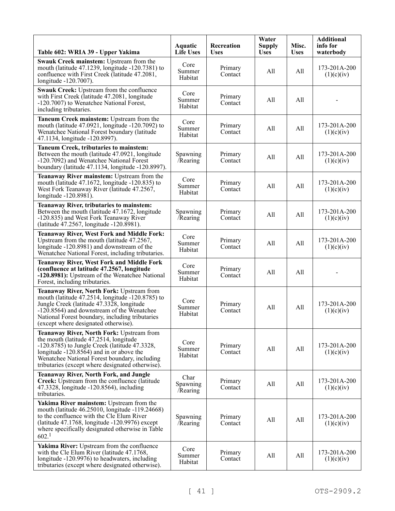| Table 602: WRIA 39 - Upper Yakima                                                                                                                                                                                                                                                        | <b>Aquatic</b><br><b>Life Uses</b> | Recreation<br><b>Uses</b> | Water<br><b>Supply</b><br><b>Uses</b> | Misc.<br><b>Uses</b> | <b>Additional</b><br>info for<br>waterbody |
|------------------------------------------------------------------------------------------------------------------------------------------------------------------------------------------------------------------------------------------------------------------------------------------|------------------------------------|---------------------------|---------------------------------------|----------------------|--------------------------------------------|
| Swauk Creek mainstem: Upstream from the<br>mouth (latitude 47.1239, longitude -120.7381) to<br>confluence with First Creek (latitude 47.2081,<br>longitude -120.7007).                                                                                                                   | Core<br>Summer<br>Habitat          | Primary<br>Contact        | All                                   | All                  | 173-201A-200<br>(1)(c)(iv)                 |
| Swauk Creek: Upstream from the confluence<br>with First Creek (latitude 47.2081, longitude<br>-120.7007) to Wenatchee National Forest,<br>including tributaries.                                                                                                                         | Core<br>Summer<br>Habitat          | Primary<br>Contact        | All                                   | All                  |                                            |
| Taneum Creek mainstem: Upstream from the<br>mouth (latitude 47.0921, longitude -120.7092) to<br>Wenatchee National Forest boundary (latitude<br>47.1134, longitude -120.8997).                                                                                                           | Core<br>Summer<br>Habitat          | Primary<br>Contact        | All                                   | All                  | 173-201A-200<br>(1)(c)(iv)                 |
| Taneum Creek, tributaries to mainstem:<br>Between the mouth (latitude 47.0921, longitude<br>-120.7092) and Wenatchee National Forest<br>boundary (latitude 47.1134, longitude -120.8997).                                                                                                | Spawning<br>/Rearing               | Primary<br>Contact        | All                                   | All                  | 173-201A-200<br>(1)(c)(iv)                 |
| Teanaway River mainstem: Upstream from the<br>mouth (latitude 47.1672, longitude -120.835) to<br>West Fork Teanaway River (latitude 47.2567,<br>longitude -120.8981).                                                                                                                    | Core<br>Summer<br>Habitat          | Primary<br>Contact        | All                                   | All                  | 173-201A-200<br>(1)(c)(iv)                 |
| <b>Teanaway River, tributaries to mainstem:</b><br>Between the mouth (latitude 47.1672, longitude<br>-120.835) and West Fork Teanaway River<br>(latitude 47.2567, longitude -120.8981).                                                                                                  | Spawning<br>/Rearing               | Primary<br>Contact        | All                                   | All                  | 173-201A-200<br>(1)(c)(iv)                 |
| <b>Teanaway River, West Fork and Middle Fork:</b><br>Upstream from the mouth (latitude 47.2567,<br>longitude -120.8981) and downstream of the<br>Wenatchee National Forest, including tributaries.                                                                                       | Core<br>Summer<br>Habitat          | Primary<br>Contact        | All                                   | All                  | 173-201A-200<br>(1)(c)(iv)                 |
| <b>Teanaway River, West Fork and Middle Fork</b><br>(confluence at latitude 47.2567, longitude<br>-120.8981): Upstream of the Wenatchee National<br>Forest, including tributaries.                                                                                                       | Core<br>Summer<br>Habitat          | Primary<br>Contact        | All                                   | All                  |                                            |
| Teanaway River, North Fork: Upstream from<br>mouth (latitude 47.2514, longitude -120.8785) to<br>Jungle Creek (latitude 47.3328, longitude<br>$-120.8564$ ) and downstream of the Wenatchee<br>National Forest boundary, including tributaries<br>(except where designated otherwise).   | Core<br>Summer<br>Habitat          | Primary<br>Contact        | All                                   | All                  | 173-201A-200<br>(1)(c)(iv)                 |
| Teanaway River, North Fork: Upstream from<br>the mouth (latitude 47.2514, longitude<br>$-120.8785$ ) to Jungle Creek (latitude 47.3328,<br>longitude -120.8564) and in or above the<br>Wenatchee National Forest boundary, including<br>tributaries (except where designated otherwise). | Core<br>Summer<br>Habitat          | Primary<br>Contact        | All                                   | All                  | 173-201A-200<br>(1)(c)(iv)                 |
| <b>Teanaway River, North Fork, and Jungle</b><br>Creek: Upstream from the confluence (latitude<br>47.3328, longitude -120.8564), including<br>tributaries.                                                                                                                               | Char<br>Spawning<br>/Rearing       | Primary<br>Contact        | All                                   | All                  | 173-201A-200<br>(1)(c)(iv)                 |
| Yakima River mainstem: Upstream from the<br>mouth (latitude 46.25010, longitude -119.24668)<br>to the confluence with the Cle Elum River<br>(latitude 47.1768, longitude -120.9976) except<br>where specifically designated otherwise in Table<br>602. <sup>1</sup>                      | Spawning<br>/Rearing               | Primary<br>Contact        | All                                   | All                  | 173-201A-200<br>(1)(c)(iv)                 |
| Yakima River: Upstream from the confluence<br>with the Cle Elum River (latitude 47.1768,<br>longitude -120.9976) to headwaters, including<br>tributaries (except where designated otherwise).                                                                                            | Core<br>Summer<br>Habitat          | Primary<br>Contact        | All                                   | All                  | 173-201A-200<br>(1)(c)(iv)                 |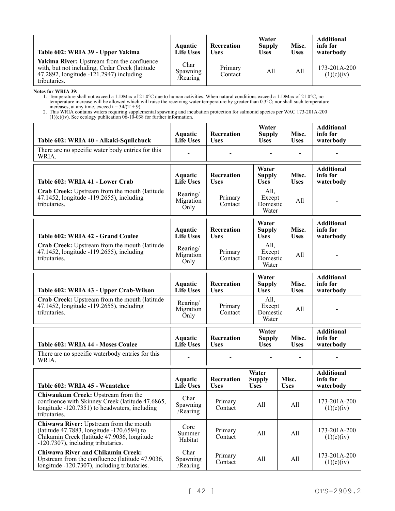| Table 602: WRIA 39 - Upper Yakima                                                                                                                                     | Aquatic<br><b>Life Uses</b>         | <b>Recreation</b><br><b>Uses</b> | Water<br><b>Supply</b><br><b>Uses</b> | Misc.<br><b>Uses</b> | <b>Additional</b><br>info for<br>waterbody |
|-----------------------------------------------------------------------------------------------------------------------------------------------------------------------|-------------------------------------|----------------------------------|---------------------------------------|----------------------|--------------------------------------------|
| Yakima River: Upstream from the confluence<br>with, but not including, Cedar Creek (latitude<br>47.2892, longitude $-1\overline{2}1.2947$ ) including<br>tributaries. | Char<br><b>Spawning</b><br>/Rearing | Primary<br>Contact               | All                                   | A11                  | 173-201A-200<br>(1)(c)(iv)                 |

**Notes for WRIA 39:**

1. Temperature shall not exceed a 1-DMax of 21.0°C due to human activities. When natural conditions exceed a 1-DMax of 21.0°C, no temperature increase will be allowed which will raise the receiving water temperature by greater than 0.3°C; nor shall such temperature increases, at any time, exceed  $t = 34/(T + 9)$ .

| Table 602: WRIA 40 - Alkaki-Squilchuck                                                                                                                                    | Aquatic<br><b>Life Uses</b>        | Recreation<br><b>Uses</b> | Water<br><b>Supply</b><br><b>Uses</b> | Misc.<br><b>Uses</b> | <b>Additional</b><br>info for<br>waterbody |
|---------------------------------------------------------------------------------------------------------------------------------------------------------------------------|------------------------------------|---------------------------|---------------------------------------|----------------------|--------------------------------------------|
| There are no specific water body entries for this<br>WRIA.                                                                                                                |                                    |                           |                                       |                      |                                            |
| Table 602: WRIA 41 - Lower Crab                                                                                                                                           | Aquatic<br><b>Life Uses</b>        | Recreation<br><b>Uses</b> | Water<br><b>Supply</b><br><b>Uses</b> | Misc.<br><b>Uses</b> | <b>Additional</b><br>info for<br>waterbody |
| Crab Creek: Upstream from the mouth (latitude<br>47.1452, longitude -119.2655), including<br>tributaries.                                                                 | Rearing/<br>Migration<br>Only      | Primary<br>Contact        | All,<br>Except<br>Domestic<br>Water   | All                  |                                            |
| Table 602: WRIA 42 - Grand Coulee                                                                                                                                         | Aquatic<br><b>Life Uses</b>        | Recreation<br><b>Uses</b> | Water<br><b>Supply</b><br><b>Uses</b> | Misc.<br><b>Uses</b> | <b>Additional</b><br>info for<br>waterbody |
| Crab Creek: Upstream from the mouth (latitude<br>47.1452, longitude -119.2655), including<br>tributaries.                                                                 | Rearing/<br>Migration<br>Only      | Primary<br>Contact        | All,<br>Except<br>Domestic<br>Water   | All                  |                                            |
| Table 602: WRIA 43 - Upper Crab-Wilson                                                                                                                                    | Aquatic<br><b>Life Uses</b>        | Recreation<br><b>Uses</b> | Water<br><b>Supply</b><br><b>Uses</b> | Misc.<br><b>Uses</b> | <b>Additional</b><br>info for<br>waterbody |
| Crab Creek: Upstream from the mouth (latitude<br>47.1452, longitude -119.2655), including<br>tributaries.                                                                 | Rearing/<br>Migration<br>Only      | Primary<br>Contact        | All,<br>Except<br>Domestic<br>Water   | All                  |                                            |
| <b>Table 602: WRIA 44 - Moses Coulee</b>                                                                                                                                  | <b>Aquatic</b><br><b>Life Uses</b> | Recreation<br><b>Uses</b> | Water<br><b>Supply</b><br><b>Uses</b> | Misc.<br><b>Uses</b> | <b>Additional</b><br>info for<br>waterbody |
| There are no specific waterbody entries for this<br>WRIA.                                                                                                                 |                                    |                           |                                       |                      |                                            |
| Table 602: WRIA 45 - Wenatchee                                                                                                                                            | Aquatic<br><b>Life Uses</b>        | Recreation<br><b>Uses</b> | Water<br><b>Supply</b><br><b>Uses</b> | Misc.<br><b>Uses</b> | <b>Additional</b><br>info for<br>waterbody |
| Chiwaukum Creek: Upstream from the<br>confluence with Skinney Creek (latitude 47.6865,<br>longitude -120.7351) to headwaters, including<br>tributaries.                   | Char<br>Spawning<br>Rearing        | Primary<br>Contact        | All                                   | All                  | 173-201A-200<br>(1)(c)(iv)                 |
| Chiwawa River: Upstream from the mouth<br>(latitude 47.7883, longitude -120.6594) to<br>Chikamin Creek (latitude 47.9036, longitude<br>-120.7307), including tributaries. | Core<br>Summer<br>Habitat          | Primary<br>Contact        | All                                   | All                  | 173-201A-200<br>(1)(c)(iv)                 |
| <b>Chiwawa River and Chikamin Creek:</b><br>Upstream from the confluence (latitude 47.9036,<br>longitude -120.7307), including tributaries.                               | Char<br>Spawning<br>Rearing        | Primary<br>Contact        | All                                   | All                  | 173-201A-200<br>(1)(c)(iv)                 |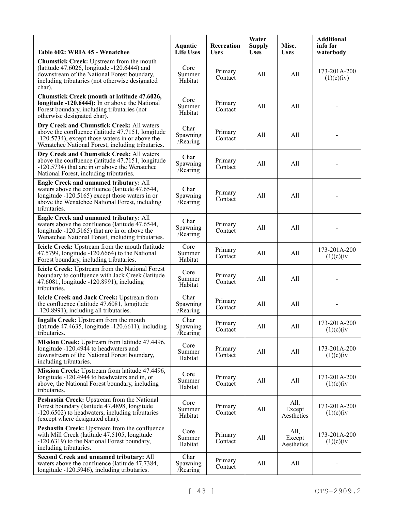| Table 602: WRIA 45 - Wenatchee                                                                                                                                                                               | Aquatic<br><b>Life Uses</b>  | Recreation<br><b>Uses</b> | Water<br><b>Supply</b><br><b>Uses</b> | Misc.<br><b>Uses</b>         | <b>Additional</b><br>info for<br>waterbody |
|--------------------------------------------------------------------------------------------------------------------------------------------------------------------------------------------------------------|------------------------------|---------------------------|---------------------------------------|------------------------------|--------------------------------------------|
| Chumstick Creek: Upstream from the mouth<br>(latitude 47.6026, longitude -120.6444) and<br>downstream of the National Forest boundary,<br>including tributaries (not otherwise designated<br>char).          | Core<br>Summer<br>Habitat    | Primary<br>Contact        | All                                   | All                          | 173-201A-200<br>(1)(c)(iv)                 |
| Chumstick Creek (mouth at latitude 47.6026,<br>longitude -120.6444): In or above the National<br>Forest boundary, including tributaries (not<br>otherwise designated char).                                  | Core<br>Summer<br>Habitat    | Primary<br>Contact        | All                                   | All                          |                                            |
| Dry Creek and Chumstick Creek: All waters<br>above the confluence (latitude 47.7151, longitude<br>-120.5734), except those waters in or above the<br>Wenatchee National Forest, including tributaries.       | Char<br>Spawning<br>/Rearing | Primary<br>Contact        | All                                   | All                          |                                            |
| Dry Creek and Chumstick Creek: All waters<br>above the confluence (latitude 47.7151, longitude<br>-120.5734) that are in or above the Wenatchee<br>National Forest, including tributaries.                   | Char<br>Spawning<br>Rearing  | Primary<br>Contact        | All                                   | All                          |                                            |
| Eagle Creek and unnamed tributary: All<br>waters above the confluence (latitude 47.6544,<br>longitude -120.5165) except those waters in or<br>above the Wenatchee National Forest, including<br>tributaries. | Char<br>Spawning<br>Rearing  | Primary<br>Contact        | All                                   | All                          |                                            |
| Eagle Creek and unnamed tributary: All<br>waters above the confluence (latitude 47.6544,<br>longitude -120.5165) that are in or above the<br>Wenatchee National Forest, including tributaries.               | Char<br>Spawning<br>Rearing  | Primary<br>Contact        | All                                   | All                          |                                            |
| Icicle Creek: Upstream from the mouth (latitude<br>47.5799, longitude $-120.6664$ ) to the National<br>Forest boundary, including tributaries.                                                               | Core<br>Summer<br>Habitat    | Primary<br>Contact        | All                                   | All                          | 173-201A-200<br>(1)(c)(iv)                 |
| Icicle Creek: Upstream from the National Forest<br>boundary to confluence with Jack Creek (latitude<br>47.6081, longitude -120.8991), including<br>tributaries.                                              | Core<br>Summer<br>Habitat    | Primary<br>Contact        | All                                   | All                          |                                            |
| Icicle Creek and Jack Creek: Upstream from<br>the confluence (latitude 47.6081, longitude<br>-120.8991), including all tributaries.                                                                          | Char<br>Spawning<br>Rearing  | Primary<br>Contact        | All                                   | All                          |                                            |
| Ingalls Creek: Upstream from the mouth<br>(latitude $47.4635$ , longitude $-120.6611$ ), including<br>tributaries.                                                                                           | Char<br>Spawning<br>Rearing  | Primary<br>Contact        | All                                   | All                          | 173-201A-200<br>(1)(c)(iv)                 |
| Mission Creek: Upstream from latitude 47.4496,<br>longitude -120.4944 to headwaters and<br>downstream of the National Forest boundary,<br>including tributaries.                                             | Core<br>Summer<br>Habitat    | Primary<br>Contact        | All                                   | All                          | 173-201A-200<br>(1)(c)(iv)                 |
| Mission Creek: Upstream from latitude 47.4496,<br>longitude -120.4944 to headwaters and in, or<br>above, the National Forest boundary, including<br>tributaries.                                             | Core<br>Summer<br>Habitat    | Primary<br>Contact        | All                                   | All                          | 173-201A-200<br>(1)(c)(iv)                 |
| Peshastin Creek: Upstream from the National<br>Forest boundary (latitude 47.4898, longitude<br>-120.6502) to headwaters, including tributaries<br>(except where designated char).                            | Core<br>Summer<br>Habitat    | Primary<br>Contact        | All                                   | All,<br>Except<br>Aesthetics | 173-201A-200<br>(1)(c)(iv)                 |
| Peshastin Creek: Upstream from the confluence<br>with Mill Creek (latitude 47.5105, longitude<br>-120.6319) to the National Forest boundary,<br>including tributaries.                                       | Core<br>Summer<br>Habitat    | Primary<br>Contact        | All                                   | All,<br>Except<br>Aesthetics | 173-201A-200<br>(1)(c)(iv)                 |
| Second Creek and unnamed tributary: All<br>waters above the confluence (latitude 47.7384,<br>longitude -120.5946), including tributaries.                                                                    | Char<br>Spawning<br>/Rearing | Primary<br>Contact        | All                                   | All                          |                                            |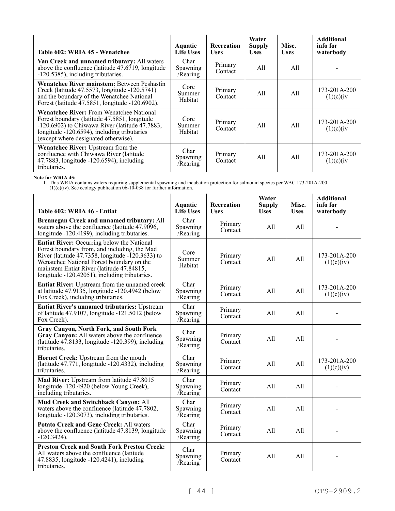| Table 602: WRIA 45 - Wenatchee                                                                                                                                                                                                              | <b>Aquatic</b><br><b>Life Uses</b> | <b>Recreation</b><br><b>Uses</b> | Water<br><b>Supply</b><br><b>Uses</b> | Misc.<br><b>Uses</b> | <b>Additional</b><br>info for<br>waterbody |
|---------------------------------------------------------------------------------------------------------------------------------------------------------------------------------------------------------------------------------------------|------------------------------------|----------------------------------|---------------------------------------|----------------------|--------------------------------------------|
| Van Creek and unnamed tributary: All waters<br>above the confluence (latitude $47.6719$ , longitude<br>-120.5385), including tributaries.                                                                                                   | Char<br>Spawning<br>/Rearing       | Primary<br>Contact               | All                                   | All                  |                                            |
| Wenatchee River mainstem: Between Peshastin<br>Creek (latitude 47.5573, longitude -120.5741)<br>and the boundary of the Wenatchee National<br>Forest (latitude 47.5851, longitude -120.6902).                                               | Core<br>Summer<br>Habitat          | Primary<br>Contact               | All                                   | All                  | 173-201A-200<br>(1)(c)(iv)                 |
| <b>Wenatchee River:</b> From Wenatchee National<br>Forest boundary (latitude 47.5851, longitude<br>$-120.6902$ ) to Chiwawa River (latitude 47.7883,<br>longitude -120.6594), including tributaries<br>(except where designated otherwise). | Core<br>Summer<br>Habitat          | Primary<br>Contact               | All                                   | All                  | 173-201A-200<br>(1)(c)(iv)                 |
| Wenatchee River: Upstream from the<br>confluence with Chiwawa River (latitude<br>47.7883, longitude -120.6594), including<br>tributaries.                                                                                                   | Char<br>Spawning<br>/Rearing       | Primary<br>Contact               | All                                   | All                  | 173-201A-200<br>(1)(c)(iv)                 |

**Note for WRIA 45:**

| Table 602: WRIA 46 - Entiat                                                                                                                                                                                                                                                                            | <b>Aquatic</b><br><b>Life Uses</b> | Recreation<br><b>Uses</b> | Water<br><b>Supply</b><br><b>Uses</b> | Misc.<br><b>Uses</b> | <b>Additional</b><br>info for<br>waterbody |
|--------------------------------------------------------------------------------------------------------------------------------------------------------------------------------------------------------------------------------------------------------------------------------------------------------|------------------------------------|---------------------------|---------------------------------------|----------------------|--------------------------------------------|
| Brennegan Creek and unnamed tributary: All<br>waters above the confluence (latitude 47.9096,<br>longitude -120.4199), including tributaries.                                                                                                                                                           | Char<br>Spawning<br>Rearing        | Primary<br>Contact        | All                                   | A11                  |                                            |
| <b>Entiat River:</b> Occurring below the National<br>Forest boundary from, and including, the Mad<br>River (latitude $47.7358$ , longitude $-120.3633$ ) to<br>Wenatchee National Forest boundary on the<br>mainstem Entiat River (latitude 47.84815,<br>longitude -120.42051), including tributaries. | Core<br>Summer<br>Habitat          | Primary<br>Contact        | All                                   | A11                  | 173-201A-200<br>(1)(c)(iv)                 |
| Entiat River: Upstream from the unnamed creek<br>at latitude $47.91\overline{3}5$ , longitude $-120.4942$ (below<br>Fox Creek), including tributaries.                                                                                                                                                 | Char<br>Spawning<br>Rearing        | Primary<br>Contact        | All                                   | A11                  | 173-201A-200<br>(1)(c)(iv)                 |
| <b>Entiat River's unnamed tributaries: Upstream</b><br>of latitude 47.9107, longitude $-121.5012$ (below<br>Fox Creek).                                                                                                                                                                                | Char<br>Spawning<br>/Rearing       | Primary<br>Contact        | All                                   | A11                  |                                            |
| Gray Canyon, North Fork, and South Fork<br>Gray Canyon: All waters above the confluence<br>(latitude $47.8133$ , longitude $-120.399$ ), including<br>tributaries.                                                                                                                                     | Char<br>Spawning<br>Rearing        | Primary<br>Contact        | All                                   | A11                  |                                            |
| Hornet Creek: Upstream from the mouth<br>(latitude 47.771, longitude -120.4332), including<br>tributaries.                                                                                                                                                                                             | Char<br>Spawning<br>Rearing        | Primary<br>Contact        | All                                   | All                  | 173-201A-200<br>(1)(c)(iv)                 |
| Mad River: Upstream from latitude 47.8015<br>longitude -120.4920 (below Young Creek),<br>including tributaries.                                                                                                                                                                                        | Char<br>Spawning<br><b>Rearing</b> | Primary<br>Contact        | A11                                   | A11                  |                                            |
| Mud Creek and Switchback Canyon: All<br>waters above the confluence (latitude 47.7802,<br>longitude -120.3073), including tributaries.                                                                                                                                                                 | Char<br>Spawning<br><b>Rearing</b> | Primary<br>Contact        | All                                   | A11                  |                                            |
| <b>Potato Creek and Gene Creek: All waters</b><br>above the confluence (latitude 47.8139, longitude<br>$-120.3424$ ).                                                                                                                                                                                  | Char<br>Spawning<br>Rearing        | Primary<br>Contact        | All                                   | All                  |                                            |
| <b>Preston Creek and South Fork Preston Creek:</b><br>All waters above the confluence (latitude<br>47.8835, longitude -120.4241), including<br>tributaries.                                                                                                                                            | Char<br>Spawning<br>/Rearing       | Primary<br>Contact        | All                                   | A11                  |                                            |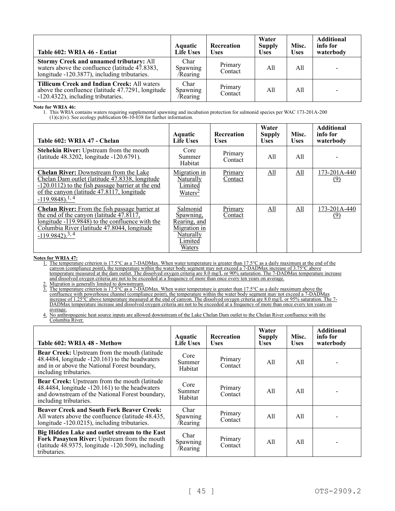| Table 602: WRIA 46 - Entiat                                                                                                                   | Aquatic<br><b>Life Uses</b>  | Recreation<br>Uses | Water<br><b>Supply</b><br><b>Uses</b> | Misc.<br><b>Uses</b> | <b>Additional</b><br>info for<br>waterbody |
|-----------------------------------------------------------------------------------------------------------------------------------------------|------------------------------|--------------------|---------------------------------------|----------------------|--------------------------------------------|
| Stormy Creek and unnamed tributary: All<br>waters above the confluence (latitude 47.8383,<br>longitude -120.3877), including tributaries.     | Char<br>Spawning<br>/Rearing | Primary<br>Contact | All                                   | All                  |                                            |
| <b>Tillicum Creek and Indian Creek: All waters</b><br>above the confluence (latitude 47.7291, longitude<br>-120.4322), including tributaries. | Char<br>Spawning<br>/Rearing | Primary<br>Contact | All                                   | All                  |                                            |

**Note for WRIA 46:**

1. This WRIA contains waters requiring supplemental spawning and incubation protection for salmonid species per WAC 173-201A-200  $(1)(c)(iv)$ . See ecology publication  $06-10-038$  for further information.

| Table 602: WRIA 47 - Chelan                                                                                                                                                                                                                          | <b>Aquatic</b><br><b>Life Uses</b>                                                      | Recreation<br><b>Uses</b> | Water<br><b>Supply</b><br><b>Uses</b> | Misc.<br><b>Uses</b> | <b>Additional</b><br>info for<br>waterbody |
|------------------------------------------------------------------------------------------------------------------------------------------------------------------------------------------------------------------------------------------------------|-----------------------------------------------------------------------------------------|---------------------------|---------------------------------------|----------------------|--------------------------------------------|
| <b>Stehekin River:</b> Upstream from the mouth<br>(latitude 48.3202, longitude -120.6791).                                                                                                                                                           | Core<br>Summer<br>Habitat                                                               | Primary<br>Contact        | All                                   | All                  |                                            |
| <b>Chelan River:</b> Downstream from the Lake<br>Chelan Dam outlet (latitude 47.8338, longitude<br>$-120.0112$ ) to the fish passage barrier at the end<br>of the canyon (latitude $47.8\overline{1}17$ , longitude<br>$-119.9848$ ). <sup>1,4</sup> | Migration in<br>Naturally<br>Limited<br>Waters <sup>2</sup>                             | Primary<br>Contact        | All                                   | All                  | 173-201A-440<br>(9)                        |
| <b>Chelan River:</b> From the fish passage barrier at<br>the end of the canyon (latitude 47.8117,<br>longitude -119.9848) to the confluence with the<br>Columbia River (latitude 47.8044, longitude<br>$-119.9842$ . <sup>3, 4</sup>                 | Salmonid<br>Spawning,<br>Rearing, and<br>Migration in<br>Naturally<br>Limited<br>Waters | Primary<br>Contact        | All                                   | All                  | 173-201A-440<br>(9)                        |

### **Notes for WRIA 47:**

1. The temperature criterion is 17.5°C as a 7-DADMax. When water temperature is greater than 17.5°C as a daily maximum at the end of the canyon (compliance point), the temperature within the water body segment may not exceed a 7-DADMax increase of 3.75°C above temperature measured at the dam outlet. The dissolved oxygen criteria are 8.0 mg/L or 90% saturation. The 7-DADMax temperature increase and dissolved oxygen criteria are not to be exceeded at a frequency of more than once every ten years on average.

2. Migration is generally limited to downstream.

3. The temperature criterion is 17.5°C as a 7-DADMax. When water temperature is greater than 17.5°C as a daily maximum above the confluence with powerhouse channel (compliance point), the temperature within the water body segment may not exceed a 7-DADMax increase of 1.25 $\degree$ C above temperature measured at the end of canyon. The dissolved oxygen criteria are 8.0 mg/L or 95% saturation. The 7-DADMax temperature increase and dissolved oxygen criteria are not to be exceeded at a frequency of more than once every ten years on average.

4. No anthropogenic heat source inputs are allowed downstream of the Lake Chelan Dam outlet to the Chelan River confluence with the Columbia River.

| Table 602: WRIA 48 - Methow                                                                                                                                                  | <b>Aquatic</b><br><b>Life Uses</b>  | <b>Recreation</b><br><b>Uses</b> | Water<br><b>Supply</b><br><b>Uses</b> | Misc.<br><b>Uses</b> | <b>Additional</b><br>info for<br>waterbody |
|------------------------------------------------------------------------------------------------------------------------------------------------------------------------------|-------------------------------------|----------------------------------|---------------------------------------|----------------------|--------------------------------------------|
| Bear Creek: Upstream from the mouth (latitude<br>48.4484, longitude -120.161) to the headwaters<br>and in or above the National Forest boundary,<br>including tributaries.   | Core<br>Summer<br>Habitat           | Primary<br>Contact               | All                                   | All                  |                                            |
| Bear Creek: Upstream from the mouth (latitude<br>48.4484, longitude -120.161) to the headwaters<br>and downstream of the National Forest boundary,<br>including tributaries. | Core<br>Summer<br>Habitat           | Primary<br>Contact               | All                                   | All                  |                                            |
| <b>Beaver Creek and South Fork Beaver Creek:</b><br>All waters above the confluence (latitude 48.435,<br>longitude -120.0215), including tributaries.                        | Char<br>Spawning<br>/Rearing        | Primary<br>Contact               | All                                   | All                  |                                            |
| Big Hidden Lake and outlet stream to the East<br>Fork Pasayten River: Upstream from the mouth<br>(latitude $48.9375$ , longitude $-120.509$ ), including<br>tributaries.     | Char<br><b>Spawning</b><br>/Rearing | Primary<br>Contact               | All                                   | All                  |                                            |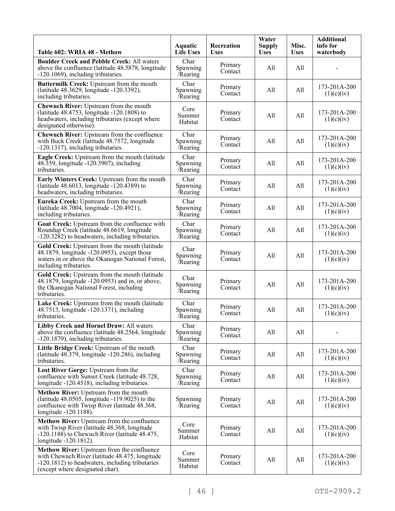| Table 602: WRIA 48 - Methow                                                                                                                                                        | Aquatic<br><b>Life Uses</b>  | Recreation<br><b>Uses</b> | Water<br><b>Supply</b><br><b>Uses</b> | Misc.<br><b>Uses</b> | <b>Additional</b><br>info for<br>waterbody |
|------------------------------------------------------------------------------------------------------------------------------------------------------------------------------------|------------------------------|---------------------------|---------------------------------------|----------------------|--------------------------------------------|
| <b>Boulder Creek and Pebble Creek: All waters</b><br>above the confluence (latitude 48.5878, longitude<br>-120.1069), including tributaries.                                       | Char<br>Spawning<br>Rearing  | Primary<br>Contact        | All                                   | All                  |                                            |
| Buttermilk Creek: Upstream from the mouth<br>(latitude 48.3629, longitude -120.3392),<br>including tributaries.                                                                    | Char<br>Spawning<br>Rearing  | Primary<br>Contact        | All                                   | All                  | 173-201A-200<br>(1)(c)(iv)                 |
| Chewuch River: Upstream from the mouth<br>(latitude 48.4753, longitude -120.1808) to<br>headwaters, including tributaries (except where<br>designated otherwise).                  | Core<br>Summer<br>Habitat    | Primary<br>Contact        | All                                   | All                  | 173-201A-200<br>(1)(c)(iv)                 |
| Chewuch River: Upstream from the confluence<br>with Buck Creek (latitude 48.7572, longitude<br>-120.1317), including tributaries.                                                  | Char<br>Spawning<br>Rearing  | Primary<br>Contact        | All                                   | All                  | 173-201A-200<br>(1)(c)(iv)                 |
| Eagle Creek: Upstream from the mouth (latitude<br>48.359, longitude -120.3907), including<br>tributaries.                                                                          | Char<br>Spawning<br>/Rearing | Primary<br>Contact        | All                                   | All                  | 173-201A-200<br>(1)(c)(iv)                 |
| Early Winters Creek: Upstream from the mouth<br>(latitude 48.6013, longitude -120.4389) to<br>headwaters, including tributaries.                                                   | Char<br>Spawning<br>/Rearing | Primary<br>Contact        | All                                   | All                  | 173-201A-200<br>(1)(c)(iv)                 |
| Eureka Creek: Upstream from the mouth<br>(latitude 48.7004, longitude -120.4921),<br>including tributaries.                                                                        | Char<br>Spawning<br>Rearing  | Primary<br>Contact        | All                                   | All                  | 173-201A-200<br>(1)(c)(iv)                 |
| Goat Creek: Upstream from the confluence with<br>Roundup Creek (latitude 48.6619, longitude<br>-120.3282) to headwaters, including tributaries.                                    | Char<br>Spawning<br>/Rearing | Primary<br>Contact        | All                                   | All                  | 173-201A-200<br>(1)(c)(iv)                 |
| Gold Creek: Upstream from the mouth (latitude<br>48.1879, longitude -120.0953), except those<br>waters in or above the Okanogan National Forest,<br>including tributaries.         | Char<br>Spawning<br>/Rearing | Primary<br>Contact        | All                                   | All                  | 173-201A-200<br>(1)(c)(iv)                 |
| Gold Creek: Upstream from the mouth (latitude<br>48.1879, longitude -120.0953) and in, or above,<br>the Okanogan National Forest, including<br>tributaries.                        | Char<br>Spawning<br>/Rearing | Primary<br>Contact        | All                                   | All                  | 173-201A-200<br>(1)(c)(iv)                 |
| Lake Creek: Upstream from the mouth (latitude<br>48.7513, longitude -120.1371), including<br>tributaries.                                                                          | Char<br>Spawning<br>Rearing  | Primary<br>Contact        | All                                   | All                  | 173-201A-200<br>(1)(c)(iv)                 |
| Libby Creek and Hornel Draw: All waters<br>above the confluence (latitude 48.2564, longitude<br>-120.1879), including tributaries.                                                 | Char<br>Spawning<br>Rearing  | Primary<br>Contact        | All                                   | All                  |                                            |
| Little Bridge Creek: Upstream of the mouth<br>(latitude 48.379, longitude -120.286), including<br>tributaries.                                                                     | Char<br>Spawning<br>Rearing  | Primary<br>Contact        | All                                   | All                  | 173-201A-200<br>(1)(c)(iv)                 |
| Lost River Gorge: Upstream from the<br>confluence with Sunset Creek (latitude 48.728,<br>longitude -120.4518), including tributaries.                                              | Char<br>Spawning<br>Rearing  | Primary<br>Contact        | All                                   | All                  | $173 - 201A - 200$<br>(1)(c)(iv)           |
| Methow River: Upstream from the mouth<br>(latitude $48.0505$ , longitude $-119.9025$ ) to the<br>confluence with Twisp River (latitude 48.368,<br>longitude -120.1188).            | Spawning<br>/Rearing         | Primary<br>Contact        | All                                   | All                  | 173-201A-200<br>(1)(c)(iv)                 |
| Methow River: Upstream from the confluence<br>with Twisp River (latitude 48.368, longitude<br>$-120.1188$ ) to Chewuch River (latitude 48.475,<br>longitude -120.1812).            | Core<br>Summer<br>Habitat    | Primary<br>Contact        | All                                   | All                  | 173-201A-200<br>(1)(c)(iv)                 |
| Methow River: Upstream from the confluence<br>with Chewuch River (latitude 48.475, longitude<br>-120.1812) to headwaters, including tributaries<br>(except where designated char). | Core<br>Summer<br>Habitat    | Primary<br>Contact        | All                                   | All                  | 173-201A-200<br>(1)(c)(iv)                 |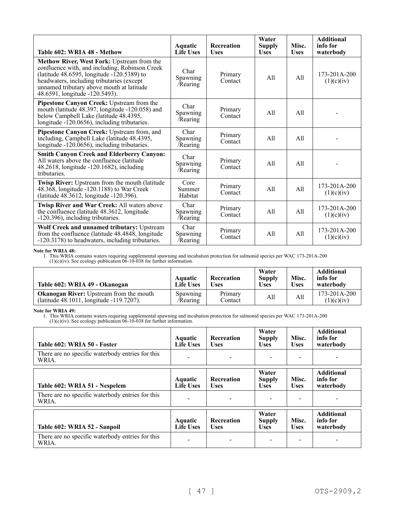| Table 602: WRIA 48 - Methow                                                                                                                                                                                                                                                      | Aquatic<br><b>Life Uses</b>  | <b>Recreation</b><br><b>Uses</b> | Water<br><b>Supply</b><br><b>Uses</b> | Misc.<br><b>Uses</b> | <b>Additional</b><br>info for<br>waterbody |
|----------------------------------------------------------------------------------------------------------------------------------------------------------------------------------------------------------------------------------------------------------------------------------|------------------------------|----------------------------------|---------------------------------------|----------------------|--------------------------------------------|
| <b>Methow River, West Fork: Upstream from the</b><br>confluence with, and including, Robinson Creek<br>(latitude 48.6595, longitude $-120.5389$ ) to<br>headwaters, including tributaries (except<br>unnamed tributary above mouth at latitude<br>48.6591, longitude -120.5493). | Char<br>Spawning<br>/Rearing | Primary<br>Contact               | All                                   | All                  | $173 - 201A - 200$<br>(1)(c)(iv)           |
| Pipestone Canyon Creek: Upstream from the<br>mouth (latitude 48.397, longitude -120.058) and<br>below Campbell Lake (latitude 48.4395,<br>longitude $-120.0656$ , including tributaries.                                                                                         | Char<br>Spawning<br>/Rearing | Primary<br>Contact               | All                                   | A11                  |                                            |
| Pipestone Canyon Creek: Upstream from, and<br>including, Campbell Lake (latitude 48.4395,<br>longitude -120.0656), including tributaries.                                                                                                                                        | Char<br>Spawning<br>/Rearing | Primary<br>Contact               | All                                   | All                  |                                            |
| <b>Smith Canyon Creek and Elderberry Canyon:</b><br>All waters above the confluence (latitude<br>48.2618, longitude -120.1682), including<br>tributaries.                                                                                                                        | Char<br>Spawning<br>/Rearing | Primary<br>Contact               | All                                   | All                  |                                            |
| Twisp River: Upstream from the mouth (latitude<br>48.368, longitude -120.1188) to War Creek<br>(latitude 48.3612, longitude -120.396).                                                                                                                                           | Core<br>Summer<br>Habitat    | Primary<br>Contact               | All                                   | A11                  | $173 - 201A - 200$<br>(1)(c)(iv)           |
| Twisp River and War Creek: All waters above<br>the confluence (latitude 48.3612, longitude<br>-120.396), including tributaries.                                                                                                                                                  | Char<br>Spawning<br>/Rearing | Primary<br>Contact               | All                                   | All                  | $173 - 201A - 200$<br>(1)(c)(iv)           |
| Wolf Creek and unnamed tributary: Upstream<br>from the confluence (latitude 48.4848, longitude<br>-120.3178) to headwaters, including tributaries.                                                                                                                               | Char<br>Spawning<br>/Rearing | Primary<br>Contact               | All                                   | All                  | $173 - 201A - 200$<br>(1)(c)(iv)           |

# **Note for WRIA 48:**

1. This WRIA contains waters requiring supplemental spawning and incubation protection for salmonid species per WAC 173-201A-200  $(1)(c)(iv)$ . See ecology publication  $0\bar{6}$ -10-038 for further information.

| Table 602: WRIA 49 - Okanogan                                                              | Aquatic<br><b>Life Uses</b> | Recreation<br>Uses | Water<br><b>Supply</b><br><b>Uses</b> | Misc.<br><b>Uses</b> | <b>Additional</b><br>info for<br>waterbody |
|--------------------------------------------------------------------------------------------|-----------------------------|--------------------|---------------------------------------|----------------------|--------------------------------------------|
| <b>Okanogan River:</b> Upstream from the mouth<br>(latitude 48.1011, longitude -119.7207). | Spawning<br>/Rearing        | Primary<br>Contact | All                                   | All                  | $173 - 201A - 200$<br>(1)(c)(iv)           |

# **Note for WRIA 49:**

| Table 602: WRIA 50 - Foster                               | <b>Aquatic</b><br><b>Life Uses</b> | <b>Recreation</b><br><b>Uses</b> | Water<br><b>Supply</b><br><b>Uses</b> | Misc.<br><b>Uses</b> | <b>Additional</b><br>info for<br>waterbody |
|-----------------------------------------------------------|------------------------------------|----------------------------------|---------------------------------------|----------------------|--------------------------------------------|
| There are no specific waterbody entries for this<br>WRIA. |                                    |                                  |                                       |                      |                                            |
| Table 602: WRIA 51 - Nespelem                             | <b>Aquatic</b><br><b>Life Uses</b> | <b>Recreation</b><br><b>Uses</b> | Water<br><b>Supply</b><br><b>Uses</b> | Misc.<br><b>Uses</b> | <b>Additional</b><br>info for<br>waterbody |
| There are no specific waterbody entries for this<br>WRIA. |                                    |                                  |                                       |                      |                                            |
| Table 602: WRIA 52 - Sanpoil                              | <b>Aquatic</b><br><b>Life Uses</b> | Recreation<br><b>Uses</b>        | Water<br><b>Supply</b><br><b>Uses</b> | Misc.<br><b>Uses</b> | <b>Additional</b><br>info for<br>waterbody |
| There are no specific waterbody entries for this<br>WRIA. |                                    |                                  |                                       |                      |                                            |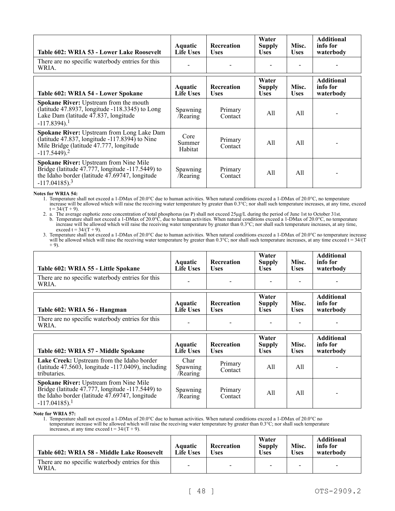| Table 602: WRIA 53 - Lower Lake Roosevelt                                                                                                                                    | Aquatic<br><b>Life Uses</b> | Recreation<br><b>Uses</b>        | Water<br><b>Supply</b><br><b>Uses</b> | Misc.<br><b>Uses</b> | <b>Additional</b><br>info for<br>waterbody |
|------------------------------------------------------------------------------------------------------------------------------------------------------------------------------|-----------------------------|----------------------------------|---------------------------------------|----------------------|--------------------------------------------|
| There are no specific waterbody entries for this<br>WRIA.                                                                                                                    |                             |                                  |                                       |                      |                                            |
| Table 602: WRIA 54 - Lower Spokane                                                                                                                                           | Aquatic<br><b>Life Uses</b> | <b>Recreation</b><br><b>Uses</b> | Water<br><b>Supply</b><br><b>Uses</b> | Misc.<br><b>Uses</b> | <b>Additional</b><br>info for<br>waterbody |
| <b>Spokane River:</b> Upstream from the mouth<br>(latitude 47.8937, longitude $-118.3345$ ) to Long<br>Lake Dam (latitude 47.837, longitude<br>$-117.8394$ ). <sup>1</sup>   | Spawning<br>/Rearing        | Primary<br>Contact               | All                                   | All                  |                                            |
| Spokane River: Upstream from Long Lake Dam<br>(latitude 47.837, longitude -117.8394) to Nine<br>Mile Bridge (latitude 47.777, longitude<br>$-117.5449$ ). <sup>2</sup>       | Core<br>Summer<br>Habitat   | Primary<br>Contact               | All                                   | All                  |                                            |
| Spokane River: Upstream from Nine Mile<br>Bridge (latitude 47.777, longitude -117.5449) to<br>the Idaho border (latitude 47.69747, longitude<br>$-117.04185$ ). <sup>3</sup> | Spawning<br>/Rearing        | Primary<br>Contact               | All                                   | All                  |                                            |

**Notes for WRIA 54:**

1. Temperature shall not exceed a 1-DMax of 20.0°C due to human activities. When natural conditions exceed a 1-DMax of 20.0°C, no temperature increase will be allowed which will raise the receiving water temperature by greater than 0.3°C; nor shall such temperature increases, at any time, exceed  $t = 34/(T + 9)$ .

2. a. The average euphotic zone concentration of total phosphorus (as P) shall not exceed  $25\mu g/L$  during the period of June 1st to October 31st. b. Temperature shall not exceed a 1-DMax of 20.0°C, due to human activities. When natural conditions exceed a 1-DMax of 20.0°C, no temperature increase will be allowed which will raise the receiving water temperature by greater than 0.3°C; nor shall such temperature increases, at any time, exceed  $t = 34/(T + 9)$ .

3. Temperature shall not exceed a 1-DMax of 20.0°C due to human activities. When natural conditions exceed a 1-DMax of 20.0°C no temperature increase will be allowed which will raise the receiving water temperature by greater than  $0.3^{\circ}\text{C}$ ; nor shall such temperature increases, at any time exceed t =  $34/(T)$  $+ 9$ ).

| Table 602: WRIA 55 - Little Spokane                                                                                    | Aquatic<br><b>Life Uses</b>  | <b>Recreation</b><br><b>Uses</b> | Water<br><b>Supply</b><br><b>Uses</b> | Misc.<br><b>Uses</b> | <b>Additional</b><br>info for<br>waterbody |
|------------------------------------------------------------------------------------------------------------------------|------------------------------|----------------------------------|---------------------------------------|----------------------|--------------------------------------------|
| There are no specific waterbody entries for this<br>WRIA.                                                              |                              |                                  |                                       |                      |                                            |
| Table 602: WRIA 56 - Hangman                                                                                           | Aquatic<br><b>Life Uses</b>  | <b>Recreation</b><br><b>Uses</b> | Water<br><b>Supply</b><br><b>Uses</b> | Misc.<br><b>Uses</b> | <b>Additional</b><br>info for<br>waterbody |
| There are no specific waterbody entries for this<br>WRIA.                                                              |                              |                                  |                                       |                      |                                            |
|                                                                                                                        |                              |                                  |                                       |                      |                                            |
| Table 602: WRIA 57 - Middle Spokane                                                                                    | Aquatic<br><b>Life Uses</b>  | <b>Recreation</b><br><b>Uses</b> | Water<br><b>Supply</b><br><b>Uses</b> | Misc.<br><b>Uses</b> | <b>Additional</b><br>info for<br>waterbody |
| Lake Creek: Upstream from the Idaho border<br>(latitude $47.5603$ , longitude $-117.0409$ ), including<br>tributaries. | Char<br>Spawning<br>/Rearing | Primary<br>Contact               | All                                   | A11                  |                                            |

**Note for WRIA 57:**

1. Temperature shall not exceed a 1-DMax of 20.0°C due to human activities. When natural conditions exceed a 1-DMax of 20.0°C no temperature increase will be allowed which will raise the receiving water temperature by greater than 0.3°C; nor shall such temperature increases, at any time exceed  $t = 34/(T + 9)$ .

| Table 602: WRIA 58 - Middle Lake Roosevelt                 | Aquatic<br>Life Uses     | Recreation<br>Uses       | Water<br><b>Supply</b><br><b>Uses</b> | Misc.<br><b>Uses</b> | <b>Additional</b><br>info for<br>waterbody |
|------------------------------------------------------------|--------------------------|--------------------------|---------------------------------------|----------------------|--------------------------------------------|
| There are no specific waterbody entries for this.<br>WRIA. | $\overline{\phantom{a}}$ | $\overline{\phantom{0}}$ | -                                     | -                    | $\overline{\phantom{a}}$                   |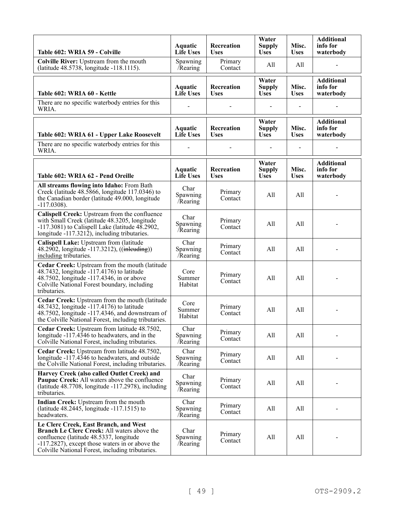| Table 602: WRIA 59 - Colville                                                                                                                                                                                                                 | Aquatic<br><b>Life Uses</b>        | Recreation<br><b>Uses</b> | Water<br><b>Supply</b><br><b>Uses</b> | Misc.<br><b>Uses</b> | <b>Additional</b><br>info for<br>waterbody |
|-----------------------------------------------------------------------------------------------------------------------------------------------------------------------------------------------------------------------------------------------|------------------------------------|---------------------------|---------------------------------------|----------------------|--------------------------------------------|
| Colville River: Upstream from the mouth<br>(latitude 48.5738, longitude -118.1115).                                                                                                                                                           | Spawning<br>/Rearing               | Primary<br>Contact        | All                                   | All                  |                                            |
| Table 602: WRIA 60 - Kettle                                                                                                                                                                                                                   | <b>Aquatic</b><br><b>Life Uses</b> | Recreation<br><b>Uses</b> | Water<br><b>Supply</b><br><b>Uses</b> | Misc.<br><b>Uses</b> | <b>Additional</b><br>info for<br>waterbody |
| There are no specific waterbody entries for this<br>WRIA.                                                                                                                                                                                     |                                    |                           |                                       |                      |                                            |
| Table 602: WRIA 61 - Upper Lake Roosevelt                                                                                                                                                                                                     | <b>Aquatic</b><br><b>Life Uses</b> | Recreation<br><b>Uses</b> | Water<br><b>Supply</b><br><b>Uses</b> | Misc.<br><b>Uses</b> | <b>Additional</b><br>info for<br>waterbody |
| There are no specific waterbody entries for this<br>WRIA.                                                                                                                                                                                     |                                    |                           |                                       |                      |                                            |
| Table 602: WRIA 62 - Pend Oreille                                                                                                                                                                                                             | Aquatic<br><b>Life Uses</b>        | Recreation<br><b>Uses</b> | Water<br><b>Supply</b><br><b>Uses</b> | Misc.<br><b>Uses</b> | <b>Additional</b><br>info for<br>waterbody |
| All streams flowing into Idaho: From Bath<br>Creek (latitude 48.5866, longitude 117.0346) to<br>the Canadian border (latitude 49.000, longitude<br>$-117.0308$ ).                                                                             | Char<br>Spawning<br>Rearing        | Primary<br>Contact        | All                                   | All                  |                                            |
| Calispell Creek: Upstream from the confluence<br>with Small Creek (latitude 48.3205, longitude<br>$-117.3081$ ) to Calispell Lake (latitude 48.2902,<br>longitude -117.3212), including tributaries.                                          | Char<br>Spawning<br>Rearing        | Primary<br>Contact        | All                                   | All                  |                                            |
| Calispell Lake: Upstream from (latitude<br>48.2902, longitude -117.3212), ((inleuding))<br>including tributaries.                                                                                                                             | Char<br>Spawning<br>/Rearing       | Primary<br>Contact        | All                                   | All                  |                                            |
| Cedar Creek: Upstream from the mouth (latitude<br>48.7432, longitude -117.4176) to latitude<br>48.7502, longitude -117.4346, in or above<br>Colville National Forest boundary, including<br>tributaries.                                      | Core<br>Summer<br>Habitat          | Primary<br>Contact        | All                                   | All                  |                                            |
| Cedar Creek: Upstream from the mouth (latitude<br>48.7432, longitude -117.4176) to latitude<br>48.7502, longitude -117.4346, and downstream of<br>the Colville National Forest, including tributaries.                                        | Core<br>Summer<br>Habitat          | Primary<br>Contact        | All                                   | All                  |                                            |
| Cedar Creek: Upstream from latitude 48.7502,<br>longitude -117.4346 to headwaters, and in the<br>Colville National Forest, including tributaries.                                                                                             | Char<br>Spawning<br>Rearing        | Primary<br>Contact        | All                                   | All                  |                                            |
| Cedar Creek: Upstream from latitude 48.7502,<br>longitude -117.4346 to headwaters, and outside<br>the Colville National Forest, including tributaries.                                                                                        | Char<br>Spawning<br>/Rearing       | Primary<br>Contact        | All                                   | All                  |                                            |
| Harvey Creek (also called Outlet Creek) and<br>Paupac Creek: All waters above the confluence<br>(latitude 48.7708, longitude -117.2978), including<br>tributaries.                                                                            | Char<br>Spawning<br>/Rearing       | Primary<br>Contact        | All                                   | All                  |                                            |
| Indian Creek: Upstream from the mouth<br>(latitude 48.2445, longitude -117.1515) to<br>headwaters.                                                                                                                                            | Char<br>Spawning<br>Rearing        | Primary<br>Contact        | All                                   | All                  |                                            |
| Le Clerc Creek, East Branch, and West<br><b>Branch Le Clerc Creek: All waters above the</b><br>confluence (latitude 48.5337, longitude<br>-117.2827), except those waters in or above the<br>Colville National Forest, including tributaries. | Char<br>Spawning<br>/Rearing       | Primary<br>Contact        | All                                   | All                  |                                            |